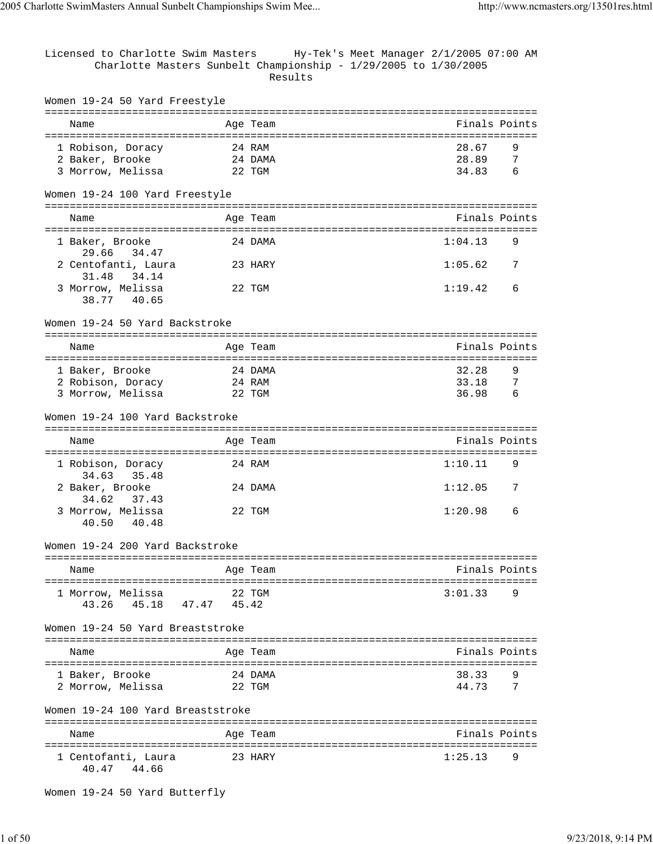Licensed to Charlotte Swim Masters Hy-Tek's Meet Manager 2/1/2005 07:00 AM Charlotte Masters Sunbelt Championship - 1/29/2005 to 1/30/2005 Results Women 19-24 50 Yard Freestyle =============================================================================== Name Age Team Age Team Finals Points =============================================================================== 1 Robison, Doracy 24 RAM 28.67 9 2 Baker, Brooke 24 DAMA 3 Morrow, Melissa 22 TGM 34.83 6 Women 19-24 100 Yard Freestyle =============================================================================== Name **Age Team** Age Team Finals Points =============================================================================== 1 Baker, Brooke 24 DAMA 1:04.13 9 29.66 34.47 2 Centofanti, Laura 23 HARY 1:05.62 7 31.48 34.14 3 Morrow, Melissa 22 TGM 1:19.42 6 38.77 40.65 Women 19-24 50 Yard Backstroke =============================================================================== Name **Age Team** Age Team Finals Points =============================================================================== 1 Baker, Brooke 24 DAMA 32.28 9 2 Robison, Doracy 24 RAM<br>3 Morrow, Melissa 22 TGM 3 Morrow, Melissa Women 19-24 100 Yard Backstroke =============================================================================== Name Age Team Finals Points =============================================================================== 1 Robison, Doracy 24 RAM 1:10.11 34.63 35.48 2 Baker, Brooke 24 DAMA 1:12.05 7 34.62 37.43 3 Morrow, Melissa 22 TGM 1:20.98 6 40.50 40.48 Women 19-24 200 Yard Backstroke =============================================================================== Name **Age Team** Age Team **Finals Points** =============================================================================== 1 Morrow, Melissa 22 TGM 3:01.33 9 43.26 45.18 47.47 45.42 Women 19-24 50 Yard Breaststroke =============================================================================== Name Age Team Finals Points =============================================================================== 1 Baker, Brooke 24 DAMA 38.33 9 2 Morrow, Melissa  $22$  TGM  $44.73$ Women 19-24 100 Yard Breaststroke =============================================================================== Name Age Team Finals Points =============================================================================== 1 Centofanti, Laura 1:25.13 9 40.47 44.66

Women 19-24 50 Yard Butterfly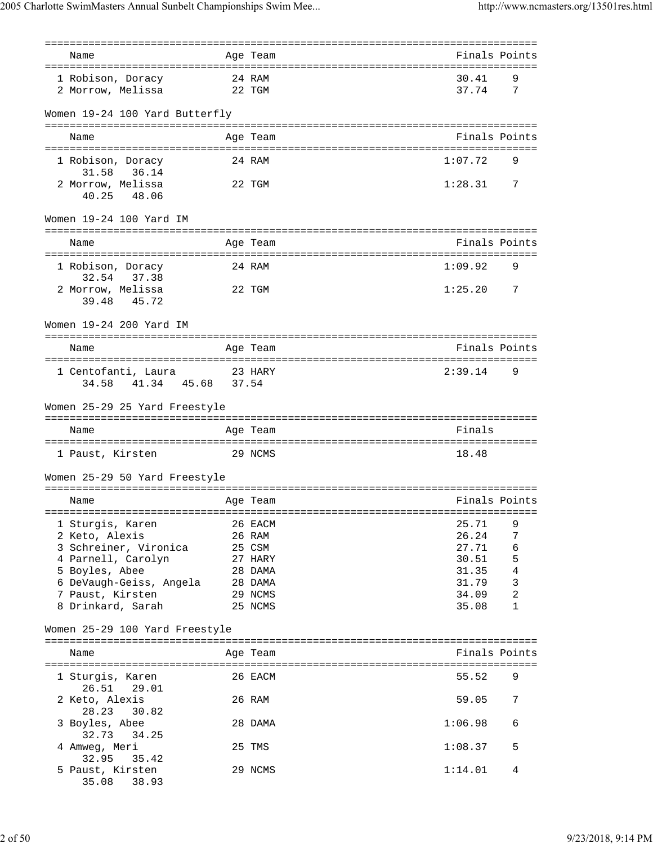| Name                                   |        | Age Team           | Finals Points  |                            |
|----------------------------------------|--------|--------------------|----------------|----------------------------|
|                                        |        |                    |                |                            |
| 1 Robison, Doracy<br>2 Morrow, Melissa | 22 TGM | 24 RAM             | 30.41<br>37.74 | 9<br>7                     |
|                                        |        |                    |                |                            |
| Women 19-24 100 Yard Butterfly         |        |                    |                |                            |
|                                        |        |                    |                |                            |
| Name                                   |        | Age Team           | Finals Points  |                            |
| 1 Robison, Doracy                      |        | 24 RAM             | 1:07.72        | 9                          |
| 31.58<br>36.14                         |        |                    |                |                            |
| 2 Morrow, Melissa                      |        | 22 TGM             | 1:28.31        | $\overline{7}$             |
| 40.25<br>48.06                         |        |                    |                |                            |
|                                        |        |                    |                |                            |
| Women 19-24 100 Yard IM                |        |                    |                |                            |
| Name                                   |        | Age Team           | Finals Points  |                            |
|                                        |        |                    |                |                            |
| 1 Robison, Doracy                      |        | 24 RAM             | 1:09.92        | 9                          |
| 32.54 37.38                            |        |                    |                |                            |
| 2 Morrow, Melissa<br>39.48<br>45.72    |        | 22 TGM             | 1:25.20        | 7                          |
|                                        |        |                    |                |                            |
| Women 19-24 200 Yard IM                |        |                    |                |                            |
|                                        |        |                    |                |                            |
| Name                                   |        | Age Team           | Finals Points  |                            |
| 1 Centofanti, Laura<br>23 HARY         |        |                    | 2:39.14        | 9                          |
| 41.34 45.68 37.54<br>34.58             |        |                    |                |                            |
|                                        |        |                    |                |                            |
|                                        |        |                    |                |                            |
| Women 25-29 25 Yard Freestyle          |        |                    |                |                            |
|                                        |        |                    |                |                            |
| Name                                   |        | Age Team           | Finals         |                            |
| 1 Paust, Kirsten                       |        | 29 NCMS            | 18.48          |                            |
|                                        |        |                    |                |                            |
| Women 25-29 50 Yard Freestyle          |        |                    |                |                            |
| Name                                   |        | Age Team           | Finals Points  |                            |
|                                        |        |                    |                |                            |
| 1 Sturgis, Karen                       |        | 26 EACM            | 25.71          | 9                          |
| 2 Keto, Alexis                         |        | 26 RAM             | 26.24          | $\sqrt{ }$                 |
| 3 Schreiner, Vironica                  |        | 25 CSM             | 27.71          | $\epsilon$                 |
| 4 Parnell, Carolyn                     |        | 27 HARY            | 30.51          | $\mathsf S$                |
| 5 Boyles, Abee                         |        | 28 DAMA            | 31.35          | 4                          |
| 6 DeVaugh-Geiss, Angela 28 DAMA        |        |                    | 31.79          | 3                          |
| 7 Paust, Kirsten                       |        | 29 NCMS<br>25 NCMS | 34.09<br>35.08 | $\sqrt{2}$<br>$\mathbf{1}$ |
| 8 Drinkard, Sarah                      |        |                    |                |                            |
| Women 25-29 100 Yard Freestyle         |        |                    |                |                            |
|                                        |        |                    |                |                            |
| Name                                   |        | Age Team           | Finals Points  |                            |
| 1 Sturgis, Karen                       |        | 26 EACM            | 55.52          | 9                          |
| 26.51<br>29.01                         |        |                    |                |                            |
| 2 Keto, Alexis                         |        | 26 RAM             | 59.05          | 7                          |
| 28.23<br>30.82                         |        |                    |                |                            |
| 3 Boyles, Abee                         |        | 28 DAMA            | 1:06.98        | 6                          |
| 32.73<br>34.25                         |        | 25 TMS             | 1:08.37        | 5                          |
| 4 Amweg, Meri<br>32.95<br>35.42        |        |                    |                |                            |
| 5 Paust, Kirsten<br>35.08<br>38.93     |        | 29 NCMS            | 1:14.01        | 4                          |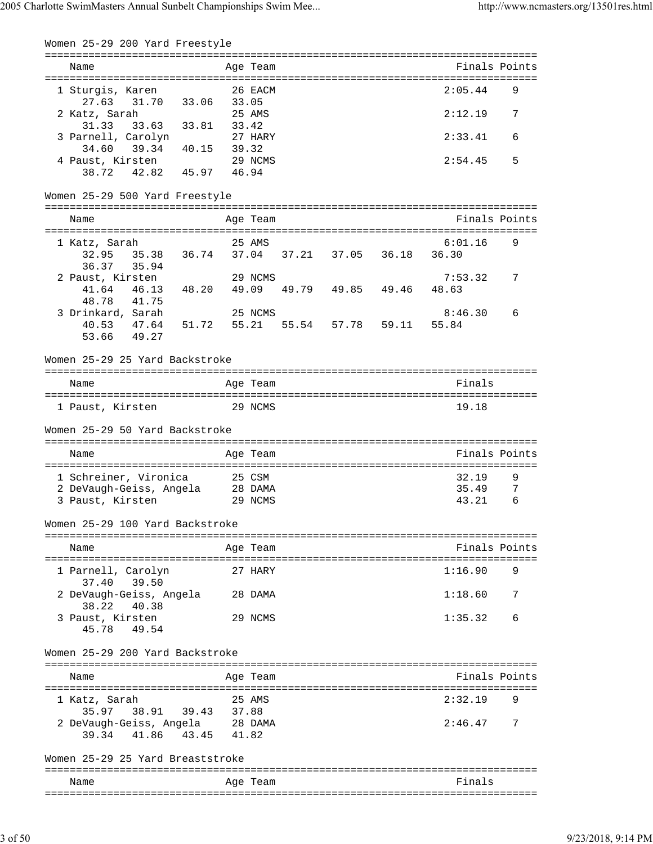| Women 25-29 200 Yard Freestyle         |         |       |          |       |                               |             |                                              |   |
|----------------------------------------|---------|-------|----------|-------|-------------------------------|-------------|----------------------------------------------|---|
| Name                                   |         |       | Age Team |       |                               |             | Finals Points                                |   |
|                                        |         |       |          |       |                               |             |                                              |   |
| 1 Sturgis, Karen<br>31.70<br>27.63     | 33.06   | 33.05 | 26 EACM  |       |                               |             | 2:05.44                                      | 9 |
| 2 Katz, Sarah                          |         |       | 25 AMS   |       |                               |             | 2:12.19                                      | 7 |
| 31.33<br>33.63 33.81                   |         | 33.42 |          |       |                               |             |                                              |   |
| 3 Parnell, Carolyn                     |         |       | 27 HARY  |       |                               |             | 2:33.41                                      | 6 |
| 39.34<br>34.60<br>4 Paust, Kirsten     | 40.15   | 39.32 | 29 NCMS  |       |                               |             | 2:54.45                                      | 5 |
| 42.82  45.97  46.94<br>38.72           |         |       |          |       |                               |             |                                              |   |
|                                        |         |       |          |       |                               |             |                                              |   |
| Women 25-29 500 Yard Freestyle         |         |       |          |       |                               |             |                                              |   |
|                                        |         |       |          |       |                               |             | ===========================<br>Finals Points |   |
| Name                                   |         |       | Age Team |       |                               |             |                                              |   |
| 1 Katz, Sarah                          |         |       | 25 AMS   |       |                               |             | 6:01.16                                      | 9 |
| 32.95 35.38                            |         |       |          |       | 36.74 37.04 37.21 37.05 36.18 |             | 36.30                                        |   |
| 36.37 35.94                            |         |       |          |       |                               |             |                                              |   |
| 2 Paust, Kirsten<br>46.13<br>41.64     | 48.20   | 49.09 | 29 NCMS  |       | 49.79 49.85 49.46             |             | 7:53.32<br>48.63                             | 7 |
| 48.78<br>41.75                         |         |       |          |       |                               |             |                                              |   |
| 3 Drinkard, Sarah                      |         |       | 25 NCMS  |       |                               |             | 8:46.30                                      | 6 |
| 40.53 47.64                            | 51.72   | 55.21 |          | 55.54 |                               | 57.78 59.11 | 55.84                                        |   |
| 53.66<br>49.27                         |         |       |          |       |                               |             |                                              |   |
| Women 25-29 25 Yard Backstroke         |         |       |          |       |                               |             |                                              |   |
|                                        |         |       |          |       |                               |             |                                              |   |
| Name                                   |         |       | Age Team |       |                               |             | Finals                                       |   |
| 1 Paust, Kirsten                       | 29 NCMS |       |          |       |                               |             | 19.18                                        |   |
| Women 25-29 50 Yard Backstroke         |         |       |          |       |                               |             |                                              |   |
|                                        |         |       |          |       |                               |             |                                              |   |
| Name                                   |         |       | Age Team |       |                               |             | Finals Points                                |   |
| 1 Schreiner, Vironica                  |         |       | 25 CSM   |       |                               |             | 32.19                                        | 9 |
| 2 DeVaugh-Geiss, Angela                |         |       | 28 DAMA  |       |                               |             | 35.49                                        | 7 |
| 3 Paust, Kirsten                       |         |       | 29 NCMS  |       |                               |             | 43.21                                        | 6 |
| Women 25-29 100 Yard Backstroke        |         |       |          |       |                               |             |                                              |   |
|                                        |         |       |          |       |                               |             |                                              |   |
| Name                                   |         |       | Age Team |       |                               |             | Finals Points                                |   |
| 1 Parnell, Carolyn<br>39.50<br>37.40   |         |       | 27 HARY  |       |                               |             | 1:16.90                                      | 9 |
| 2 DeVaugh-Geiss, Angela<br>38.22 40.38 |         |       | 28 DAMA  |       |                               |             | 1:18.60                                      | 7 |
| 3 Paust, Kirsten<br>45.78 49.54        |         |       | 29 NCMS  |       |                               |             | 1:35.32                                      | 6 |
| Women 25-29 200 Yard Backstroke        |         |       |          |       |                               |             |                                              |   |
|                                        |         |       |          |       |                               |             |                                              |   |
| Name                                   |         |       | Age Team |       |                               |             | Finals Points                                |   |
| 1 Katz, Sarah                          |         |       | 25 AMS   |       |                               |             | 2:32.19                                      | 9 |
| 38.91<br>35.97                         | 39.43   | 37.88 |          |       |                               |             |                                              |   |
| 2 DeVaugh-Geiss, Angela 28 DAMA        |         |       |          |       |                               |             | 2:46.47                                      | 7 |
| 39.34 41.86 43.45                      |         | 41.82 |          |       |                               |             |                                              |   |
| Women 25-29 25 Yard Breaststroke       |         |       |          |       |                               |             |                                              |   |
|                                        |         |       |          |       |                               |             | Finals                                       |   |
| Name                                   |         |       | Age Team |       |                               |             |                                              |   |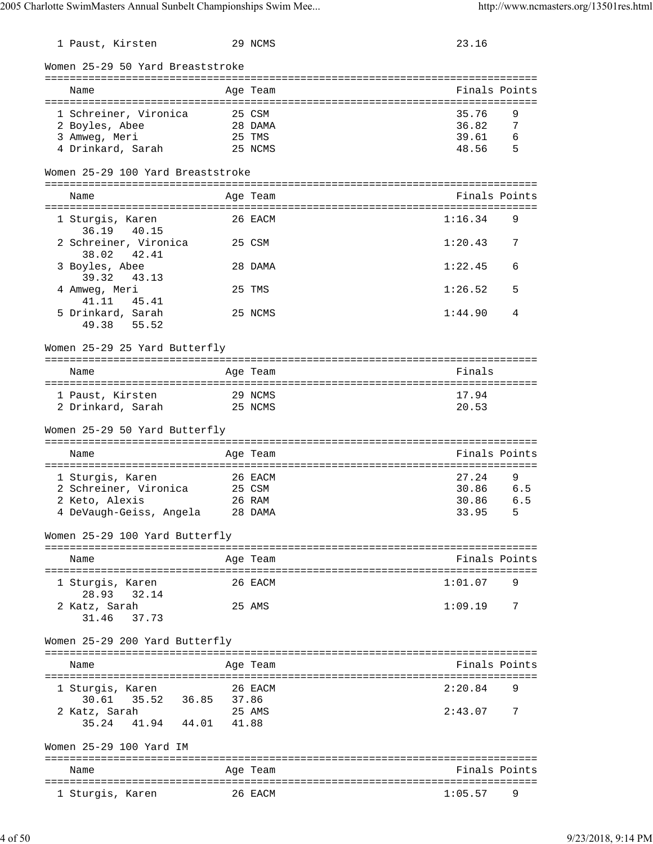| 1 Paust, Kirsten                         |        | 29 NCMS  | 23.16         |                |
|------------------------------------------|--------|----------|---------------|----------------|
| Women 25-29 50 Yard Breaststroke         |        |          |               |                |
| Name                                     |        | Age Team | Finals Points |                |
| 1 Schreiner, Vironica                    | 25 CSM |          | 35.76         | 9              |
| 2 Boyles, Abee                           |        | 28 DAMA  | 36.82         | 7              |
|                                          |        |          |               |                |
| 3 Amweg, Meri                            | 25 TMS |          | 39.61         | - 6            |
| 4 Drinkard, Sarah                        |        | 25 NCMS  | 48.56         | $\overline{5}$ |
| Women 25-29 100 Yard Breaststroke        |        |          |               |                |
| Name                                     |        | Age Team | Finals Points |                |
| 1 Sturgis, Karen                         |        | 26 EACM  | 1:16.34       | 9              |
| 36.19 40.15                              |        |          |               |                |
|                                          |        |          |               |                |
| 2 Schreiner, Vironica                    |        | 25 CSM   | 1:20.43       | 7              |
| 38.02 42.41                              |        |          |               |                |
| 3 Boyles, Abee                           |        | 28 DAMA  | 1:22.45       | 6              |
| 39.32<br>43.13                           |        |          |               |                |
| 4 Amweg, Meri                            |        | 25 TMS   | 1:26.52       | 5              |
| 41.11 45.41                              |        |          |               |                |
| 5 Drinkard, Sarah                        |        | 25 NCMS  | 1:44.90       | 4              |
| 49.38 55.52                              |        |          |               |                |
| Women 25-29 25 Yard Butterfly            |        |          |               |                |
|                                          |        |          |               |                |
| Name                                     |        | Age Team | Finals        |                |
|                                          |        |          |               |                |
| 29 NCMS<br>1 Paust, Kirsten              |        |          | 17.94         |                |
|                                          |        |          |               |                |
| 2 Drinkard, Sarah 25 NCMS                |        |          | 20.53         |                |
| Women 25-29 50 Yard Butterfly            |        |          |               |                |
| Name                                     |        | Age Team | Finals Points |                |
|                                          |        |          |               |                |
| 1 Sturgis, Karen                         |        | 26 EACM  | 27.24         | 9              |
| 2 Schreiner, Vironica 25 CSM             |        |          |               |                |
|                                          |        |          | 30.86 6.5     |                |
| 2 Keto, Alexis                           |        | 26 RAM   | 30.86         | 6.5            |
| 4 DeVaugh-Geiss, Angela 28 DAMA          |        |          | 33.95         | 5 <sup>5</sup> |
| Women 25-29 100 Yard Butterfly           |        |          |               |                |
|                                          |        |          |               |                |
| Name                                     |        | Age Team | Finals Points |                |
|                                          |        |          |               |                |
| 1 Sturgis, Karen                         |        | 26 EACM  | 1:01.07       | 9              |
| 28.93 32.14                              |        |          |               |                |
| 2 Katz, Sarah                            |        | 25 AMS   | 1:09.19       | 7              |
| 31.46<br>37.73                           |        |          |               |                |
|                                          |        |          |               |                |
| Women 25-29 200 Yard Butterfly           |        |          |               |                |
|                                          |        |          | Finals Points |                |
| Name                                     |        | Age Team |               |                |
|                                          |        |          |               |                |
| 1 Sturgis, Karen                         |        | 26 EACM  | 2:20.84       | 9              |
| 30.61  35.52  36.85  37.86               |        |          |               |                |
| 2 Katz, Sarah                            |        | 25 AMS   | 2:43.07       | $\overline{7}$ |
| 41.94 44.01 41.88<br>35.24               |        |          |               |                |
|                                          |        |          |               |                |
| Women 25-29 100 Yard IM                  |        |          |               |                |
|                                          |        |          |               |                |
|                                          |        |          |               |                |
| Name<br>================================ |        | Age Team | Finals Points |                |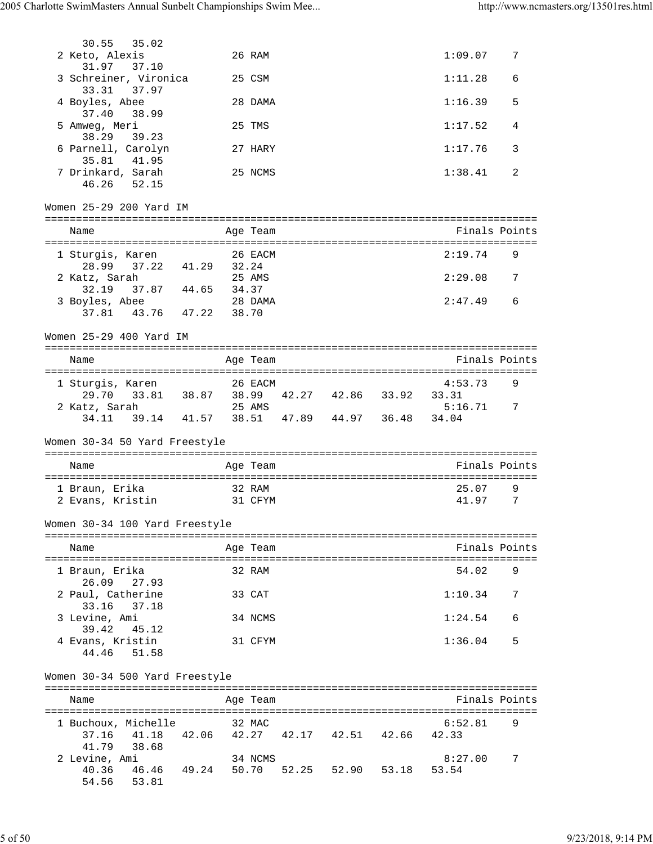| 30.55<br>35.02                                                               |       |          |                               |                    |        |
|------------------------------------------------------------------------------|-------|----------|-------------------------------|--------------------|--------|
| 2 Keto, Alexis<br>31.97<br>37.10                                             |       | 26 RAM   |                               | 1:09.07            | 7      |
| 3 Schreiner, Vironica<br>33.31 37.97                                         |       | 25 CSM   |                               | 1:11.28            | 6      |
| 4 Boyles, Abee                                                               |       | 28 DAMA  |                               | 1:16.39            | 5      |
| 37.40<br>38.99<br>5 Amweg, Meri                                              |       | 25 TMS   |                               | 1:17.52            | 4      |
| 38.29<br>39.23<br>6 Parnell, Carolyn                                         |       | 27 HARY  |                               | 1:17.76            | 3      |
| 35.81 41.95<br>7 Drinkard, Sarah<br>46.26<br>52.15                           |       | 25 NCMS  |                               | 1:38.41            | 2      |
| Women 25-29 200 Yard IM                                                      |       |          |                               |                    |        |
| Name                                                                         |       | Age Team |                               | Finals Points      |        |
|                                                                              |       |          |                               |                    |        |
| 1 Sturgis, Karen<br>28.99 37.22<br>41.29 32.24                               |       | 26 EACM  |                               | 2:19.74<br>2:29.08 | 9<br>7 |
| 2 Katz, Sarah<br>32.19 37.87 44.65                                           | 34.37 | 25 AMS   |                               |                    |        |
| 3 Boyles, Abee<br>37.81 43.76 47.22                                          | 38.70 | 28 DAMA  |                               | 2:47.49            | 6      |
| Women 25-29 400 Yard IM                                                      |       |          |                               |                    |        |
| Name                                                                         |       | Age Team |                               | Finals Points      |        |
| 1 Sturgis, Karen                                                             |       | 26 EACM  |                               | 4:53.73            | 9      |
| 29.70 33.81 38.87 38.99 42.27 42.86 33.92<br>2 Katz, Sarah                   |       | 25 AMS   |                               | 33.31<br>5:16.71   | 7      |
| 34.11 39.14 41.57 38.51 47.89 44.97 36.48                                    |       |          |                               | 34.04              |        |
| Women 30-34 50 Yard Freestyle                                                |       |          |                               |                    |        |
| Name                                                                         |       | Age Team |                               | Finals Points      |        |
| 1 Braun, Erika                                                               |       | 32 RAM   |                               | 25.07              | 9      |
| 2 Evans, Kristin                                                             |       | 31 CFYM  |                               | 41.97              | 7      |
| Women 30-34 100 Yard Freestyle                                               |       |          |                               |                    |        |
| Name                                                                         |       | Age Team |                               | Finals Points      |        |
| 1 Braun, Erika                                                               |       | 32 RAM   |                               | 54.02              | 9      |
| 26.09<br>27.93<br>2 Paul, Catherine                                          |       | 33 CAT   |                               | 1:10.34            | 7      |
| 33.16<br>37.18<br>3 Levine, Ami                                              |       | 34 NCMS  |                               | 1:24.54            | 6      |
| 39.42<br>45.12<br>4 Evans, Kristin                                           |       | 31 CFYM  |                               | 1:36.04            | 5      |
| 51.58<br>44.46                                                               |       |          |                               |                    |        |
| Women 30-34 500 Yard Freestyle                                               |       |          |                               |                    |        |
| Name                                                                         |       | Age Team |                               | Finals Points      |        |
| 1 Buchoux, Michelle<br>37.16 41.18                                           |       | 32 MAC   | 42.06 42.27 42.17 42.51 42.66 | 6:52.81<br>42.33   | 9      |
| 41.79<br>38.68<br>2 Levine, Ami<br>40.36 46.46 49.24 50.70<br>54.56<br>53.81 |       | 34 NCMS  | 52.25 52.90 53.18             | 8:27.00<br>53.54   | 7      |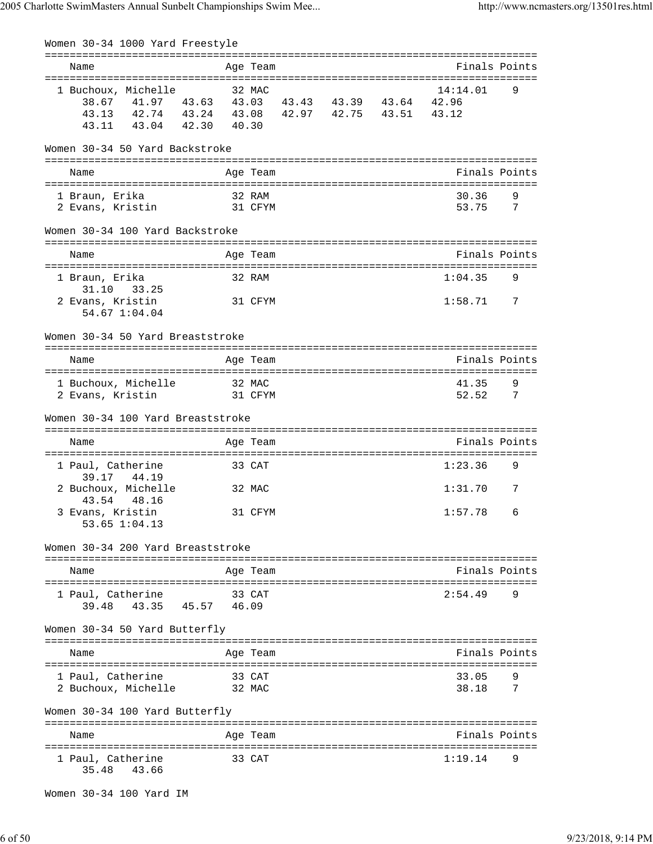|                |                                                  | Women 30-34 1000 Yard Freestyle                                                                                                                      |        |                   |  |                  |          |
|----------------|--------------------------------------------------|------------------------------------------------------------------------------------------------------------------------------------------------------|--------|-------------------|--|------------------|----------|
| Name           |                                                  |                                                                                                                                                      |        | Age Team          |  | Finals Points    |          |
|                |                                                  | 1 Buchoux, Michelle<br>38.67 41.97 43.63 43.03 43.43 43.39 43.64 42.96<br>43.13 42.74 43.24 43.08 42.97 42.75 43.51 43.12<br>43.11 43.04 42.30 40.30 |        | 32 MAC            |  | 14:14.01         | 9        |
|                |                                                  | Women 30-34 50 Yard Backstroke                                                                                                                       |        |                   |  |                  |          |
| Name           |                                                  |                                                                                                                                                      |        | Age Team          |  | Finals Points    |          |
| 1 Braun, Erika | 2 Evans, Kristin                                 | 31 CFYM                                                                                                                                              | 32 RAM |                   |  | 30.36<br>53.75 7 | 9        |
|                |                                                  | Women 30-34 100 Yard Backstroke                                                                                                                      |        |                   |  |                  |          |
| Name           |                                                  |                                                                                                                                                      |        | Age Team          |  | Finals Points    |          |
| 1 Braun, Erika |                                                  |                                                                                                                                                      |        | 32 RAM            |  | 1:04.35          | 9        |
|                | 31.10 33.25<br>2 Evans, Kristin<br>54.67 1:04.04 |                                                                                                                                                      |        | 31 CFYM           |  | $1:58.71$ 7      |          |
|                |                                                  | Women 30-34 50 Yard Breaststroke                                                                                                                     |        |                   |  |                  |          |
| Name           |                                                  |                                                                                                                                                      |        | Age Team          |  | Finals Points    |          |
|                | 1 Buchoux, Michelle<br>2 Evans, Kristin          |                                                                                                                                                      |        | 32 MAC<br>31 CFYM |  | 41.35<br>52.52   | 9<br>- 7 |
|                |                                                  | Women 30-34 100 Yard Breaststroke                                                                                                                    |        |                   |  |                  |          |
| Name           |                                                  |                                                                                                                                                      |        | Age Team          |  | Finals Points    |          |
|                | 1 Paul, Catherine<br>39.17 44.19                 |                                                                                                                                                      |        | 33 CAT            |  | 1:23.36          | 9        |
|                | 2 Buchoux, Michelle<br>43.54 48.16               |                                                                                                                                                      |        | 32 MAC            |  | 1:31.70          | 7        |
|                | 3 Evans, Kristin<br>53.65 1:04.13                |                                                                                                                                                      |        | 31 CFYM           |  | $1:57.78$ 6      |          |
|                |                                                  | Women 30-34 200 Yard Breaststroke                                                                                                                    |        |                   |  |                  |          |
| Name           |                                                  |                                                                                                                                                      |        | Age Team          |  | Finals Points    |          |
|                | 1 Paul, Catherine                                | 39.48 43.35 45.57 46.09                                                                                                                              |        | 33 CAT            |  | 2:54.49          | 9        |
|                |                                                  | Women 30-34 50 Yard Butterfly                                                                                                                        |        |                   |  |                  |          |
| Name           |                                                  |                                                                                                                                                      |        | Age Team          |  | Finals Points    |          |
|                | 1 Paul, Catherine<br>2 Buchoux, Michelle         | 32 MAC                                                                                                                                               |        | 33 CAT            |  | 33.05<br>38.18   | 9<br>7   |
|                |                                                  | Women 30-34 100 Yard Butterfly                                                                                                                       |        |                   |  |                  |          |
| Name           |                                                  |                                                                                                                                                      |        | Age Team          |  | Finals Points    |          |
| 35.48          | 1 Paul, Catherine<br>43.66                       |                                                                                                                                                      |        | 33 CAT            |  | 1:19.14          | 9        |

Women 30-34 100 Yard IM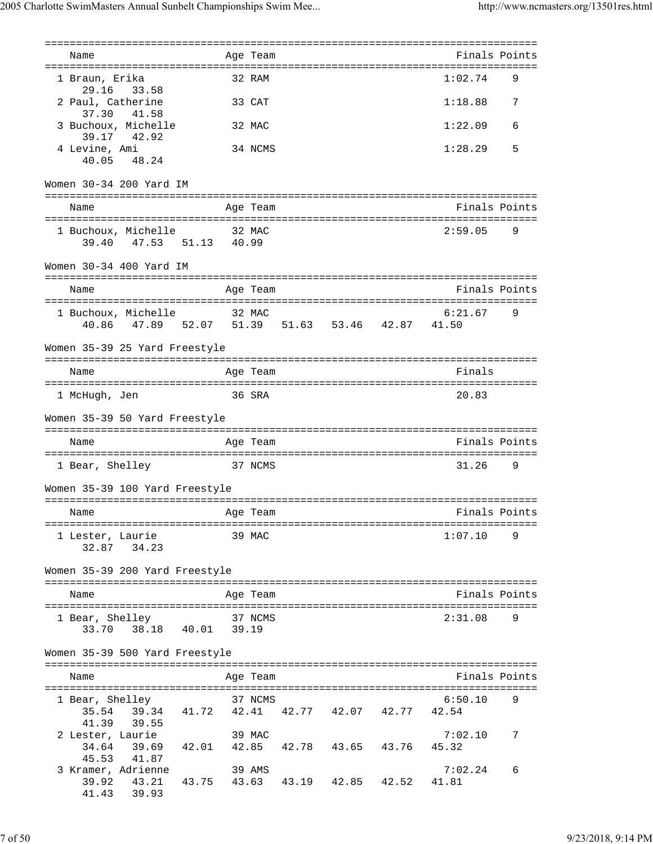| Name                                                                                                                   | Age Team |  | Finals Points    |   |
|------------------------------------------------------------------------------------------------------------------------|----------|--|------------------|---|
|                                                                                                                        |          |  |                  |   |
| 1 Braun, Erika<br>29.16 33.58                                                                                          | 32 RAM   |  | 1:02.74          | 9 |
| 2 Paul, Catherine<br>37.30<br>41.58                                                                                    | 33 CAT   |  | 1:18.88          | 7 |
| 3 Buchoux, Michelle<br>39.17 42.92                                                                                     | 32 MAC   |  | 1:22.09          | 6 |
| 4 Levine, Ami<br>40.05 48.24                                                                                           | 34 NCMS  |  | 1:28.29          | 5 |
| Women 30-34 200 Yard IM                                                                                                |          |  |                  |   |
| Name                                                                                                                   | Age Team |  | Finals Points    |   |
| 1 Buchoux, Michelle 32 MAC<br>47.53 51.13 40.99<br>39.40                                                               |          |  | 2:59.05          | 9 |
| Women 30-34 400 Yard IM                                                                                                |          |  |                  |   |
| Name                                                                                                                   | Age Team |  | Finals Points    |   |
| 1 Buchoux, Michelle 32 MAC                                                                                             |          |  | 6:21.67          | 9 |
| 40.86  47.89  52.07  51.39  51.63  53.46  42.87  41.50                                                                 |          |  |                  |   |
| Women 35-39 25 Yard Freestyle                                                                                          |          |  |                  |   |
| Name                                                                                                                   | Age Team |  | Finals           |   |
| 1 McHugh, Jen                                                                                                          | 36 SRA   |  | 20.83            |   |
| Women 35-39 50 Yard Freestyle                                                                                          |          |  |                  |   |
| Name                                                                                                                   | Age Team |  | Finals Points    |   |
| 1 Bear, Shelley<br>37 NCMS                                                                                             |          |  | 31.26            | 9 |
| Women 35-39 100 Yard Freestyle                                                                                         |          |  |                  |   |
| Age Team and the set of the set of the set of the set of the set of the set of the set of the set of the set o<br>Name |          |  |                  |   |
| 1 Lester, Laurie<br>32.87 34.23                                                                                        | 39 MAC   |  | 1:07.10          | 9 |
| Women 35-39 200 Yard Freestyle                                                                                         |          |  |                  |   |
|                                                                                                                        |          |  |                  |   |
| Name                                                                                                                   | Age Team |  | Finals Points    |   |
| 1 Bear, Shelley 37 NCMS<br>33.70 38.18 40.01 39.19                                                                     |          |  | 2:31.08          | 9 |
| Women 35-39 500 Yard Freestyle                                                                                         |          |  |                  |   |
| Name                                                                                                                   | Age Team |  | Finals Points    |   |
| 1 Bear, Shelley<br>35.54 39.34 41.72 42.41 42.77 42.07 42.77 42.54                                                     | 37 NCMS  |  | 6:50.10          | 9 |
| 41.39 39.55<br>2 Lester, Laurie<br>34.64 39.69 42.01 42.85 42.78 43.65 43.76                                           | 39 MAC   |  | 7:02.10<br>45.32 | 7 |
| 45.53 41.87<br>3 Kramer, Adrienne<br>39.92 43.21 43.75 43.63 43.19 42.85 42.52 41.81<br>41.43 39.93                    | 39 AMS   |  | 7:02.24          | 6 |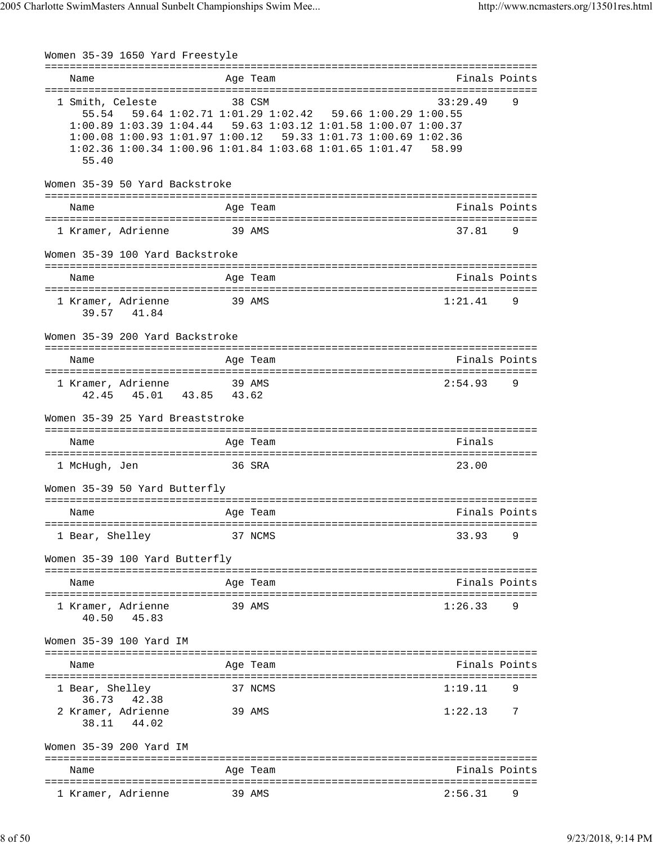Women 35-39 1650 Yard Freestyle =============================================================================== Name Age Team Finals Points =============================================================================== 1 Smith, Celeste 38 CSM 33:29.49 9 55.54 59.64 1:02.71 1:01.29 1:02.42 59.66 1:00.29 1:00.55 1:00.89 1:03.39 1:04.44 59.63 1:03.12 1:01.58 1:00.07 1:00.37 1:00.08 1:00.93 1:01.97 1:00.12 59.33 1:01.73 1:00.69 1:02.36 1:02.36 1:00.34 1:00.96 1:01.84 1:03.68 1:01.65 1:01.47 58.99 55.40 Women 35-39 50 Yard Backstroke =============================================================================== Name **Age Team** Age Team Finals Points =============================================================================== 1 Kramer, Adrienne 39 AMS 37.81 9 Women 35-39 100 Yard Backstroke =============================================================================== Name Age Team Finals Points =============================================================================== 1 Kramer, Adrienne 39 AMS 1:21.41 9 39.57 41.84 Women 35-39 200 Yard Backstroke =============================================================================== Name Age Team Finals Points =============================================================================== 1 Kramer, Adrienne 39 AMS 2:54.93 9 42.45 45.01 43.85 43.62 Women 35-39 25 Yard Breaststroke =============================================================================== Name **Age Team** Age Team Finals =============================================================================== 1 McHugh, Jen 36 SRA 23.00 Women 35-39 50 Yard Butterfly =============================================================================== Name Age Team Finals Points =============================================================================== 1 Bear, Shelley 37 NCMS 33.93 9 Women 35-39 100 Yard Butterfly =============================================================================== Name **Age Team Age Team** Rinals Points =============================================================================== 1 Kramer, Adrienne 39 AMS 1:26.33 9 40.50 45.83 Women 35-39 100 Yard IM =============================================================================== Name Age Team Age Team Finals Points =============================================================================== 1 Bear, Shelley 37 NCMS 1:19.11 9 36.73 42.38 2 Kramer, Adrienne 39 AMS 1:22.13 7 38.11 44.02 Women 35-39 200 Yard IM =============================================================================== Name **Age Team** Age Team Finals Points =============================================================================== 1 Kramer, Adrienne 39 AMS 2:56.31 9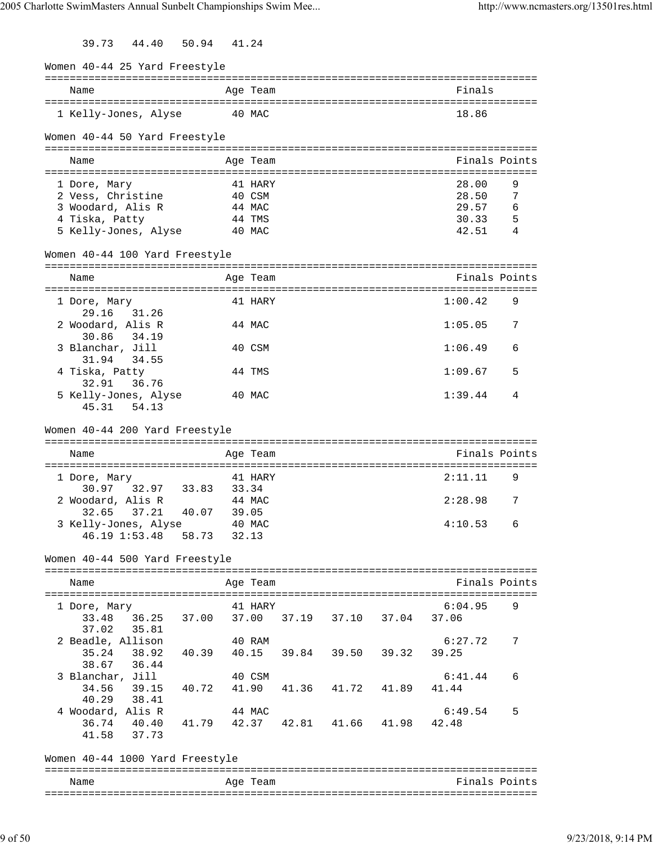39.73 44.40 50.94 41.24

| Women 40-44 25 Yard Freestyle                         |                                   |          |                         |               |   |
|-------------------------------------------------------|-----------------------------------|----------|-------------------------|---------------|---|
| Name                                                  |                                   | Age Team |                         | Finals        |   |
| 1 Kelly-Jones, Alyse                                  | 40 MAC                            |          |                         | 18.86         |   |
| Women 40-44 50 Yard Freestyle                         |                                   |          |                         |               |   |
| Name                                                  |                                   | Age Team |                         | Finals Points |   |
|                                                       |                                   |          |                         |               |   |
| 1 Dore, Mary                                          |                                   | 41 HARY  |                         | 28.00         | 9 |
| 2 Vess, Christine                                     |                                   | 40 CSM   |                         | 28.50         | 7 |
| 3 Woodard, Alis R                                     |                                   | 44 MAC   |                         | 29.57         | 6 |
| 4 Tiska, Patty                                        |                                   | 44 TMS   |                         | 30.33         | 5 |
| 5 Kelly-Jones, Alyse                                  |                                   | 40 MAC   |                         | 42.51         | 4 |
| Women 40-44 100 Yard Freestyle                        |                                   |          |                         |               |   |
| Name                                                  |                                   | Age Team |                         | Finals Points |   |
|                                                       |                                   |          |                         |               |   |
| 1 Dore, Mary                                          |                                   | 41 HARY  |                         | 1:00.42       | 9 |
| 29.16<br>31.26                                        |                                   |          |                         |               |   |
| 2 Woodard, Alis R                                     |                                   | 44 MAC   |                         | 1:05.05       | 7 |
| 30.86 34.19                                           |                                   |          |                         |               |   |
| 3 Blanchar, Jill<br>31.94<br>34.55                    |                                   | 40 CSM   |                         | 1:06.49       | 6 |
| 4 Tiska, Patty                                        |                                   | 44 TMS   |                         | 1:09.67       | 5 |
| 36.76<br>32.91<br>5 Kelly-Jones, Alyse<br>45.31 54.13 |                                   | 40 MAC   |                         | 1:39.44       | 4 |
| Women 40-44 200 Yard Freestyle<br>Name                |                                   | Age Team |                         | Finals Points |   |
|                                                       |                                   | 41 HARY  |                         | 2:11.11       | 9 |
| 1 Dore, Mary<br>30.97 32.97 33.83                     |                                   | 33.34    |                         |               |   |
| 2 Woodard, Alis R                                     |                                   | 44 MAC   |                         | 2:28.98       | 7 |
| 32.65<br>37.21                                        | 40.07 39.05                       |          |                         |               |   |
| 3 Kelly-Jones, Alyse                                  |                                   | 40 MAC   |                         | 4:10.53       | 6 |
| 46.19 1:53.48 58.73                                   |                                   | 32.13    |                         |               |   |
| Women 40-44 500 Yard Freestyle                        |                                   |          |                         |               |   |
|                                                       |                                   |          |                         |               |   |
| Name                                                  |                                   | Age Team |                         | Finals Points |   |
|                                                       |                                   |          |                         |               |   |
| 1 Dore, Mary<br>33.48 36.25 37.00                     |                                   | 41 HARY  |                         | 6:04.95       | 9 |
| 35.81<br>37.02                                        |                                   |          | 37.00 37.19 37.10 37.04 | 37.06         |   |
| 2 Beadle, Allison                                     |                                   |          |                         | 6:27.72       | 7 |
|                                                       |                                   | 40 RAM   |                         |               |   |
| 35.24 38.92<br>38.67 36.44                            | 40.39  40.15  39.84  39.50  39.32 |          |                         | 39.25         |   |
| 3 Blanchar, Jill                                      |                                   | 40 CSM   |                         | 6:41.44       | 6 |
|                                                       |                                   |          |                         |               |   |
| 34.56 39.15<br>40.29 38.41                            | 40.72                             |          | 41.90 41.36 41.72 41.89 | 41.44         |   |
|                                                       |                                   |          |                         |               |   |
| 4 Woodard, Alis R                                     |                                   | 44 MAC   |                         | 6:49.54       | 5 |
| 36.74 40.40<br>41.58 37.73                            |                                   |          |                         | 42.48         |   |
| Women 40-44 1000 Yard Freestyle                       |                                   |          |                         |               |   |
|                                                       |                                   |          |                         |               |   |
| Name                                                  |                                   | Age Team |                         | Finals Points |   |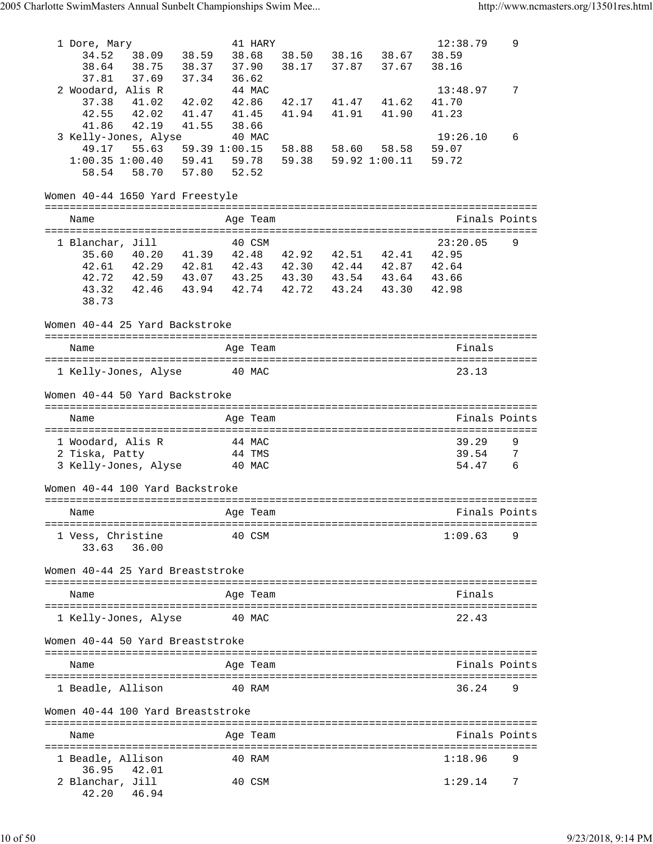| 1 Dore, Mary<br>34.52<br>38.09<br>38.59<br>38.64 38.75<br>38.37                                                                                                                       | 41 HARY<br>38.68<br>37.90                                         | 38.50 38.16 38.67<br>38.17 37.87 37.67   | 12:38.79<br>38.59<br>38.16 | 9             |
|---------------------------------------------------------------------------------------------------------------------------------------------------------------------------------------|-------------------------------------------------------------------|------------------------------------------|----------------------------|---------------|
| 37.81 37.69<br>37.34<br>2 Woodard, Alis R<br>37.38 41.02<br>42.02<br>42.55 42.02<br>41.47<br>41.86<br>42.19<br>41.55                                                                  | 36.62<br>44 MAC<br>42.86<br>41.94<br>41.45<br>38.66               | 42.17 41.47 41.62<br>41.91<br>41.90      | 13:48.97<br>41.70<br>41.23 | 7             |
| 3 Kelly-Jones, Alyse<br>49.17 55.63 59.39 1:00.15<br>$1:00.35$ $1:00.40$ 59.41 59.78<br>58.54 58.70                                                                                   | 40 MAC<br>57.80 52.52                                             | 58.88 58.60 58.58<br>59.38 59.92 1:00.11 | 19:26.10<br>59.07<br>59.72 | 6             |
| Women 40-44 1650 Yard Freestyle                                                                                                                                                       |                                                                   |                                          |                            |               |
| Name                                                                                                                                                                                  | Age Team                                                          |                                          | Finals Points              |               |
| 1 Blanchar, Jill<br>35.60<br>42.61 42.29 42.81 42.43 42.30 42.44 42.87 42.64<br>42.72 42.59 43.07 43.25 43.30 43.54 43.64 43.66<br>43.32 42.46 43.94 42.74 42.72 43.24 43.30<br>38.73 | 40 CSM<br>$40.20$ $41.39$ $42.48$ $42.92$ $42.51$ $42.41$ $42.95$ |                                          | 23:20.05<br>42.98          | 9             |
| Women 40-44 25 Yard Backstroke                                                                                                                                                        |                                                                   |                                          |                            |               |
| Name                                                                                                                                                                                  | Age Team                                                          |                                          | Finals                     |               |
| 1 Kelly-Jones, Alyse                                                                                                                                                                  | 40 MAC                                                            |                                          | 23.13                      |               |
| Women 40-44 50 Yard Backstroke                                                                                                                                                        |                                                                   |                                          |                            |               |
| Name                                                                                                                                                                                  | Age Team                                                          |                                          | Finals Points              |               |
| 1 Woodard, Alis R<br>2 Tiska, Patty<br>3 Kelly-Jones, Alyse                                                                                                                           | 44 MAC<br>44 TMS<br>40 MAC                                        |                                          | 39.29<br>39.54<br>54.47    | 9<br>7<br>- 6 |
| Women 40-44 100 Yard Backstroke                                                                                                                                                       |                                                                   |                                          |                            |               |
| Name                                                                                                                                                                                  | Age Team                                                          |                                          | Finals Points              |               |
| 1 Vess, Christine<br>33.63 36.00                                                                                                                                                      | 40 CSM                                                            |                                          | 1:09.63                    | 9             |
| Women 40-44 25 Yard Breaststroke                                                                                                                                                      |                                                                   |                                          |                            |               |
| Name                                                                                                                                                                                  | Age Team                                                          |                                          | Finals                     |               |
| 1 Kelly-Jones, Alyse                                                                                                                                                                  | 40 MAC                                                            |                                          | 22.43                      |               |
| Women 40-44 50 Yard Breaststroke                                                                                                                                                      |                                                                   |                                          |                            |               |
| Name                                                                                                                                                                                  | Age Team                                                          |                                          | Finals Points              |               |
| 1 Beadle, Allison                                                                                                                                                                     | 40 RAM                                                            |                                          | 36.24                      | 9             |
| Women 40-44 100 Yard Breaststroke                                                                                                                                                     |                                                                   |                                          |                            |               |
| Name                                                                                                                                                                                  | Age Team                                                          |                                          | Finals Points              |               |
| 1 Beadle, Allison                                                                                                                                                                     | 40 RAM                                                            |                                          | 1:18.96                    | 9             |
| 36.95<br>42.01<br>2 Blanchar, Jill<br>42.20 46.94                                                                                                                                     | 40 CSM                                                            |                                          | 1:29.14                    | 7             |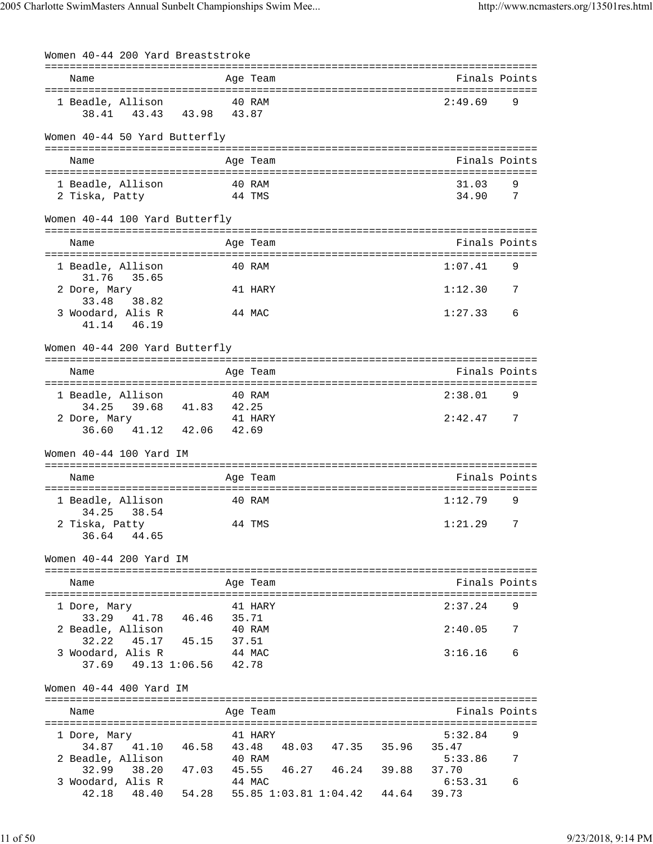| Women 40-44 200 Yard Breaststroke |                                         |       |          |                         |                                      |   |
|-----------------------------------|-----------------------------------------|-------|----------|-------------------------|--------------------------------------|---|
| Name                              |                                         |       | Age Team |                         | Finals Points                        |   |
|                                   |                                         |       |          |                         |                                      |   |
| 1 Beadle, Allison                 |                                         |       | 40 RAM   |                         | 2:49.69                              | 9 |
|                                   | 38.41 43.43 43.98 43.87                 |       |          |                         |                                      |   |
|                                   |                                         |       |          |                         |                                      |   |
| Women 40-44 50 Yard Butterfly     |                                         |       |          |                         |                                      |   |
| Name                              |                                         |       | Age Team |                         | Finals Points                        |   |
|                                   |                                         |       |          |                         |                                      |   |
| 1 Beadle, Allison                 |                                         |       | 40 RAM   |                         | 31.03                                | 9 |
| 2 Tiska, Patty                    |                                         |       | 44 TMS   |                         | 34.90                                | 7 |
| Women 40-44 100 Yard Butterfly    |                                         |       |          |                         |                                      |   |
|                                   |                                         |       |          |                         |                                      |   |
| Name                              |                                         |       | Age Team |                         | Finals Points                        |   |
| 1 Beadle, Allison                 |                                         |       | 40 RAM   |                         | 1:07.41                              | 9 |
| 31.76 35.65                       |                                         |       |          |                         |                                      |   |
| 2 Dore, Mary                      |                                         |       | 41 HARY  |                         | 1:12.30                              | 7 |
| 33.48 38.82                       |                                         |       |          |                         |                                      |   |
| 3 Woodard, Alis R                 |                                         |       | 44 MAC   |                         | 1:27.33                              | 6 |
| 41.14 46.19                       |                                         |       |          |                         |                                      |   |
| Women 40-44 200 Yard Butterfly    |                                         |       |          |                         |                                      |   |
|                                   |                                         |       |          |                         | =================================    |   |
| Name                              |                                         |       | Age Team |                         | Finals Points                        |   |
|                                   |                                         |       |          |                         | ==================================== |   |
| 1 Beadle, Allison                 | 34.25 39.68 41.83 42.25                 |       | 40 RAM   |                         | 2:38.01                              | 9 |
| 2 Dore, Mary                      |                                         |       | 41 HARY  |                         | $2:42.477$ 7                         |   |
|                                   | 36.60 41.12 42.06 42.69                 |       |          |                         |                                      |   |
|                                   |                                         |       |          |                         |                                      |   |
| Women 40-44 100 Yard IM           |                                         |       |          |                         |                                      |   |
| Name                              |                                         |       | Age Team |                         | Finals Points                        |   |
|                                   |                                         |       |          |                         |                                      |   |
| 1 Beadle, Allison                 |                                         |       | 40 RAM   |                         | 1:12.79                              | 9 |
| 34.25 38.54                       |                                         |       |          |                         |                                      |   |
| 2 Tiska, Patty                    |                                         |       | 44 TMS   |                         | 1:21.29                              | 7 |
| 36.64 44.65                       |                                         |       |          |                         |                                      |   |
| Women 40-44 200 Yard IM           |                                         |       |          |                         |                                      |   |
|                                   |                                         |       |          |                         |                                      |   |
| Name                              |                                         |       | Age Team |                         | Finals Points                        |   |
|                                   |                                         |       |          |                         |                                      |   |
| 1 Dore, Mary<br>33.29 41.78       | 46.46                                   | 35.71 | 41 HARY  |                         | 2:37.24                              | 9 |
| 2 Beadle, Allison                 |                                         |       | 40 RAM   |                         | 2:40.05                              | 7 |
| 32.22                             | 45.17 45.15                             | 37.51 |          |                         |                                      |   |
| 3 Woodard, Alis R                 |                                         |       | 44 MAC   |                         | 3:16.16                              | 6 |
|                                   | 37.69 49.13 1:06.56 42.78               |       |          |                         |                                      |   |
| Women 40-44 400 Yard IM           |                                         |       |          |                         |                                      |   |
|                                   |                                         |       |          |                         |                                      |   |
| Name                              |                                         |       | Age Team |                         | Finals Points                        |   |
| 1 Dore, Mary                      |                                         |       | 41 HARY  |                         | 5:32.84                              | 9 |
| 34.87 41.10                       | 46.58                                   | 43.48 |          | 48.03 47.35 35.96       | 35.47                                |   |
| 2 Beadle, Allison                 |                                         |       | 40 RAM   |                         | 5:33.86                              |   |
| 32.99 38.20                       | 47.03                                   |       |          | 45.55 46.27 46.24 39.88 | 37.70                                |   |
| 3 Woodard, Alis R                 |                                         |       | 44 MAC   |                         | 6:53.31                              | 6 |
| 42.18                             | 48.40 54.28 55.85 1:03.81 1:04.42 44.64 |       |          |                         | 39.73                                |   |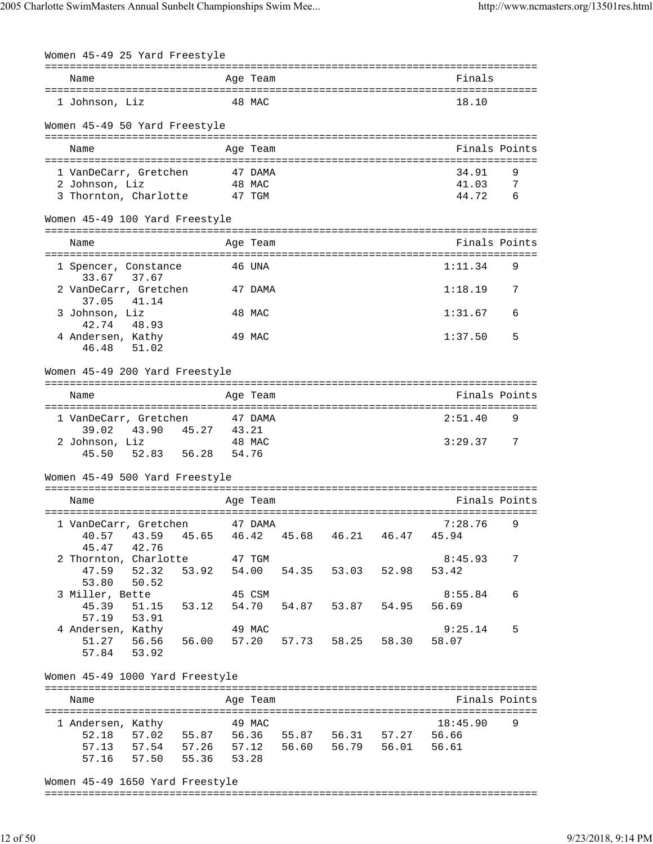| Women 45-49 25 Yard Freestyle       |                         |        |          |                                                       |       |                                                        |                |
|-------------------------------------|-------------------------|--------|----------|-------------------------------------------------------|-------|--------------------------------------------------------|----------------|
|                                     |                         |        | Age Team |                                                       |       |                                                        |                |
| Name                                |                         |        |          |                                                       |       | Finals                                                 |                |
| 1 Johnson, Liz                      |                         |        | 48 MAC   |                                                       |       | 18.10                                                  |                |
| Women 45-49 50 Yard Freestyle       |                         |        |          |                                                       |       |                                                        |                |
| Name                                |                         |        | Age Team |                                                       |       | Finals Points                                          |                |
|                                     |                         |        |          |                                                       |       |                                                        |                |
| 1 VanDeCarr, Gretchen               |                         |        | 47 DAMA  |                                                       |       | 34.91                                                  | 9              |
| 2 Johnson, Liz                      |                         |        | 48 MAC   |                                                       |       | 41.03                                                  | $\overline{7}$ |
| 3 Thornton, Charlotte 47 TGM        |                         |        |          |                                                       |       | 44.72                                                  | 6              |
| Women 45-49 100 Yard Freestyle      |                         |        |          |                                                       |       | ============================                           |                |
| Name                                |                         |        | Age Team |                                                       |       | Finals Points<br>===================================== |                |
| 1 Spencer, Constance<br>33.67 37.67 |                         |        | 46 UNA   |                                                       |       | 1:11.34                                                | 9              |
| 2 VanDeCarr, Gretchen<br>37.05      | 41.14                   |        | 47 DAMA  |                                                       |       | 1:18.19                                                | 7              |
| 3 Johnson, Liz<br>42.74             | 48.93                   |        | 48 MAC   |                                                       |       | 1:31.67                                                | 6              |
| 4 Andersen, Kathy<br>46.48          | 51.02                   |        | 49 MAC   |                                                       |       | 1:37.50                                                | 5              |
| Women 45-49 200 Yard Freestyle      |                         |        |          |                                                       |       |                                                        |                |
|                                     |                         |        |          |                                                       |       |                                                        |                |
| Name                                |                         |        | Age Team |                                                       |       | Finals Points                                          |                |
| 1 VanDeCarr, Gretchen               |                         |        | 47 DAMA  |                                                       |       | 2:51.40                                                | 9              |
| 39.02                               | 43.90  45.27  43.21     |        |          |                                                       |       |                                                        |                |
| 2 Johnson, Liz<br>45.50             | 52.83   56.28   54.76   | 48 MAC |          |                                                       |       | 3:29.37                                                | 7              |
|                                     |                         |        |          |                                                       |       |                                                        |                |
| Women 45-49 500 Yard Freestyle      |                         |        |          |                                                       |       |                                                        |                |
| Name                                |                         |        | Age Team |                                                       |       | Finals Points                                          |                |
| 1 VanDeCarr, Gretchen               |                         |        | 47 DAMA  |                                                       |       | 7:28.76                                                | 9              |
| 40.57                               |                         |        |          | 43.59  45.65  46.42  45.68  46.21  46.47  45.94       |       |                                                        |                |
| 45.47 42.76                         |                         |        |          |                                                       |       |                                                        |                |
| 2 Thornton, Charlotte               |                         |        | 47 TGM   |                                                       |       | 8:45.93                                                | 7              |
| 47.59                               | 52.32                   | 53.92  | 54.00    | 54.35 53.03                                           | 52.98 | 53.42                                                  |                |
| 53.80<br>3 Miller, Bette            | 50.52                   |        | 45 CSM   |                                                       |       | 8:55.84                                                | 6              |
| 45.39                               |                         |        |          | 54.87 53.87 54.95                                     |       | 56.69                                                  |                |
| 57.19                               | 53.91                   |        |          |                                                       |       |                                                        |                |
| 4 Andersen, Kathy                   |                         |        | 49 MAC   |                                                       |       | 9:25.14                                                | 5              |
|                                     |                         |        |          | 51.27   56.56   56.00   57.20   57.73   58.25   58.30 |       | 58.07                                                  |                |
| 57.84 53.92                         |                         |        |          |                                                       |       |                                                        |                |
| Women 45-49 1000 Yard Freestyle     |                         |        |          |                                                       |       |                                                        |                |
| Name                                |                         |        | Age Team |                                                       |       |                                                        | Finals Points  |
|                                     |                         |        |          |                                                       |       |                                                        |                |
| 1 Andersen, Kathy 19 MAC            |                         |        |          |                                                       |       | 18:45.90                                               | 9              |
|                                     |                         |        |          | 52.18 57.02 55.87 56.36 55.87 56.31 57.27 56.66       |       | 56.61                                                  |                |
|                                     | 57.16 57.50 55.36 53.28 |        |          | 57.13 57.54 57.26 57.12 56.60 56.79 56.01             |       |                                                        |                |
|                                     |                         |        |          |                                                       |       |                                                        |                |

Women 45-49 1650 Yard Freestyle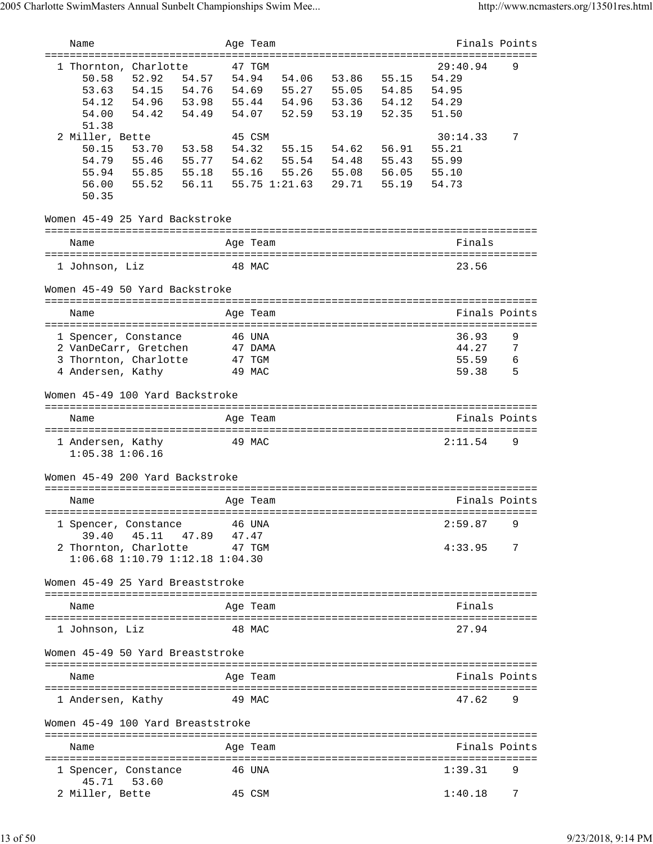| Name                                             | Age Team        |         |               |       |       | Finals Points     |   |
|--------------------------------------------------|-----------------|---------|---------------|-------|-------|-------------------|---|
| ==============================                   |                 |         |               |       |       |                   |   |
| 1 Thornton, Charlotte<br>50.58<br>52.92<br>54.57 | 47 TGM<br>54.94 |         | 54.06         | 53.86 | 55.15 | 29:40.94<br>54.29 | 9 |
| 53.63<br>54.15<br>54.76                          | 54.69           |         | 55.27         | 55.05 | 54.85 | 54.95             |   |
| 54.12<br>54.96<br>53.98                          | 55.44           |         | 54.96 53.36   |       | 54.12 | 54.29             |   |
| 54.42<br>54.00<br>54.49                          | 54.07           |         | 52.59         | 53.19 | 52.35 | 51.50             |   |
| 51.38                                            |                 |         |               |       |       |                   |   |
| 2 Miller, Bette                                  | 45 CSM          |         |               |       |       | 30:14.33          | 7 |
| 50.15<br>53.70<br>53.58                          | 54.32           |         | 55.15         | 54.62 | 56.91 | 55.21             |   |
| 54.79<br>55.46<br>55.77                          | 54.62           |         | 55.54         | 54.48 | 55.43 | 55.99             |   |
| 55.94<br>55.85<br>55.18                          | 55.16           |         | 55.26         | 55.08 | 56.05 | 55.10             |   |
| 55.52<br>56.00<br>56.11                          |                 |         | 55.75 1:21.63 | 29.71 | 55.19 | 54.73             |   |
| 50.35                                            |                 |         |               |       |       |                   |   |
| Women 45-49 25 Yard Backstroke                   |                 |         |               |       |       |                   |   |
| Name                                             | Age Team        |         |               |       |       | Finals            |   |
|                                                  |                 |         |               |       |       |                   |   |
| 1 Johnson, Liz                                   | 48 MAC          |         |               |       |       | 23.56             |   |
| Women 45-49 50 Yard Backstroke                   |                 |         |               |       |       |                   |   |
| Name                                             | Age Team        |         |               |       |       | Finals Points     |   |
|                                                  |                 |         |               |       |       |                   |   |
| 1 Spencer, Constance                             | 46 UNA          |         |               |       |       | 36.93             | 9 |
| 2 VanDeCarr, Gretchen                            |                 | 47 DAMA |               |       |       | 44.27             | 7 |
| 3 Thornton, Charlotte                            | 47 TGM          |         |               |       |       | 55.59             | 6 |
| 4 Andersen, Kathy                                | 49 MAC          |         |               |       |       | 59.38             | 5 |
| Women 45-49 100 Yard Backstroke                  |                 |         |               |       |       |                   |   |
| Name                                             | Age Team        |         |               |       |       | Finals Points     |   |
|                                                  |                 |         |               |       |       |                   |   |
| 1 Andersen, Kathy<br>$1:05.38$ $1:06.16$         | 49 MAC          |         |               |       |       | 2:11.54           | 9 |
| Women 45-49 200 Yard Backstroke                  |                 |         |               |       |       |                   |   |
| Name                                             | Age Team        |         |               |       |       | Finals Points     |   |
|                                                  |                 |         |               |       |       |                   |   |
| 1 Spencer, Constance                             | 46 UNA          |         |               |       |       | 2:59.87           | 9 |
| 45.11 47.89<br>39.40                             | 47.47           |         |               |       |       |                   |   |
| 2 Thornton, Charlotte                            | 47 TGM          |         |               |       |       | 4:33.95           | 7 |
| $1:06.68$ $1:10.79$ $1:12.18$ $1:04.30$          |                 |         |               |       |       |                   |   |
| Women 45-49 25 Yard Breaststroke                 |                 |         |               |       |       |                   |   |
|                                                  |                 |         |               |       |       |                   |   |
| Name                                             | Age Team        |         |               |       |       | Finals            |   |
| 1 Johnson, Liz                                   | 48 MAC          |         |               |       |       | 27.94             |   |
| Women 45-49 50 Yard Breaststroke                 |                 |         |               |       |       |                   |   |
| Name                                             | Age Team        |         |               |       |       | Finals Points     |   |
|                                                  |                 |         |               |       |       |                   |   |
| 1 Andersen, Kathy                                | 49 MAC          |         |               |       |       | 47.62             | 9 |
| Women 45-49 100 Yard Breaststroke                |                 |         |               |       |       |                   |   |
| Name                                             | Age Team        |         |               |       |       | Finals Points     |   |
| 1 Spencer, Constance<br>45.71<br>53.60           | 46 UNA          |         |               |       |       | 1:39.31           | 9 |
| 2 Miller, Bette                                  | 45 CSM          |         |               |       |       | 1:40.18           | 7 |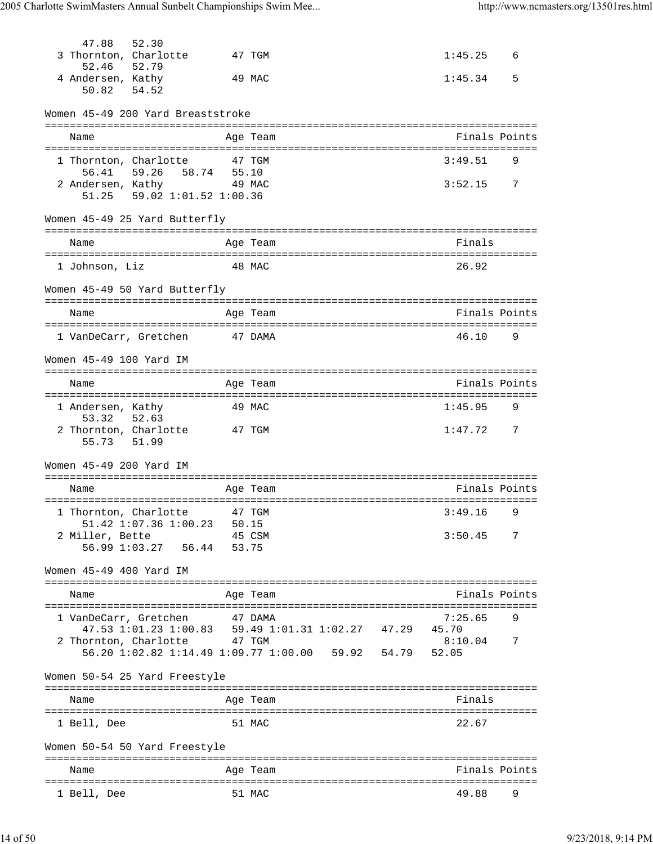| 47.88                      | 52.30                                                                               |        |          |  |               |                |
|----------------------------|-------------------------------------------------------------------------------------|--------|----------|--|---------------|----------------|
| 52.46                      | 3 Thornton, Charlotte<br>52.79                                                      |        | 47 TGM   |  | 1:45.25       | 6              |
| 4 Andersen, Kathy<br>50.82 | 54.52                                                                               |        | 49 MAC   |  | 1:45.34       | 5              |
|                            | Women 45-49 200 Yard Breaststroke                                                   |        |          |  |               |                |
|                            |                                                                                     |        |          |  |               |                |
| Name                       |                                                                                     |        | Age Team |  | Finals Points |                |
|                            |                                                                                     |        |          |  | 3:49.51       |                |
|                            | 1 Thornton, Charlotte 47 TGM<br>59.26 58.74 55.10                                   |        |          |  |               | 9              |
| 56.41                      |                                                                                     |        |          |  |               |                |
|                            | 2 Andersen, Kathy 49 MAC                                                            |        |          |  | $3:52.15$ 7   |                |
|                            | 51.25   59.02   1:01.52   1:00.36                                                   |        |          |  |               |                |
|                            | Women 45-49 25 Yard Butterfly                                                       |        |          |  |               |                |
| Name                       |                                                                                     |        | Age Team |  | Finals        |                |
|                            |                                                                                     |        |          |  |               |                |
| 1 Johnson, Liz             |                                                                                     |        | 48 MAC   |  | 26.92         |                |
|                            |                                                                                     |        |          |  |               |                |
|                            | Women 45-49 50 Yard Butterfly                                                       |        |          |  |               |                |
|                            |                                                                                     |        |          |  |               |                |
| Name                       |                                                                                     |        | Age Team |  | Finals Points |                |
|                            | 1 VanDeCarr, Gretchen 47 DAMA                                                       |        |          |  | 46.10         | 9              |
|                            |                                                                                     |        |          |  |               |                |
| Women 45-49 100 Yard IM    |                                                                                     |        |          |  |               |                |
|                            |                                                                                     |        |          |  |               |                |
| Name                       |                                                                                     |        | Age Team |  | Finals Points |                |
|                            |                                                                                     |        |          |  |               |                |
| 1 Andersen, Kathy          |                                                                                     |        | 49 MAC   |  | 1:45.95       | 9              |
| 53.32                      | 52.63                                                                               |        |          |  |               |                |
| 55.73 51.99                | 2 Thornton, Charlotte 47 TGM                                                        |        |          |  | $1:47.72$ 7   |                |
| Women 45-49 200 Yard IM    |                                                                                     |        |          |  |               |                |
|                            |                                                                                     |        |          |  |               |                |
| Name                       |                                                                                     |        | Age Team |  | Finals Points |                |
|                            |                                                                                     |        |          |  |               |                |
|                            | 1 Thornton, Charlotte 47 TGM                                                        |        |          |  | $3:49.16$ 9   |                |
|                            | 51.42 1:07.36 1:00.23 50.15                                                         |        |          |  |               |                |
| 2 Miller, Bette            |                                                                                     | 45 CSM |          |  | 3:50.45       | $\overline{7}$ |
|                            | 56.99 1:03.27    56.44    53.75                                                     |        |          |  |               |                |
| Women 45-49 400 Yard IM    |                                                                                     |        |          |  |               |                |
| Name                       |                                                                                     |        | Age Team |  | Finals Points |                |
|                            |                                                                                     |        |          |  |               |                |
|                            | 1 VanDeCarr, Gretchen                                                               |        | 47 DAMA  |  | 7:25.65       |                |
|                            | $47.53 \ 1:01.23 \ 1:00.83 \quad 59.49 \ 1:01.31 \ 1:02.27 \quad 47.29 \quad 45.70$ |        |          |  |               |                |
|                            | 2 Thornton, Charlotte 47 TGM                                                        |        |          |  | 8:10.04       | 7              |
|                            | 56.20 1:02.82 1:14.49 1:09.77 1:00.00 59.92 54.79 52.05                             |        |          |  |               |                |
|                            |                                                                                     |        |          |  |               |                |
|                            | Women 50-54 25 Yard Freestyle                                                       |        |          |  |               |                |
| Name                       |                                                                                     |        | Age Team |  | Finals        |                |
|                            |                                                                                     |        |          |  |               |                |
| 1 Bell, Dee                |                                                                                     |        | 51 MAC   |  | 22.67         |                |
|                            | Women 50-54 50 Yard Freestyle                                                       |        |          |  |               |                |
|                            |                                                                                     |        |          |  |               |                |
| Name                       |                                                                                     |        | Age Team |  | Finals Points |                |
| 1 Bell, Dee                |                                                                                     |        | 51 MAC   |  | 49.88         | 9              |
|                            |                                                                                     |        |          |  |               |                |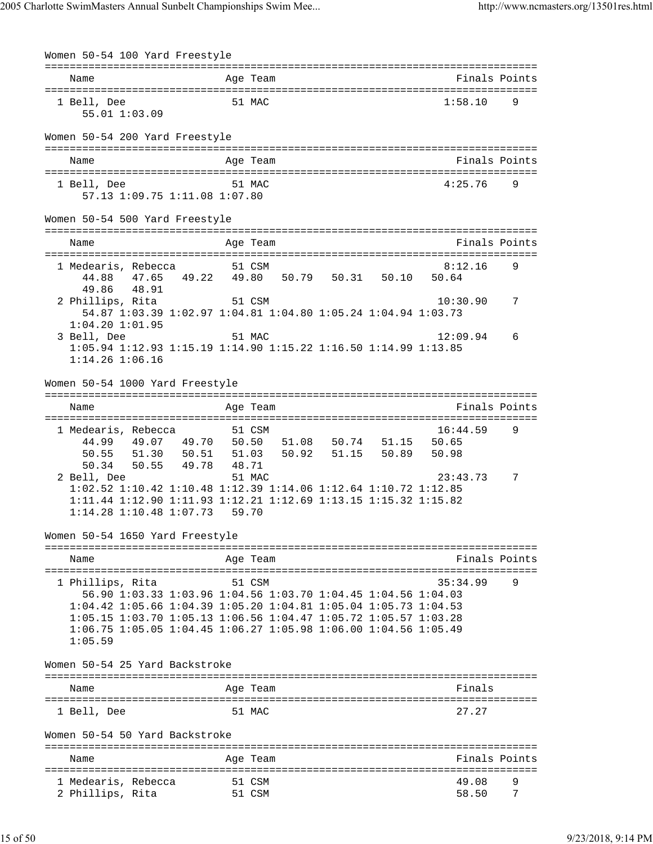| Women 50-54 100 Yard Freestyle                                                                                                                                                                                                                                                                        |                |                  |  |                   |        |
|-------------------------------------------------------------------------------------------------------------------------------------------------------------------------------------------------------------------------------------------------------------------------------------------------------|----------------|------------------|--|-------------------|--------|
| Name                                                                                                                                                                                                                                                                                                  |                | Age Team         |  | Finals Points     |        |
| 1 Bell, Dee<br>55.01 1:03.09                                                                                                                                                                                                                                                                          |                | 51 MAC           |  | 1:58.10           | 9      |
| Women 50-54 200 Yard Freestyle                                                                                                                                                                                                                                                                        |                |                  |  |                   |        |
| Name                                                                                                                                                                                                                                                                                                  |                | Age Team         |  | Finals Points     |        |
| 1 Bell, Dee<br>57.13 1:09.75 1:11.08 1:07.80                                                                                                                                                                                                                                                          |                | 51 MAC           |  | 4:25.76           | 9      |
| Women 50-54 500 Yard Freestyle                                                                                                                                                                                                                                                                        |                |                  |  |                   |        |
| Name                                                                                                                                                                                                                                                                                                  |                | Age Team         |  | Finals Points     |        |
| 1 Medearis, Rebecca<br>47.65 49.22 49.80 50.79 50.31 50.10 50.64<br>44.88<br>48.91<br>49.86                                                                                                                                                                                                           |                | 51 CSM           |  | 8:12.16           | 9      |
| 2 Phillips, Rita<br>54.87 1:03.39 1:02.97 1:04.81 1:04.80 1:05.24 1:04.94 1:03.73<br>$1:04.20$ $1:01.95$                                                                                                                                                                                              |                | 51 CSM           |  | 10:30.90          | 7      |
| 3 Bell, Dee<br>1:05.94 1:12.93 1:15.19 1:14.90 1:15.22 1:16.50 1:14.99 1:13.85<br>$1:14.26$ $1:06.16$                                                                                                                                                                                                 |                | 51 MAC           |  | 12:09.94          | 6      |
| Women 50-54 1000 Yard Freestyle                                                                                                                                                                                                                                                                       |                | =============    |  |                   |        |
| Name                                                                                                                                                                                                                                                                                                  |                | Age Team         |  | Finals Points     |        |
| 1 Medearis, Rebecca<br>44.99  49.07  49.70  50.50  51.08  50.74  51.15  50.65<br>50.55 51.30 50.51 51.03 50.92 51.15 50.89                                                                                                                                                                            |                | 51 CSM           |  | 16:44.59<br>50.98 | 9      |
| 50.55 49.78<br>50.34<br>2 Bell, Dee<br>1:02.52 1:10.42 1:10.48 1:12.39 1:14.06 1:12.64 1:10.72 1:12.85<br>1:11.44 1:12.90 1:11.93 1:12.21 1:12.69 1:13.15 1:15.32 1:15.82<br>$1:14.28$ $1:10.48$ $1:07.73$                                                                                            | 48.71<br>59.70 | 51 MAC           |  | 23:43.73          | 7      |
| Women 50-54 1650 Yard Freestyle                                                                                                                                                                                                                                                                       |                |                  |  |                   |        |
| Name                                                                                                                                                                                                                                                                                                  |                | Age Team         |  | Finals Points     |        |
| 1 Phillips, Rita<br>56.90 1:03.33 1:03.96 1:04.56 1:03.70 1:04.45 1:04.56 1:04.03<br>1:04.42 1:05.66 1:04.39 1:05.20 1:04.81 1:05.04 1:05.73 1:04.53<br>1:05.15 1:03.70 1:05.13 1:06.56 1:04.47 1:05.72 1:05.57 1:03.28<br>1:06.75 1:05.05 1:04.45 1:06.27 1:05.98 1:06.00 1:04.56 1:05.49<br>1:05.59 |                | 51 CSM           |  | 35:34.99          | 9      |
| Women 50-54 25 Yard Backstroke                                                                                                                                                                                                                                                                        |                |                  |  |                   |        |
| Name                                                                                                                                                                                                                                                                                                  |                | Age Team         |  | Finals            |        |
| 1 Bell, Dee                                                                                                                                                                                                                                                                                           |                | 51 MAC           |  | 27.27             |        |
| Women 50-54 50 Yard Backstroke                                                                                                                                                                                                                                                                        |                |                  |  |                   |        |
| Name                                                                                                                                                                                                                                                                                                  |                | Age Team         |  | Finals Points     |        |
| 1 Medearis, Rebecca<br>2 Phillips, Rita                                                                                                                                                                                                                                                               |                | 51 CSM<br>51 CSM |  | 49.08<br>58.50    | 9<br>7 |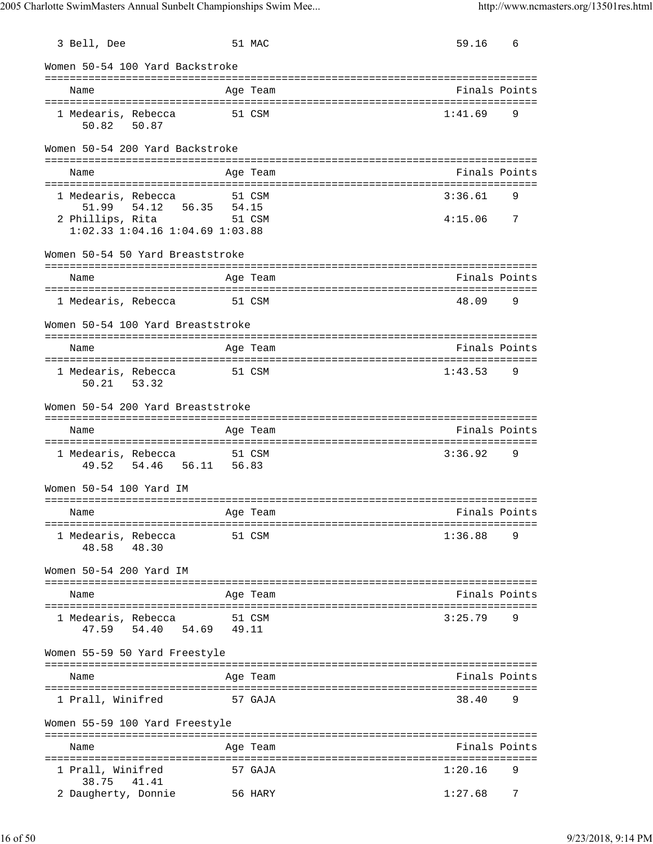| 3 Bell, Dee                                                        | 51 MAC                | 59.16   | 6              |
|--------------------------------------------------------------------|-----------------------|---------|----------------|
| Women 50-54 100 Yard Backstroke                                    |                       |         |                |
| Name                                                               | Age Team              |         | Finals Points  |
| 1 Medearis, Rebecca<br>50.82 50.87                                 | 51 CSM                | 1:41.69 | 9              |
| Women 50-54 200 Yard Backstroke                                    |                       |         |                |
| Name                                                               | Age Team              |         | Finals Points  |
|                                                                    |                       |         |                |
| 1 Medearis, Rebecca<br>54.12<br>51.99                              | 51 CSM<br>56.35 54.15 | 3:36.61 | 9              |
| 2 Phillips, Rita 51 CSM<br>$1:02.33$ $1:04.16$ $1:04.69$ $1:03.88$ |                       | 4:15.06 | $\overline{7}$ |
| Women 50-54 50 Yard Breaststroke                                   |                       |         |                |
| Name                                                               | Age Team              |         | Finals Points  |
| 1 Medearis, Rebecca 51 CSM                                         |                       | 48.09   | 9              |
| Women 50-54 100 Yard Breaststroke                                  |                       |         |                |
|                                                                    |                       |         |                |
| Name                                                               | Age Team              |         | Finals Points  |
| 1 Medearis, Rebecca<br>50.21 53.32                                 | 51 CSM                | 1:43.53 | 9              |
| Women 50-54 200 Yard Breaststroke                                  |                       |         |                |
|                                                                    |                       |         |                |
| Name                                                               | Age Team              |         | Finals Points  |
| 1 Medearis, Rebecca 51 CSM<br>49.52 54.46 56.11 56.83              |                       | 3:36.92 | 9              |
| Women 50-54 100 Yard IM                                            |                       |         |                |
| Name                                                               | Age Team              |         | Finals Points  |
| 1 Medearis, Rebecca                                                | 51 CSM                | 1:36.88 | 9              |
| 48.58 48.30                                                        |                       |         |                |
| Women 50-54 200 Yard IM                                            |                       |         |                |
| Name                                                               | Age Team              |         | Finals Points  |
| 1 Medearis, Rebecca<br>47.59 54.40                                 | 51 CSM<br>54.69 49.11 | 3:25.79 | 9              |
| Women 55-59 50 Yard Freestyle                                      |                       |         |                |
| Name                                                               | Age Team              |         | Finals Points  |
| 1 Prall, Winifred                                                  | 57 GAJA               | 38.40   | 9              |
| Women 55-59 100 Yard Freestyle                                     |                       |         |                |
|                                                                    |                       |         |                |
| Name                                                               | Age Team              |         | Finals Points  |
| 1 Prall, Winifred<br>38.75<br>41.41                                | 57 GAJA               | 1:20.16 | 9              |
| 2 Daugherty, Donnie                                                | 56 HARY               | 1:27.68 | 7              |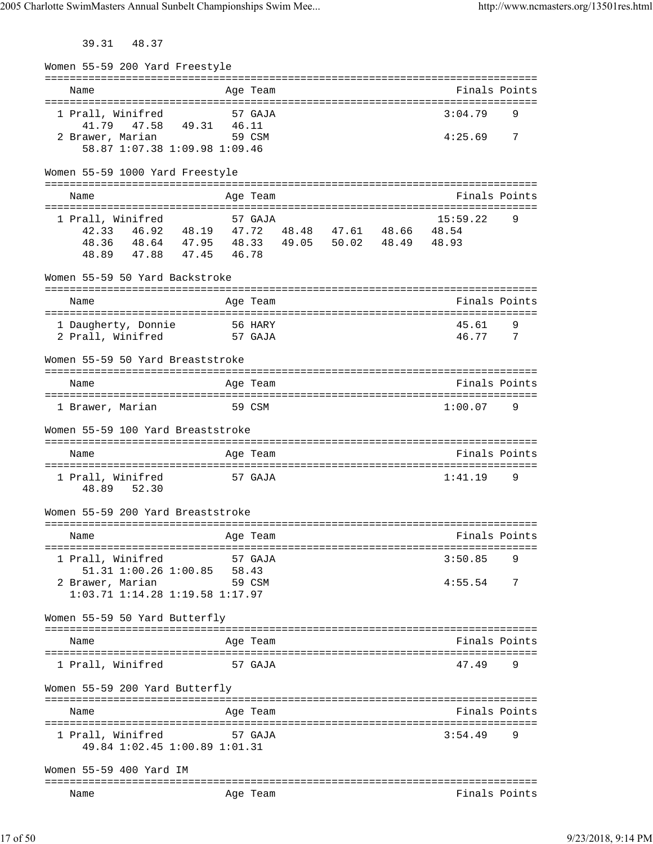39.31 48.37

Women 55-59 200 Yard Freestyle =============================================================================== Name Age Team Finals Points =============================================================================== 1 Prall, Winifred 57 GAJA 3:04.79 41.79 47.58 49.31 46.11 2 Brawer, Marian 59 CSM 4:25.69 7 58.87 1:07.38 1:09.98 1:09.46 Women 55-59 1000 Yard Freestyle =============================================================================== Name **Age Team** Age Team Finals Points =============================================================================== 1 Prall, Winifred 57 GAJA 15:59.22 9 42.33 46.92 48.19 47.72 48.48 47.61 48.66 48.54 48.36 48.64 47.95 48.33 49.05 50.02 48.49 48.93 48.89 47.88 47.45 46.78 Women 55-59 50 Yard Backstroke =============================================================================== Name **Age Team** Age Team Finals Points =============================================================================== 1 Daugherty, Donnie 56 HARY 45.61 9 2 Prall, Winifred 57 GAJA 46.77 7 Women 55-59 50 Yard Breaststroke =============================================================================== Name Age Team Age Team Finals Points =============================================================================== 1 Brawer, Marian 59 CSM 1:00.07 9 Women 55-59 100 Yard Breaststroke =============================================================================== Name **Age Team** Age Team **Finals Points** Points =============================================================================== 1 Prall, Winifred 57 GAJA 1:41.19 9 48.89 52.30 Women 55-59 200 Yard Breaststroke =============================================================================== Name Age Team Finals Points =============================================================================== 1 Prall, Winifred 57 GAJA 3:50.85 51.31 1:00.26 1:00.85 58.43 2 Brawer, Marian 59 CSM 4:55.54 7 1:03.71 1:14.28 1:19.58 1:17.97 Women 55-59 50 Yard Butterfly =============================================================================== Name Age Team Finals Points =============================================================================== 1 Prall, Winifred 57 GAJA 47.49 Women 55-59 200 Yard Butterfly =============================================================================== Name **Age Team** Age Team Finals Points =============================================================================== 1 Prall, Winifred 57 GAJA 49.84 1:02.45 1:00.89 1:01.31 Women 55-59 400 Yard IM =============================================================================== Name **Age Team** Age Team **Finals Points**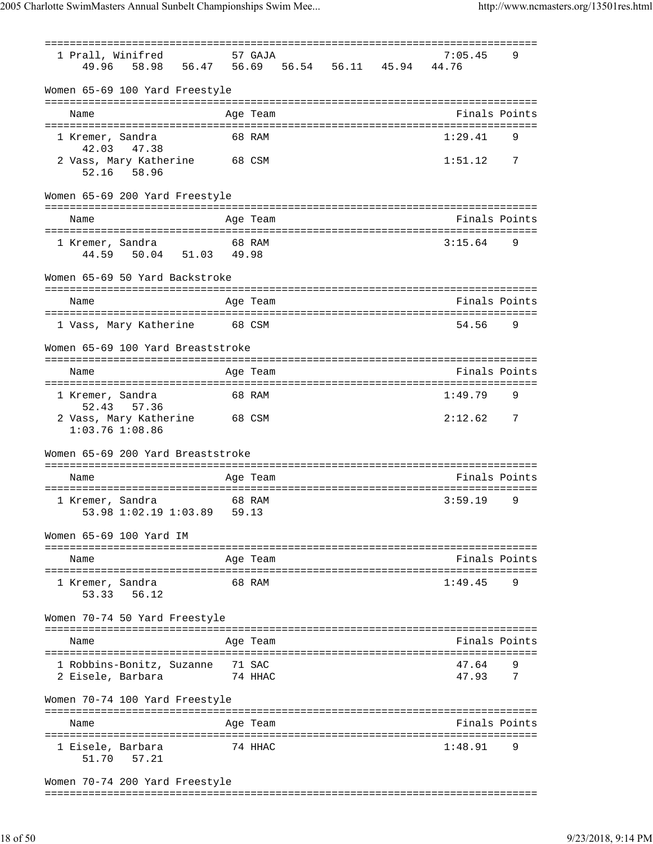=============================================================================== 1 Prall, Winifred 57 GAJA 7:05.45 9 49.96 58.98 56.47 56.69 56.54 56.11 45.94 44.76 Women 65-69 100 Yard Freestyle =============================================================================== Name Age Team Finals Points =============================================================================== 1 Kremer, Sandra 68 RAM 1:29.41 9 42.03 47.38 2 Vass, Mary Katherine 68 CSM 1:51.12 7 52.16 58.96 Women 65-69 200 Yard Freestyle =============================================================================== Name Age Team Age Team Finals Points =============================================================================== 1 Kremer, Sandra 68 RAM 3:15.64 9 44.59 50.04 51.03 49.98 Women 65-69 50 Yard Backstroke =============================================================================== Name **Age Team Age Team** Rinals Points =============================================================================== 1 Vass, Mary Katherine 68 CSM 54.56 9 Women 65-69 100 Yard Breaststroke =============================================================================== Name Age Team Finals Points =============================================================================== 1 Kremer, Sandra 68 RAM 1:49.79 9 52.43 57.36 2 Vass, Mary Katherine 68 CSM 2:12.62 7 1:03.76 1:08.86 Women 65-69 200 Yard Breaststroke =============================================================================== Name Age Team Age Team Finals Points =============================================================================== 1 Kremer, Sandra 68 RAM 3:59.19 9 53.98 1:02.19 1:03.89 59.13 Women 65-69 100 Yard IM =============================================================================== Name Age Team Finals Points =============================================================================== 1 Kremer, Sandra 68 RAM 1:49.45 9 53.33 56.12 Women 70-74 50 Yard Freestyle =============================================================================== Name Age Team Finals Points =============================================================================== 1 Robbins-Bonitz, Suzanne 71 SAC 47.64 9 2 Eisele, Barbara 74 HHAC 47.93 7 Women 70-74 100 Yard Freestyle =============================================================================== Name **Age Team Age Team Rinals Points** =============================================================================== 1 Eisele, Barbara 174 HHAC 51.70 57.21 Women 70-74 200 Yard Freestyle

===============================================================================

18 of 50 9/23/2018, 9:14 PM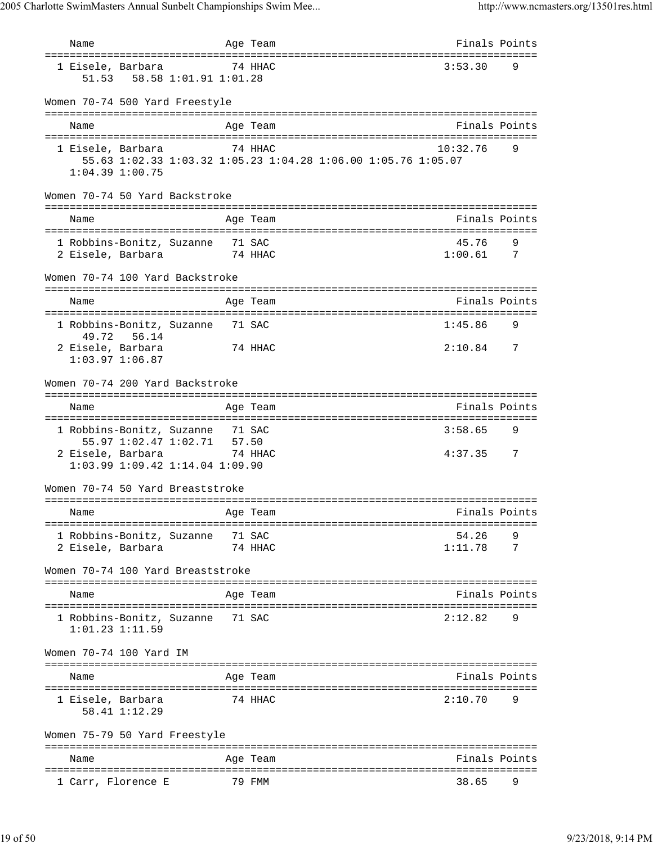Name Age Team Finals Points =============================================================================== 1 Eisele, Barbara 74 HHAC 3:53.30 9 51.53 58.58 1:01.91 1:01.28 Women 70-74 500 Yard Freestyle =============================================================================== Name Age Team Finals Points =============================================================================== 1 Eisele, Barbara 74 HHAC 10:32.76 9 55.63 1:02.33 1:03.32 1:05.23 1:04.28 1:06.00 1:05.76 1:05.07 1:04.39 1:00.75 Women 70-74 50 Yard Backstroke =============================================================================== Name Age Team Finals Points =============================================================================== 1 Robbins-Bonitz, Suzanne 71 SAC 45.76 9 2 Eisele, Barbara 74 HHAC 1:00.61 7 Women 70-74 100 Yard Backstroke =============================================================================== Name **Age Team Age Team** Rinals Points =============================================================================== 1 Robbins-Bonitz, Suzanne 71 SAC 1:45.86 9 49.72 56.14 2 Eisele, Barbara 74 HHAC 2:10.84 7 1:03.97 1:06.87 Women 70-74 200 Yard Backstroke =============================================================================== Name Age Team Finals Points =============================================================================== 1 Robbins-Bonitz, Suzanne 71 SAC 3:58.65 9 55.97 1:02.47 1:02.71 57.50 2 Eisele, Barbara 74 HHAC 4:37.35 7 1:03.99 1:09.42 1:14.04 1:09.90 Women 70-74 50 Yard Breaststroke =============================================================================== Name **Age Team** Age Team Finals Points =============================================================================== 1 Robbins-Bonitz, Suzanne 71 SAC 54.26 9 2 Eisele, Barbara 74 HHAC Women 70-74 100 Yard Breaststroke =============================================================================== Name Age Team Age Team Finals Points =============================================================================== 1 Robbins-Bonitz, Suzanne 71 SAC 2:12.82 9 1:01.23 1:11.59 Women 70-74 100 Yard IM =============================================================================== Name Age Team Age Team Finals Points =============================================================================== 1 Eisele, Barbara 74 HHAC 2:10.70 9 58.41 1:12.29 Women 75-79 50 Yard Freestyle =============================================================================== Age Team and the Second Second Points Points and Points =============================================================================== 1 Carr, Florence E 79 FMM 38.65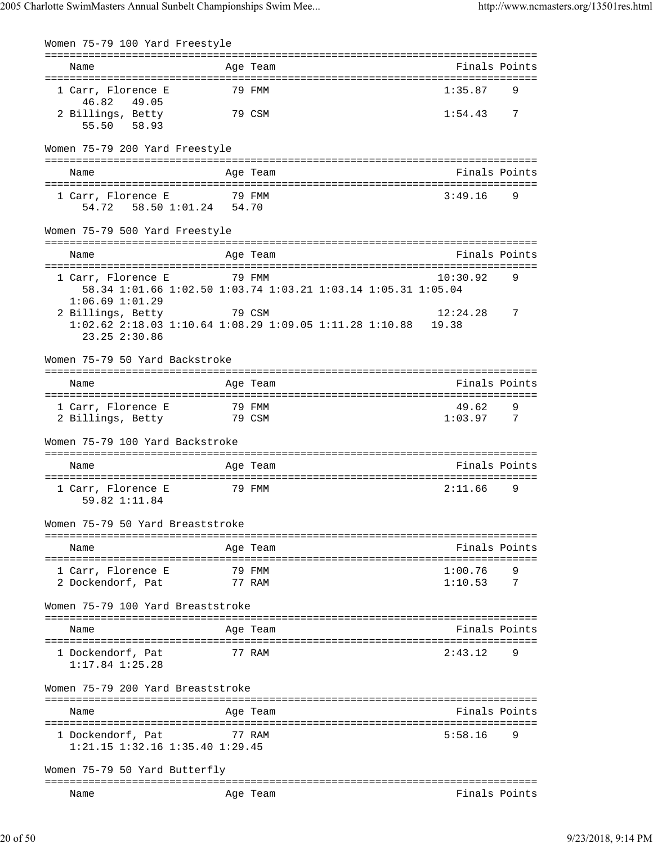| ______________________<br>Name                                                         |        | ------------<br>Age Team | Finals Points                                 |   |
|----------------------------------------------------------------------------------------|--------|--------------------------|-----------------------------------------------|---|
| 1 Carr, Florence E                                                                     |        | 79 FMM                   | 1:35.87                                       | 9 |
| 46.82 49.05<br>2 Billings, Betty                                                       |        | 79 CSM                   | 1:54.43                                       | 7 |
| 58.93<br>55.50                                                                         |        |                          |                                               |   |
| Women 75-79 200 Yard Freestyle                                                         |        |                          |                                               |   |
|                                                                                        |        | Age Team                 | Finals Points                                 |   |
| Name                                                                                   |        |                          |                                               |   |
| 1 Carr, Florence E<br>58.50 1:01.24 54.70<br>54.72                                     | 79 FMM |                          | 3:49.16                                       | 9 |
| Women 75-79 500 Yard Freestyle                                                         |        |                          |                                               |   |
| Name                                                                                   |        | Age Team                 | Finals Points                                 |   |
| 1 Carr, Florence E                                                                     |        | 79 FMM                   | 10:30.92                                      | 9 |
| 58.34 1:01.66 1:02.50 1:03.74 1:03.21 1:03.14 1:05.31 1:05.04<br>$1:06.69$ $1:01.29$   |        |                          |                                               |   |
| 2 Billings, Betty                                                                      |        | 79 CSM                   | 12:24.28                                      | 7 |
| $1:02.62$ $2:18.03$ $1:10.64$ $1:08.29$ $1:09.05$ $1:11.28$ $1:10.88$<br>23.25 2:30.86 |        |                          | 19.38                                         |   |
| Women 75-79 50 Yard Backstroke                                                         |        |                          |                                               |   |
| Name                                                                                   |        | Age Team                 | Finals Points                                 |   |
| 1 Carr, Florence E                                                                     |        | 79 FMM                   | 49.62                                         | 9 |
| 2 Billings, Betty                                                                      |        | 79 CSM                   | 1:03.97                                       | 7 |
| Women 75-79 100 Yard Backstroke                                                        |        |                          |                                               |   |
| Name                                                                                   |        | Age Team                 | Finals Points                                 |   |
| 1 Carr, Florence E                                                                     |        | 79 FMM                   | 2:11.66                                       | 9 |
| 59.82 1:11.84                                                                          |        |                          |                                               |   |
| Women 75-79 50 Yard Breaststroke                                                       |        |                          |                                               |   |
| Name                                                                                   |        | Age Team                 | Finals Points                                 |   |
| 1 Carr, Florence E                                                                     |        | 79 FMM                   | 1:00.76                                       |   |
| 2 Dockendorf, Pat                                                                      |        | 77 RAM                   | 1:10.53                                       | 7 |
| Women 75-79 100 Yard Breaststroke                                                      |        |                          |                                               |   |
| Name                                                                                   |        | Age Team                 | Finals Points                                 |   |
| 1 Dockendorf, Pat<br>$1:17.84$ $1:25.28$                                               |        | 77 RAM                   | 2:43.12                                       | 9 |
| Women 75-79 200 Yard Breaststroke                                                      |        |                          |                                               |   |
| Name                                                                                   |        | Age Team                 | ============================<br>Finals Points |   |
| =======================                                                                |        | :==================      |                                               |   |
| 1 Dockendorf, Pat<br>$1:21.15$ $1:32.16$ $1:35.40$ $1:29.45$                           |        | 77 RAM                   | 5:58.16                                       | 9 |
| Women 75-79 50 Yard Butterfly                                                          |        |                          |                                               |   |
| Name                                                                                   |        | Age Team                 | Finals Points                                 |   |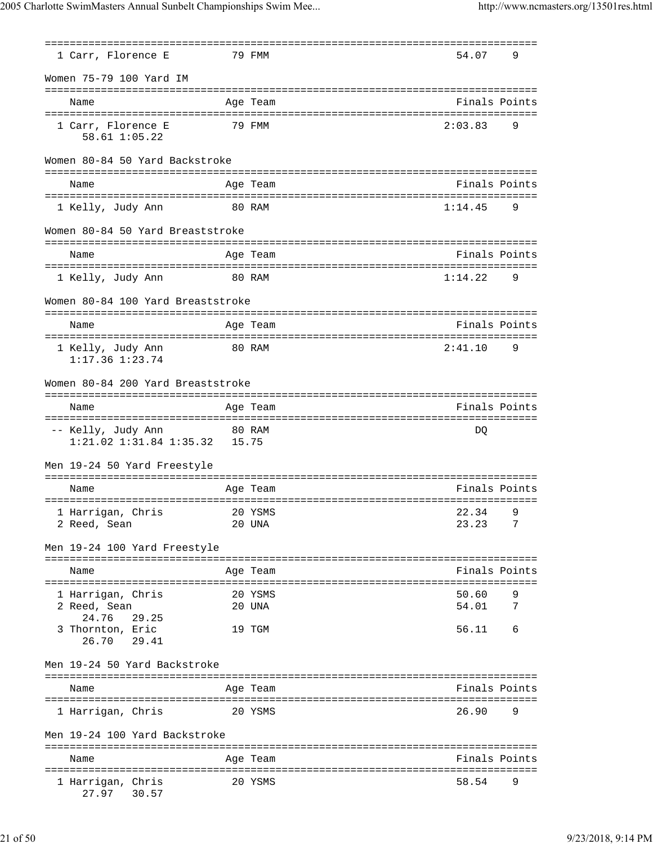|                                                                       |        | =============                                                      |                |        |
|-----------------------------------------------------------------------|--------|--------------------------------------------------------------------|----------------|--------|
| 1 Carr, Florence E                                                    |        | 79 FMM                                                             | 54.07          | 9      |
| Women 75-79 100 Yard IM                                               |        |                                                                    |                |        |
| Name                                                                  |        | Age Team                                                           | Finals Points  |        |
| 1 Carr, Florence E<br>58.61 1:05.22                                   |        | 79 FMM                                                             | 2:03.83        | 9      |
| Women 80-84 50 Yard Backstroke                                        |        |                                                                    |                |        |
| Name                                                                  |        | Age Team                                                           | Finals Points  |        |
| 1 Kelly, Judy Ann                                                     |        | 80 RAM                                                             | 1:14.45        | 9      |
| Women 80-84 50 Yard Breaststroke                                      |        |                                                                    |                |        |
| Name                                                                  |        | Age Team                                                           | Finals Points  |        |
| 1 Kelly, Judy Ann                                                     | 80 RAM |                                                                    | 1:14.22        | 9      |
| Women 80-84 100 Yard Breaststroke                                     |        |                                                                    |                |        |
| Name                                                                  |        | Age Team                                                           | Finals Points  |        |
| 1 Kelly, Judy Ann<br>$1:17.36$ $1:23.74$                              |        | 80 RAM                                                             | 2:41.10        | 9      |
| Women 80-84 200 Yard Breaststroke                                     |        |                                                                    |                |        |
| Name                                                                  |        | Age Team                                                           | Finals Points  |        |
|                                                                       |        |                                                                    |                |        |
| -- Kelly, Judy Ann<br>80 RAM<br>$1:21.02$ $1:31.84$ $1:35.32$ $15.75$ |        |                                                                    | DQ             |        |
| Men 19-24 50 Yard Freestyle                                           |        |                                                                    |                |        |
| Name                                                                  |        | Age Team                                                           | Finals Points  |        |
| 1 Harrigan, Chris<br>20 YSMS<br>2 Reed, Sean                          |        | 20 UNA                                                             | 22.34<br>23.23 | 9<br>7 |
| Men 19-24 100 Yard Freestyle                                          |        |                                                                    |                |        |
| ===================<br>Name                                           |        | =======================<br>===========================<br>Age Team | Finals Points  |        |
| 1 Harrigan, Chris<br>2 Reed, Sean                                     |        | 20 YSMS<br>20 UNA                                                  | 50.60<br>54.01 | 9<br>7 |
| 24.76<br>29.25<br>3 Thornton, Eric<br>26.70<br>29.41                  |        | 19 TGM                                                             | 56.11          | 6      |
| Men 19-24 50 Yard Backstroke                                          |        |                                                                    |                |        |
| Name                                                                  |        | Age Team                                                           | Finals Points  |        |
| 1 Harrigan, Chris                                                     |        | 20 YSMS                                                            | 26.90          | 9      |
| Men 19-24 100 Yard Backstroke                                         |        |                                                                    |                |        |
| Name                                                                  |        | Age Team                                                           | Finals Points  |        |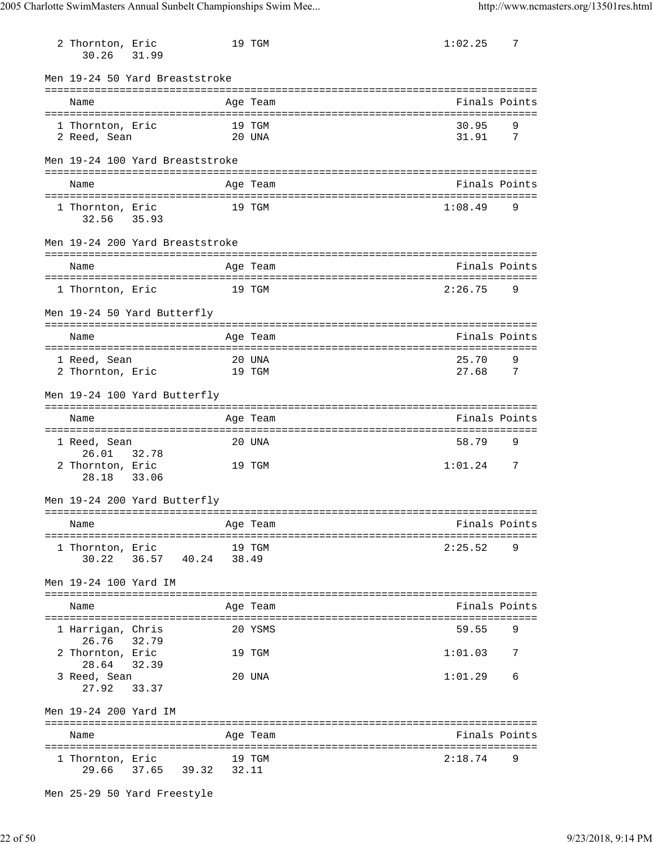| 2 Thornton, Eric<br>30.26          | 31.99          |       | 19 TGM           | 1:02.25        | 7        |
|------------------------------------|----------------|-------|------------------|----------------|----------|
| Men 19-24 50 Yard Breaststroke     |                |       |                  |                |          |
| Name                               |                |       | Age Team         | Finals Points  |          |
| 1 Thornton, Eric<br>2 Reed, Sean   |                |       | 19 TGM<br>20 UNA | 30.95<br>31.91 | 9<br>7   |
| Men 19-24 100 Yard Breaststroke    |                |       |                  |                |          |
| Name                               |                |       | Age Team         | Finals Points  |          |
| 1 Thornton, Eric<br>32.56          | 35.93          |       | 19 TGM           | 1:08.49        | 9        |
| Men 19-24 200 Yard Breaststroke    |                |       |                  |                |          |
| Name                               |                |       | Age Team         | Finals Points  |          |
| 1 Thornton, Eric                   |                |       | 19 TGM           | 2:26.75        | 9        |
| Men 19-24 50 Yard Butterfly        |                |       |                  |                |          |
| Name                               |                |       | Age Team         | Finals Points  |          |
| 1 Reed, Sean<br>2 Thornton, Eric   |                |       | 20 UNA<br>19 TGM | 25.70<br>27.68 | 9<br>- 7 |
| Men 19-24 100 Yard Butterfly       |                |       |                  |                |          |
| Name                               |                |       | Age Team         | Finals Points  |          |
| 1 Reed, Sean                       |                |       | 20 UNA           | 58.79          | 9        |
| 26.01<br>2 Thornton, Eric<br>28.18 | 32.78<br>33.06 |       | 19 TGM           | 1:01.24        | 7        |
| Men 19-24 200 Yard Butterfly       |                |       |                  |                |          |
| Name                               |                |       | Age Team         | Finals Points  |          |
| 1 Thornton, Eric<br>30.22          | 36.57 40.24    | 38.49 | 19 TGM           | 2:25.52        | 9        |
| Men 19-24 100 Yard IM              |                |       |                  |                |          |
| Name                               |                |       | Age Team         | Finals Points  |          |
| 1 Harrigan, Chris                  |                |       | 20 YSMS          | 59.55          | 9        |
| 26.76<br>2 Thornton, Eric<br>28.64 | 32.79<br>32.39 |       | 19 TGM           | 1:01.03        | 7        |
| 3 Reed, Sean<br>27.92              | 33.37          |       | 20 UNA           | 1:01.29        | 6        |
| Men 19-24 200 Yard IM              |                |       |                  |                |          |
| Name                               |                |       | Age Team         | Finals Points  |          |
| 1 Thornton, Eric<br>29.66          | 37.65 39.32    | 32.11 | 19 TGM           | 2:18.74        | 9        |

Men 25-29 50 Yard Freestyle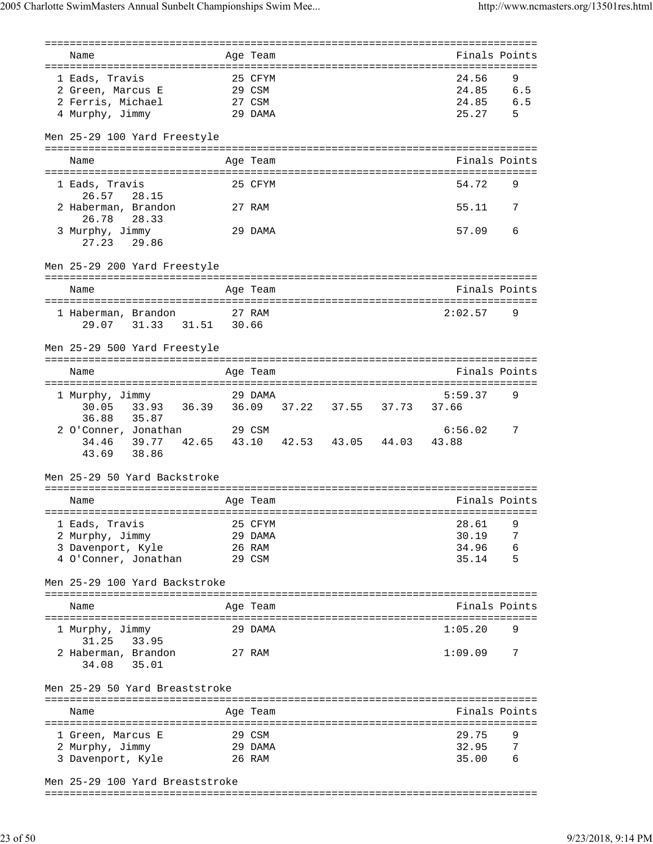| :==================                             |        | ================= |  |                                     |     |
|-------------------------------------------------|--------|-------------------|--|-------------------------------------|-----|
| Name                                            |        | Age Team          |  | Finals Points                       |     |
|                                                 |        |                   |  | =================================== |     |
| 1 Eads, Travis                                  |        | 25 CFYM           |  | 24.56                               | 9   |
| 2 Green, Marcus E                               | 29 CSM |                   |  | 24.85                               | 6.5 |
| 2 Ferris, Michael                               |        | 27 CSM            |  | 24.85                               | 6.5 |
| 4 Murphy, Jimmy                                 |        | 29 DAMA           |  | 25.27                               | 5   |
| Men 25-29 100 Yard Freestyle                    |        |                   |  |                                     |     |
|                                                 |        |                   |  |                                     |     |
| Name                                            |        | Age Team          |  | Finals Points                       |     |
| 1 Eads, Travis                                  |        | 25 CFYM           |  | 54.72                               | 9   |
| 26.57<br>28.15                                  |        |                   |  |                                     |     |
| 2 Haberman, Brandon                             |        | 27 RAM            |  | 55.11                               | 7   |
| 26.78<br>28.33                                  |        |                   |  |                                     |     |
| 3 Murphy, Jimmy                                 |        | 29 DAMA           |  | 57.09                               | 6   |
| 27.23<br>29.86                                  |        |                   |  |                                     |     |
|                                                 |        |                   |  |                                     |     |
| Men 25-29 200 Yard Freestyle                    |        |                   |  |                                     |     |
|                                                 |        |                   |  |                                     |     |
| Name                                            |        | Age Team          |  | Finals Points                       |     |
| 1 Haberman, Brandon                             |        | 27 RAM            |  | 2:02.57                             | 9   |
| 31.33 31.51<br>29.07                            | 30.66  |                   |  |                                     |     |
|                                                 |        |                   |  |                                     |     |
| Men 25-29 500 Yard Freestyle                    |        |                   |  |                                     |     |
|                                                 |        | =============     |  | =============================       |     |
| Name                                            |        | Age Team          |  | Finals Points                       |     |
|                                                 |        |                   |  |                                     |     |
| 29 DAMA<br>1 Murphy, Jimmy                      |        |                   |  | 5:59.37                             | 9   |
| 33.93 36.39 36.09 37.22 37.55 37.73<br>30.05    |        |                   |  | 37.66                               |     |
| 35.87<br>36.88                                  |        |                   |  |                                     |     |
| 2 O'Conner, Jonathan 29 CSM                     |        |                   |  | 6:56.02                             | 7   |
| 39.77<br>42.65 43.10 42.53 43.05 44.03<br>34.46 |        |                   |  | 43.88                               |     |
| 43.69<br>38.86                                  |        |                   |  |                                     |     |
|                                                 |        |                   |  |                                     |     |
| Men 25-29 50 Yard Backstroke                    |        |                   |  |                                     |     |
| Name                                            |        |                   |  | Finals Points                       |     |
|                                                 |        | Age Team          |  |                                     |     |
| 1 Eads, Travis                                  |        | 25 CFYM           |  | 28.61                               | 9   |
| 2 Murphy, Jimmy                                 |        | 29 DAMA           |  | 30.19                               | 7   |
| 3 Davenport, Kyle                               |        | 26 RAM            |  | 34.96                               | 6   |
| 4 O'Conner, Jonathan                            |        | 29 CSM            |  | 35.14                               | 5   |
|                                                 |        |                   |  |                                     |     |
| Men 25-29 100 Yard Backstroke                   |        |                   |  |                                     |     |
|                                                 |        |                   |  |                                     |     |
| Name                                            |        | Age Team          |  | Finals Points                       |     |
| 1 Murphy, Jimmy                                 |        | 29 DAMA           |  | 1:05.20                             | 9   |
| 31.25<br>33.95                                  |        |                   |  |                                     |     |
| 2 Haberman, Brandon                             |        | 27 RAM            |  | 1:09.09                             | 7   |
| 35.01<br>34.08                                  |        |                   |  |                                     |     |
|                                                 |        |                   |  |                                     |     |
| Men 25-29 50 Yard Breaststroke                  |        |                   |  |                                     |     |
|                                                 |        |                   |  |                                     |     |
| Name                                            |        | Age Team          |  | Finals Points                       |     |
|                                                 |        |                   |  |                                     |     |
| 1 Green, Marcus E                               |        | 29 CSM            |  | 29.75                               | 9   |
| 2 Murphy, Jimmy                                 |        | 29 DAMA           |  | 32.95                               | 7   |
| 3 Davenport, Kyle                               |        | 26 RAM            |  | 35.00                               | 6   |
|                                                 |        |                   |  |                                     |     |
| Men 25-29 100 Yard Breaststroke                 |        |                   |  |                                     |     |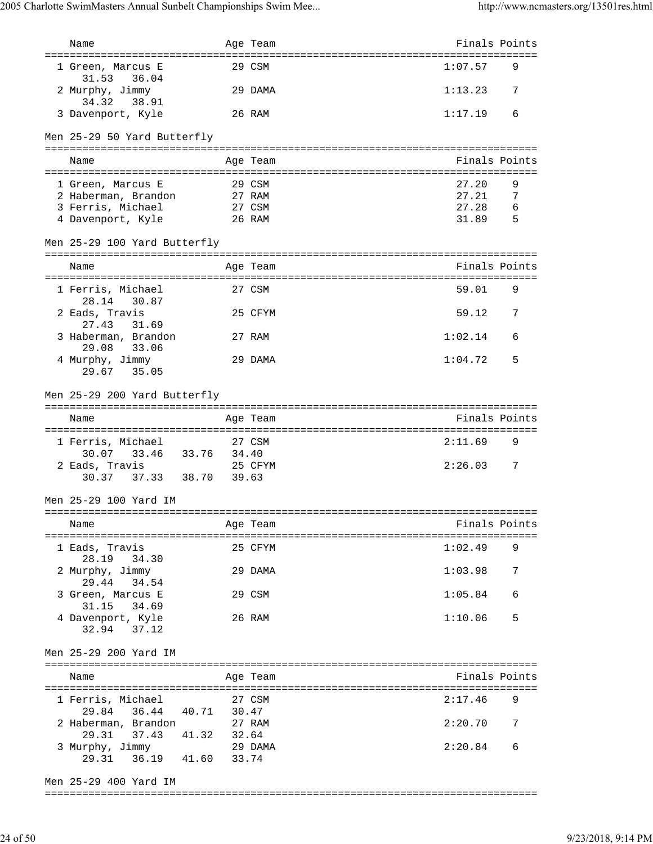| Name                                                                                                                          |        | Age Team                                      | Finals Points |     |
|-------------------------------------------------------------------------------------------------------------------------------|--------|-----------------------------------------------|---------------|-----|
| 1 Green, Marcus E<br>31.53<br>36.04                                                                                           |        | 29 CSM                                        | 1:07.57       | 9   |
| 2 Murphy, Jimmy<br>34.32<br>38.91                                                                                             |        | 29 DAMA                                       | 1:13.23       | 7   |
| 3 Davenport, Kyle                                                                                                             |        | 26 RAM                                        | 1:17.19       | 6   |
| Men 25-29 50 Yard Butterfly                                                                                                   |        |                                               |               |     |
| Name                                                                                                                          |        | Age Team                                      | Finals Points |     |
| 1 Green, Marcus E                                                                                                             |        | 29 CSM                                        | 27.20         | 9   |
| 2 Haberman, Brandon                                                                                                           |        | 27 RAM                                        | 27.21         | 7   |
| 3 Ferris, Michael                                                                                                             |        | 27 CSM                                        | 27.28         | 6   |
| 4 Davenport, Kyle                                                                                                             |        | 26 RAM                                        | 31.89         | - 5 |
| Men 25-29 100 Yard Butterfly                                                                                                  |        |                                               |               |     |
| Name                                                                                                                          |        | Age Team                                      | Finals Points |     |
| 1 Ferris, Michael<br>28.14<br>30.87                                                                                           |        | 27 CSM                                        | 59.01         | 9   |
| 2 Eads, Travis<br>27.43<br>31.69                                                                                              |        | 25 CFYM                                       | 59.12         | 7   |
| 3 Haberman, Brandon<br>29.08<br>33.06                                                                                         |        | 27 RAM                                        | 1:02.14       | 6   |
| 4 Murphy, Jimmy<br>35.05<br>29.67                                                                                             |        | 29 DAMA                                       | 1:04.72       | 5   |
| Men 25-29 200 Yard Butterfly                                                                                                  |        |                                               |               |     |
|                                                                                                                               |        |                                               |               |     |
| Name                                                                                                                          |        | Age Team                                      | Finals Points |     |
| ======================                                                                                                        |        | =============<br>============================ |               |     |
| 1 Ferris, Michael                                                                                                             |        | 27 CSM                                        | 2:11.69       | 9   |
| 33.46 33.76 34.40<br>30.07                                                                                                    |        |                                               |               |     |
| 2 Eads, Travis                                                                                                                |        | 25 CFYM                                       | 2:26.03       | 7   |
| 37.33 38.70<br>30.37                                                                                                          | 39.63  |                                               |               |     |
| Men 25-29 100 Yard IM                                                                                                         |        |                                               |               |     |
| Name                                                                                                                          |        | Age Team                                      | Finals Points |     |
| 1 Eads, Travis                                                                                                                |        | 25 CFYM                                       | $1:02.49$ 9   |     |
| 28.19 34.30<br>2 Murphy, Jimmy                                                                                                |        | 29 DAMA                                       | 1:03.98       | - 7 |
| 29.44 34.54<br>3 Green, Marcus E                                                                                              |        | 29 CSM                                        | 1:05.84       | 6   |
| 31.15 34.69<br>4 Davenport, Kyle                                                                                              |        | 26 RAM                                        | 1:10.06       | 5   |
| 32.94 37.12                                                                                                                   |        |                                               |               |     |
| Men 25-29 200 Yard IM                                                                                                         |        |                                               |               |     |
| Name                                                                                                                          |        | Age Team                                      | Finals Points |     |
|                                                                                                                               |        |                                               |               |     |
| 1 Ferris, Michael                                                                                                             | 27 CSM |                                               | 2:17.46       | 9   |
| 29.84 36.44 40.71 30.47<br>2 Haberman, Brandon                                                                                |        |                                               | 2:20.70       | 7   |
| --<br>berman, Brandon 27 RAM<br>29.31 37.43 41.32 32.64<br>urphy, Jimmy 29 DAMA<br>3 Murphy, Jimmy<br>29.31 36.19 41.60 33.74 |        |                                               | 2:20.84       | 6   |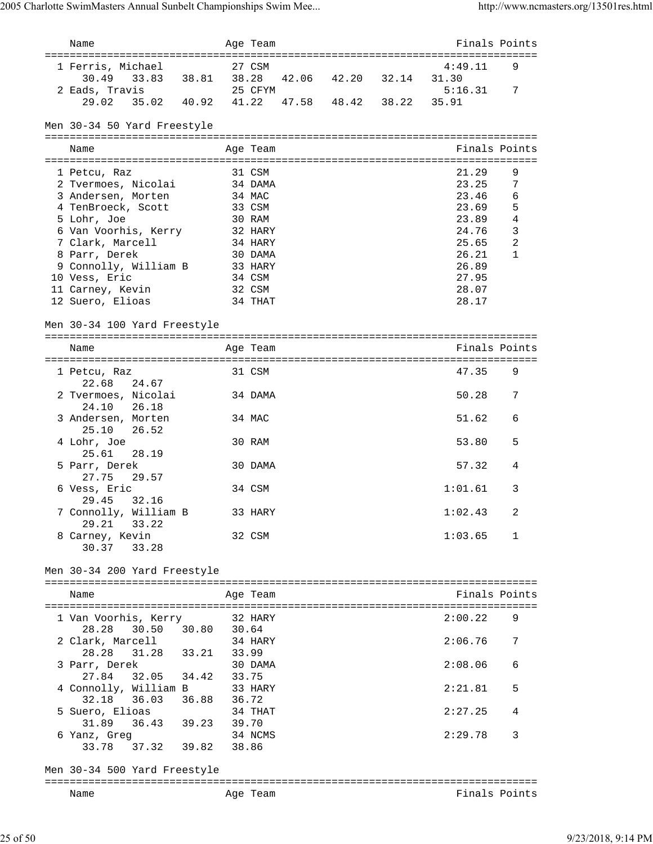| Name                                  |       | Age Team |                            |       | Finals Points |                |
|---------------------------------------|-------|----------|----------------------------|-------|---------------|----------------|
|                                       |       |          |                            |       |               |                |
| 1 Ferris, Michael                     |       | 27 CSM   |                            |       | 4:49.11       | 9              |
| 30.49<br>33.83                        |       |          | 38.81 38.28 42.06 42.20    | 32.14 | 31.30         |                |
| 2 Eads, Travis                        |       | 25 CFYM  |                            |       | 5:16.31       | 7              |
| 29.02<br>35.02<br>40.92               |       |          | 41.22  47.58  48.42  38.22 |       | 35.91         |                |
|                                       |       |          |                            |       |               |                |
| Men 30-34 50 Yard Freestyle           |       |          |                            |       |               |                |
|                                       |       |          |                            |       |               |                |
| Name                                  |       | Age Team |                            |       | Finals Points |                |
|                                       |       |          |                            |       |               |                |
|                                       |       |          |                            |       |               |                |
| 1 Petcu, Raz                          |       | 31 CSM   |                            |       | 21.29         | 9              |
| 2 Tvermoes, Nicolai                   |       | 34 DAMA  |                            |       | 23.25         | 7              |
| 3 Andersen, Morten                    |       | 34 MAC   |                            |       | 23.46         | 6              |
| 4 TenBroeck, Scott                    |       | 33 CSM   |                            |       | 23.69         | 5              |
| 5 Lohr, Joe                           |       | 30 RAM   |                            |       | 23.89         | $\sqrt{4}$     |
| 6 Van Voorhis, Kerry                  |       | 32 HARY  |                            |       | 24.76         | $\overline{3}$ |
| 7 Clark, Marcell                      |       | 34 HARY  |                            |       | 25.65         | $\overline{2}$ |
| 8 Parr, Derek                         |       | 30 DAMA  |                            |       | 26.21         | 1              |
| 9 Connolly, William B                 |       | 33 HARY  |                            |       | 26.89         |                |
| 10 Vess, Eric                         |       | 34 CSM   |                            |       | 27.95         |                |
| 11 Carney, Kevin                      |       | 32 CSM   |                            |       | 28.07         |                |
| 12 Suero, Elioas                      |       | 34 THAT  |                            |       | 28.17         |                |
|                                       |       |          |                            |       |               |                |
| Men 30-34 100 Yard Freestyle          |       |          |                            |       |               |                |
|                                       |       |          |                            |       |               |                |
|                                       |       |          |                            |       |               |                |
| Name                                  |       | Age Team |                            |       | Finals Points |                |
|                                       |       |          |                            |       |               |                |
| 1 Petcu, Raz<br>24.67<br>22.68        |       | 31 CSM   |                            |       | 47.35         | 9              |
| 2 Tvermoes, Nicolai<br>24.10<br>26.18 |       | 34 DAMA  |                            |       | 50.28         | 7              |
| 3 Andersen, Morten                    |       | 34 MAC   |                            |       | 51.62         | 6              |
| 25.10<br>26.52                        |       |          |                            |       |               |                |
|                                       |       |          |                            |       |               |                |
| 4 Lohr, Joe                           |       | 30 RAM   |                            |       | 53.80         | 5              |
| 25.61<br>28.19                        |       |          |                            |       |               |                |
| 5 Parr, Derek                         |       | 30 DAMA  |                            |       | 57.32         | 4              |
| 27.75<br>29.57                        |       |          |                            |       |               |                |
| 6 Vess, Eric                          |       | 34 CSM   |                            |       | 1:01.61       | 3              |
| 29.45<br>32.16                        |       |          |                            |       |               |                |
| 7 Connolly, William B                 |       | 33 HARY  |                            |       | 1:02.43       | 2              |
| 29.21<br>33.22                        |       |          |                            |       |               |                |
| 8 Carney, Kevin                       |       | 32 CSM   |                            |       | 1:03.65       | 1              |
| 30.37<br>33.28                        |       |          |                            |       |               |                |
|                                       |       |          |                            |       |               |                |
| Men 30-34 200 Yard Freestyle          |       |          |                            |       |               |                |
|                                       |       |          |                            |       |               |                |
| Name                                  |       | Age Team |                            |       | Finals Points |                |
|                                       |       |          |                            |       |               |                |
| 1 Van Voorhis, Kerry                  |       | 32 HARY  |                            |       | 2:00.22       | 9              |
| 28.28<br>30.50<br>30.80               | 30.64 |          |                            |       |               |                |
| 2 Clark, Marcell                      |       | 34 HARY  |                            |       | 2:06.76       | 7              |
| 28.28<br>31.28<br>33.21               | 33.99 |          |                            |       |               |                |
| 3 Parr, Derek                         |       | 30 DAMA  |                            |       | 2:08.06       | 6              |
| 27.84<br>32.05 34.42                  | 33.75 |          |                            |       |               |                |
| 4 Connolly, William B                 |       | 33 HARY  |                            |       | 2:21.81       | 5              |
| 32.18<br>36.03<br>36.88               | 36.72 |          |                            |       |               |                |
|                                       |       | 34 THAT  |                            |       | 2:27.25       | 4              |
| 5 Suero, Elioas                       |       |          |                            |       |               |                |
| 31.89<br>36.43<br>39.23               | 39.70 |          |                            |       |               |                |
| 6 Yanz, Greg                          |       | 34 NCMS  |                            |       | 2:29.78       | 3              |
| 37.32<br>33.78<br>39.82               | 38.86 |          |                            |       |               |                |
|                                       |       |          |                            |       |               |                |
| Men 30-34 500 Yard Freestyle          |       |          |                            |       |               |                |
|                                       |       |          |                            |       |               |                |
| Name                                  |       | Age Team |                            |       | Finals Points |                |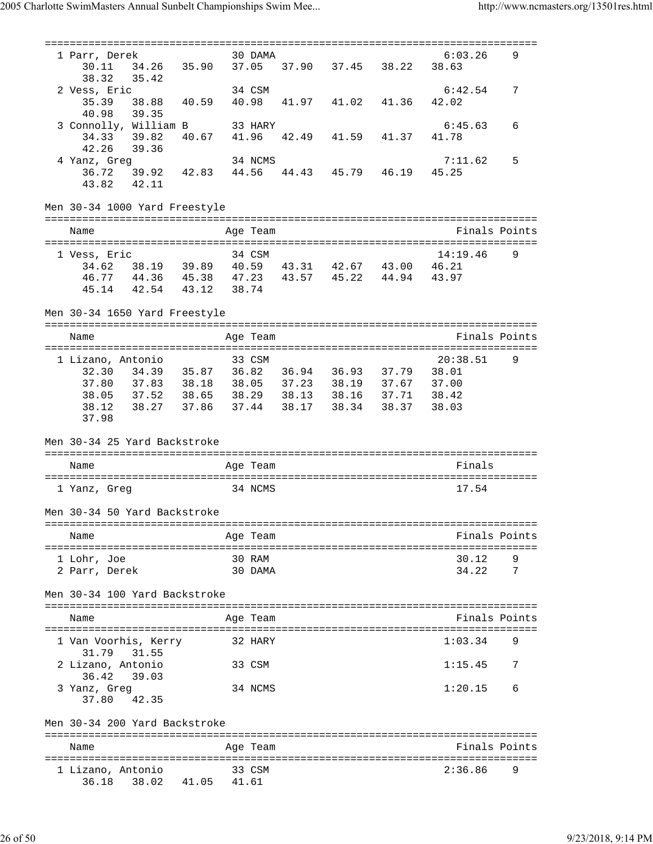=============================================================================== 1 Parr, Derek 30 DAMA 6:03.26 9 30.11 34.26 35.90 37.05 37.90 37.45 38.22 38.63 38.32 35.42 2 Vess, Eric 34 CSM 6:42.54 7 35.39 38.88 40.59 40.98 41.97 41.02 41.36 42.02 40.98 39.35 3 Connolly, William B 33 HARY 6:45.63 6 34.33 39.82 40.67 41.96 42.49 41.59 41.37 41.78 42.26 39.36 4 Yanz, Greq 33.30<br>4 Yanz, Greq 34 NCMS 34 NOMS 7:11.62 5 36.72 39.92 42.83 44.56 44.43 45.79 46.19 45.25 43.82 42.11 Men 30-34 1000 Yard Freestyle =============================================================================== Name Age Team Finals Points =============================================================================== 1 Vess, Eric 34 CSM 14:19.46 9 34.62 38.19 39.89 40.59 43.31 42.67 43.00 46.21 46.77 44.36 45.38 47.23 43.57 45.22 44.94 43.97 45.14 42.54 43.12 38.74 Men 30-34 1650 Yard Freestyle =============================================================================== Name Age Team Finals Points =============================================================================== 1 Lizano, Antonio 33 CSM 20:38.51 9 32.30 34.39 35.87 36.82 36.94 36.93 37.79 38.01 37.80 37.83 38.18 38.05 37.23 38.19 37.67 37.00 38.05 37.52 38.65 38.29 38.13 38.16 37.71 38.42 38.12 38.27 37.86 37.44 38.17 38.34 38.37 38.03 37.98 Men 30-34 25 Yard Backstroke =============================================================================== Name **Age Team** Age Team **Finals** =============================================================================== 1 Yanz, Greg 34 NCMS 17.54 Men 30-34 50 Yard Backstroke =============================================================================== Name Age Team Finals Points =============================================================================== 1 Lohr, Joe 30 RAM 30.12 9 2 Parr, Derek 30 DAMA 34.22 7 Men 30-34 100 Yard Backstroke =============================================================================== Name **Age Team Age Team** Rinals Points =============================================================================== 1 Van Voorhis, Kerry 32 HARY 1:03.34 9 31.79 31.55 2 Lizano, Antonio 33 CSM 1:15.45 7 36.42 39.03 3 Yanz, Greg 34 NCMS 1:20.15 6 37.80 42.35 Men 30-34 200 Yard Backstroke =============================================================================== Name **Age Team** Age Team Finals Points =============================================================================== 1 Lizano, Antonio 33 CSM 2:36.86 9 36.18 38.02 41.05 41.61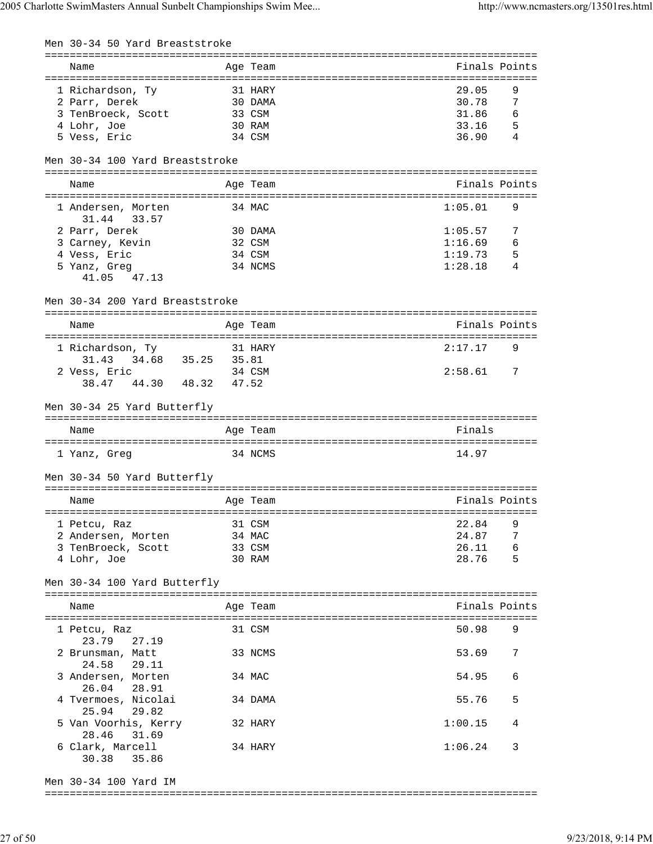| Men 30-34 50 Yard Breaststroke         |         |          |               |
|----------------------------------------|---------|----------|---------------|
| Name                                   |         | Age Team | Finals Points |
| 1 Richardson, Ty                       | 31 HARY |          | 9<br>29.05    |
| 2 Parr, Derek                          | 30 DAMA |          | 30.78<br>7    |
| 3 TenBroeck, Scott 33 CSM              |         |          | 31.86<br>6    |
| 4 Lohr, Joe                            | 30 RAM  |          | 33.16<br>5    |
| 5 Vess, Eric                           |         | 34 CSM   | 4<br>36.90    |
| Men 30-34 100 Yard Breaststroke        |         |          |               |
| Name                                   |         | Age Team | Finals Points |
| 1 Andersen, Morten<br>31.44 33.57      |         | 34 MAC   | 1:05.01<br>9  |
| 2 Parr, Derek                          |         | 30 DAMA  | 1:05.57<br>7  |
| 3 Carney, Kevin                        |         | 32 CSM   | 1:16.69<br>6  |
| 4 Vess, Eric                           |         | 34 CSM   | 1:19.73<br>5  |
| 5 Yanz, Greg                           |         | 34 NCMS  | 1:28.18<br>4  |
| 41.05 47.13                            |         |          |               |
| Men 30-34 200 Yard Breaststroke        |         |          |               |
|                                        |         |          |               |
| Name                                   |         | Age Team | Finals Points |
|                                        |         |          |               |
| 1 Richardson, Ty                       |         | 31 HARY  | 2:17.17       |
| 31.43<br>34.68 35.25                   | 35.81   |          |               |
| 2 Vess, Eric                           |         | 34 CSM   | 2:58.61<br>7  |
| 38.47 44.30 48.32                      | 47.52   |          |               |
| Men 30-34 25 Yard Butterfly            |         |          |               |
|                                        |         |          |               |
| Name                                   |         | Age Team | Finals        |
| 1 Yanz, Greg                           |         | 34 NCMS  | 14.97         |
| Men 30-34 50 Yard Butterfly            |         |          |               |
|                                        |         |          |               |
| Name                                   |         | Age Team | Finals Points |
|                                        |         |          |               |
| 1 Petcu, Raz                           |         | 31 CSM   | 22.84<br>9    |
| 2 Andersen, Morten                     |         | 34 MAC   | 24.87<br>7    |
| 3 TenBroeck, Scott                     |         | 33 CSM   | 6<br>26.11    |
| 4 Lohr, Joe                            |         | 30 RAM   | 5<br>28.76    |
| Men 30-34 100 Yard Butterfly           |         |          |               |
|                                        |         |          |               |
| Name                                   |         | Age Team | Finals Points |
| 1 Petcu, Raz                           |         | 31 CSM   | 50.98<br>9    |
| 23.79<br>27.19<br>2 Brunsman, Matt     |         | 33 NCMS  | 53.69<br>7    |
| 24.58<br>29.11                         |         |          |               |
| 3 Andersen, Morten<br>26.04            |         | 34 MAC   | 54.95<br>6    |
| 28.91<br>4 Tvermoes, Nicolai           |         | 34 DAMA  | 5<br>55.76    |
| 29.82<br>25.94<br>5 Van Voorhis, Kerry |         | 32 HARY  | 1:00.15<br>4  |
| 28.46<br>31.69<br>6 Clark, Marcell     |         | 34 HARY  | 1:06.24<br>3  |
| 30.38<br>35.86                         |         |          |               |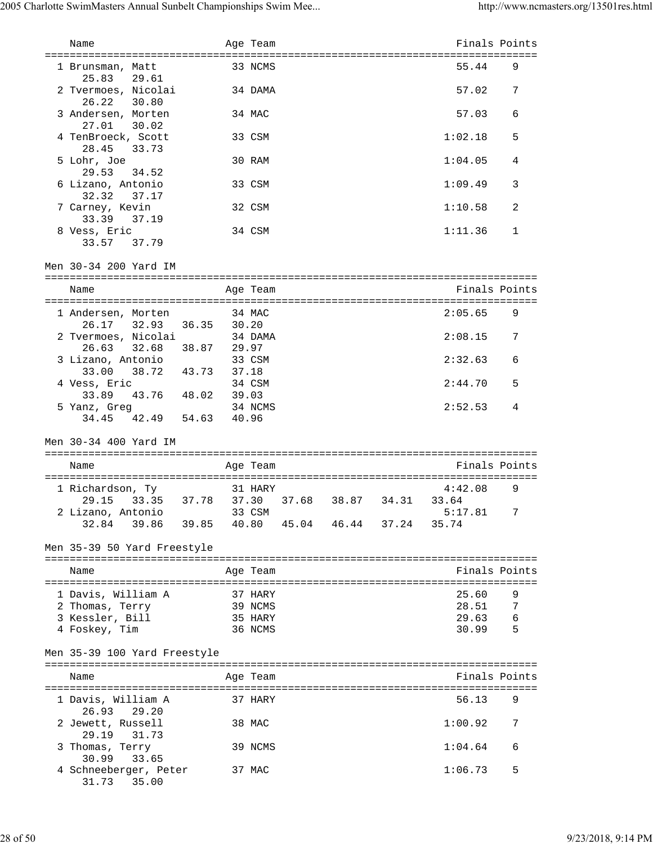| Name                                                                                         |         | Age Team           |                   | Finals Points             |        |
|----------------------------------------------------------------------------------------------|---------|--------------------|-------------------|---------------------------|--------|
| 1 Brunsman, Matt<br>25.83<br>29.61                                                           |         | 33 NCMS            |                   | 55.44                     | 9      |
| 2 Tvermoes, Nicolai<br>26.22<br>30.80                                                        |         | 34 DAMA            |                   | 57.02                     | 7      |
| 3 Andersen, Morten<br>27.01<br>30.02                                                         |         | 34 MAC             |                   | 57.03                     | 6      |
| 4 TenBroeck, Scott<br>28.45<br>33.73                                                         |         | 33 CSM             |                   | 1:02.18                   | 5      |
| 5 Lohr, Joe<br>29.53 34.52                                                                   |         | 30 RAM             |                   | 1:04.05                   | 4      |
| 6 Lizano, Antonio<br>32.32 37.17                                                             |         | 33 CSM             |                   | 1:09.49                   | 3      |
| 7 Carney, Kevin<br>33.39 37.19                                                               |         | 32 CSM             |                   | 1:10.58                   | 2      |
| 8 Vess, Eric<br>33.57 37.79                                                                  |         | 34 CSM             |                   | 1:11.36                   | 1      |
| Men 30-34 200 Yard IM                                                                        |         |                    |                   |                           |        |
| Name                                                                                         |         | Age Team           |                   | Finals Points             |        |
| 1 Andersen, Morten<br>26.17 32.93 36.35                                                      | 30.20   | 34 MAC             |                   | 2:05.65                   | 9      |
| 2 Tvermoes, Nicolai<br>38.87 29.97<br>26.63 32.68                                            |         | 34 DAMA            |                   | 2:08.15                   | 7      |
| 3 Lizano, Antonio<br>33.00 38.72 43.73 37.18                                                 |         | 33 CSM             |                   | 2:32.63                   | 6      |
| 4 Vess, Eric<br>43.76 48.02<br>33.89                                                         | 39.03   | 34 CSM             |                   | 2:44.70                   | 5      |
| 5 Yanz, Greg<br>34.45 42.49 54.63                                                            | 40.96   | 34 NCMS            |                   | 2:52.53                   | 4      |
| Men 30-34 400 Yard IM                                                                        |         |                    |                   |                           |        |
| Name                                                                                         |         | Age Team           |                   | Finals Points             |        |
| 1 Richardson, Ty                                                                             | 31 HARY |                    |                   | 4:42.08                   | 9      |
| 29.15 33.35 37.78 37.30<br>2 Lizano, Antonio<br>39.86 39.85 40.80 45.04 46.44 37.24<br>32.84 |         | 33 CSM             | 37.68 38.87 34.31 | 33.64<br>5:17.81<br>35.74 | 7      |
| Men 35-39 50 Yard Freestyle                                                                  |         |                    |                   |                           |        |
| Name                                                                                         |         |                    |                   | Finals Points             |        |
|                                                                                              |         | Age Team           |                   |                           |        |
| 1 Davis, William A<br>2 Thomas, Terry                                                        |         | 37 HARY<br>39 NCMS |                   | 25.60<br>28.51            | 9<br>7 |
| 3 Kessler, Bill                                                                              |         | 35 HARY            |                   | 29.63                     | 6      |
| 4 Foskey, Tim                                                                                |         | 36 NCMS            |                   | 30.99                     | - 5    |
| Men 35-39 100 Yard Freestyle                                                                 |         |                    |                   |                           |        |
| Name                                                                                         |         | Age Team           |                   | Finals Points             |        |
| 1 Davis, William A<br>26.93<br>29.20                                                         |         | 37 HARY            |                   | 56.13                     | 9      |
| 2 Jewett, Russell<br>29.19<br>31.73                                                          |         | 38 MAC             |                   | 1:00.92                   | 7      |
| 3 Thomas, Terry<br>30.99<br>33.65                                                            |         | 39 NCMS            |                   | 1:04.64                   | 6      |
| 4 Schneeberger, Peter<br>35.00<br>31.73                                                      |         | 37 MAC             |                   | 1:06.73                   | 5      |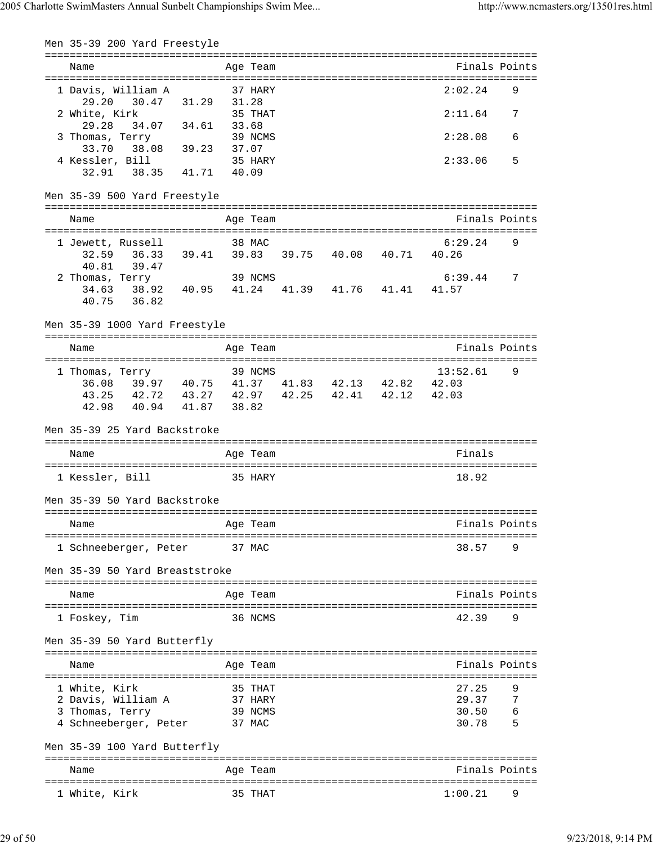| Men 35-39 200 Yard Freestyle                                                                                    |                   |                   |  |                            |        |
|-----------------------------------------------------------------------------------------------------------------|-------------------|-------------------|--|----------------------------|--------|
| Name                                                                                                            |                   | Age Team          |  | Finals Points              |        |
| 1 Davis, William A<br>29.20                                                                                     | 30.47 31.29 31.28 | 37 HARY           |  | 2:02.24                    | 9      |
| 2 White, Kirk<br>29.28                                                                                          | 34.07 34.61 33.68 | 35 THAT           |  | 2:11.64                    | 7      |
| 3 Thomas, Terry 39 NCI<br>33.70 38.08 39.23 37.07                                                               |                   | 39 NCMS           |  | 2:28.08                    | 6      |
| 4 Kessler, Bill<br>32.91 38.35 41.71 40.09                                                                      |                   | 35 HARY           |  | 2:33.06                    | 5      |
| Men 35-39 500 Yard Freestyle                                                                                    |                   |                   |  |                            |        |
| Name                                                                                                            |                   | Age Team          |  | Finals Points              |        |
| 1 Jewett, Russell                                                                                               |                   | 38 MAC            |  | 6:29.24                    | 9      |
| 32.59  36.33  39.41  39.83  39.75  40.08  40.71  40.26<br>40.81 39.47                                           |                   |                   |  |                            |        |
| 2 Thomas, Terry 39 NCMS 6:39<br>34.63 38.92 40.95 41.24 41.39 41.76 41.41 41.57                                 |                   |                   |  | $6:39.44$ 7                |        |
| 40.75 36.82                                                                                                     |                   |                   |  |                            |        |
| Men 35-39 1000 Yard Freestyle                                                                                   |                   |                   |  |                            |        |
| Name                                                                                                            |                   | Age Team          |  | Finals Points              |        |
| 1 Thomas, Terry<br>36.08 39.97 40.75 41.37 41.83 42.13 42.82 42.03<br>43.25 42.72 43.27 42.97 42.25 42.41 42.12 |                   | 39 NCMS           |  | 13:52.61<br>42.03          | 9      |
| 42.98 40.94 41.87 38.82                                                                                         |                   |                   |  |                            |        |
| Men 35-39 25 Yard Backstroke                                                                                    |                   |                   |  |                            |        |
| Name                                                                                                            |                   | Age Team          |  | Finals                     |        |
| 1 Kessler, Bill                                                                                                 | 35 HARY           |                   |  | 18.92                      |        |
| Men 35-39 50 Yard Backstroke                                                                                    |                   |                   |  |                            |        |
| Name                                                                                                            |                   | Age Team          |  | Finals Points              |        |
| 1 Schneeberger, Peter                                                                                           |                   | 37 MAC            |  | 38.57                      |        |
| Men 35-39 50 Yard Breaststroke                                                                                  |                   |                   |  |                            |        |
| Name                                                                                                            |                   | Age Team          |  | Finals Points              |        |
| 1 Foskey, Tim                                                                                                   |                   | 36 NCMS           |  | 42.39                      | 9      |
| Men 35-39 50 Yard Butterfly                                                                                     |                   |                   |  |                            |        |
| Name                                                                                                            |                   | Age Team          |  | Finals Points              |        |
| 1 White, Kirk                                                                                                   |                   | 35 THAT           |  | 27.25                      |        |
| 2 Davis, William A                                                                                              |                   | 37 HARY           |  | 29.37                      | 7      |
| 3 Thomas, Terry<br>4 Schneeberger, Peter                                                                        |                   | 39 NCMS<br>37 MAC |  | 30.50<br>30.78             | 6<br>5 |
| Men 35-39 100 Yard Butterfly                                                                                    |                   |                   |  |                            |        |
| ============================<br>Name                                                                            |                   | Age Team          |  | Finals Points              |        |
|                                                                                                                 |                   |                   |  | ========================== |        |
| 1 White, Kirk                                                                                                   |                   | 35 THAT           |  | 1:00.21                    | 9      |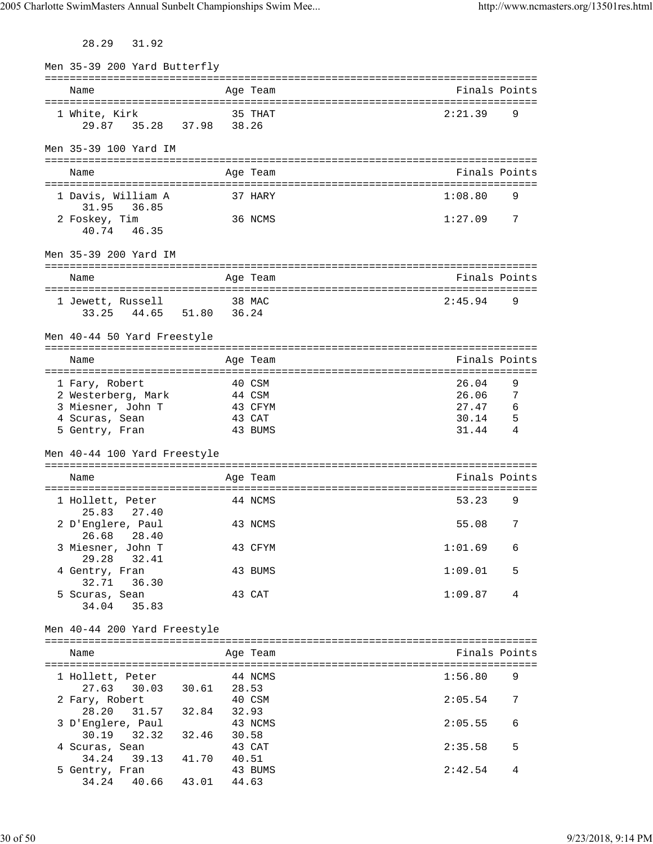28.29 31.92

| Men 35-39 200 Yard Butterfly                       |                                  |          |                |
|----------------------------------------------------|----------------------------------|----------|----------------|
| Name                                               |                                  | Age Team | Finals Points  |
| 1 White, Kirk<br>29.87                             | 35.28 37.98 38.26                | 35 THAT  | 2:21.39<br>9   |
| Men 35-39 100 Yard IM                              |                                  |          |                |
| Name                                               |                                  | Age Team | Finals Points  |
| 1 Davis, William A<br>31.95 36.85                  |                                  | 37 HARY  | 1:08.80<br>9   |
| 2 Foskey, Tim<br>40.74 46.35                       |                                  | 36 NCMS  | 1:27.09<br>- 7 |
| Men 35-39 200 Yard IM                              |                                  |          |                |
| Name                                               |                                  | Age Team | Finals Points  |
| 1 Jewett, Russell<br>33.25 44.65 51.80 36.24       |                                  | 38 MAC   | 2:45.94<br>9   |
| Men 40-44 50 Yard Freestyle                        |                                  |          |                |
| Name                                               |                                  | Age Team | Finals Points  |
| 1 Fary, Robert                                     |                                  | 40 CSM   | 26.04<br>9     |
| 2 Westerberg, Mark                                 |                                  | 44 CSM   | 26.06<br>7     |
| 3 Miesner, John T                                  |                                  | 43 CFYM  | 27.47<br>6     |
| 4 Scuras, Sean                                     | 43 CAT                           |          | 30.14<br>5     |
| 5 Gentry, Fran                                     |                                  | 43 BUMS  | 31.44<br>4     |
| Men 40-44 100 Yard Freestyle                       |                                  |          |                |
| Name                                               |                                  | Age Team | Finals Points  |
| 1 Hollett, Peter                                   |                                  | 44 NCMS  | 53.23<br>9     |
| 27.40<br>25.83<br>2 D'Englere, Paul                | 43 NCMS                          |          | 55.08<br>7     |
| 26.68 28.40<br>3 Miesner, John T<br>29.28<br>32.41 |                                  | 43 CFYM  | 1:01.69<br>6   |
| 4 Gentry, Fran<br>32.71<br>36.30                   |                                  | 43 BUMS  | 1:09.01<br>5   |
| 5 Scuras, Sean<br>34.04<br>35.83                   |                                  | 43 CAT   | 1:09.87<br>4   |
| Men 40-44 200 Yard Freestyle                       |                                  |          |                |
| Name                                               |                                  | Age Team | Finals Points  |
| 1 Hollett, Peter                                   |                                  | 44 NCMS  | 1:56.80<br>9   |
| 27.63 30.03 30.61 28.53<br>2 Fary, Robert          |                                  | 40 CSM   | 2:05.54<br>7   |
| 28.20<br>3 D'Englere, Paul                         | 31.57 32.84 32.93                | 43 NCMS  | 2:05.55<br>6   |
| 30.19<br>32.32<br>4 Scuras, Sean                   | 32.46<br>30.58                   | 43 CAT   | 2:35.58<br>5   |
| 34.24<br>5 Gentry, Fran<br>40.66<br>34.24          | 39.13 41.70 40.51<br>43.01 44.63 | 43 BUMS  | 2:42.54<br>4   |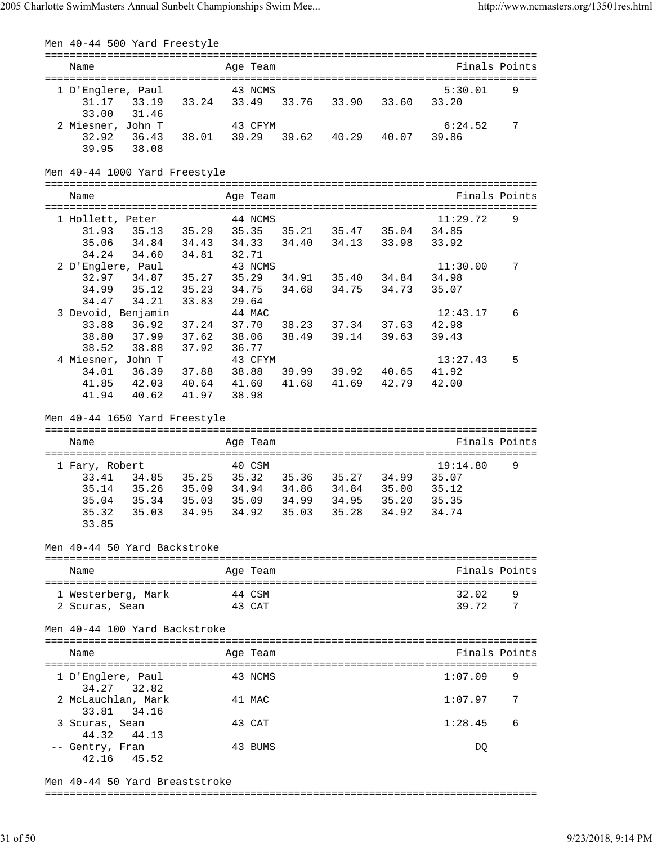| Men 40-44 500 Yard Freestyle                                                           |        |        |          |       |                                        |       |                   |                |
|----------------------------------------------------------------------------------------|--------|--------|----------|-------|----------------------------------------|-------|-------------------|----------------|
| Name                                                                                   |        |        | Age Team |       |                                        |       | Finals Points     |                |
|                                                                                        |        |        |          |       |                                        |       |                   |                |
| 1 D'Englere, Paul                                                                      |        |        | 43 NCMS  |       |                                        |       | 5:30.01           | 9              |
| 33.19 33.24 33.49 33.76 33.90<br>31.17                                                 |        |        |          |       |                                        | 33.60 | 33.20             |                |
| 33.00<br>31.46<br>2 Miesner, John T                                                    |        |        | 43 CFYM  |       |                                        |       | 6:24.52           | 7              |
| 36.43 38.01 39.29 39.62 40.29 40.07<br>32.92                                           |        |        |          |       |                                        |       | 39.86             |                |
| 38.08<br>39.95                                                                         |        |        |          |       |                                        |       |                   |                |
| Men 40-44 1000 Yard Freestyle                                                          |        |        |          |       |                                        |       |                   |                |
|                                                                                        |        |        |          |       |                                        |       |                   |                |
| Name                                                                                   |        |        | Age Team |       |                                        |       | Finals Points     |                |
| 1 Hollett, Peter                                                                       |        |        | 44 NCMS  |       |                                        |       | 11:29.72          | 9              |
| 31.93  35.13  35.29  35.35  35.21  35.47  35.04  34.85                                 |        |        |          |       |                                        |       |                   |                |
| 34.84 34.43 34.33 34.40 34.13 33.98<br>35.06                                           |        |        |          |       |                                        |       | 33.92             |                |
| 34.24<br>34.60 34.81                                                                   |        | 32.71  |          |       |                                        |       |                   |                |
| 2 D'Englere, Paul                                                                      |        |        | 43 NCMS  |       |                                        |       | 11:30.00          | 7              |
| 32.97 34.87 35.27 35.29 34.91 35.40 34.84                                              |        |        |          |       |                                        |       | 34.98             |                |
| 34.99  35.12  35.23  34.75  34.68  34.75  34.73                                        |        |        |          |       |                                        |       | 35.07             |                |
| 34.21 33.83<br>34.47                                                                   |        | 29.64  |          |       |                                        |       |                   |                |
| 3 Devoid, Benjamin<br>36.92                                                            | 37.24  |        | 44 MAC   |       |                                        |       | 12:43.17<br>42.98 | 6              |
| 33.88<br>38.80<br>37.99                                                                | 37.62  | 38.06  |          | 38.49 | 37.70 38.23 37.34 37.63<br>39.14 39.63 |       | 39.43             |                |
| 38.52<br>38.88 37.92                                                                   |        | 36.77  |          |       |                                        |       |                   |                |
| 4 Miesner, John T                                                                      |        |        | 43 CFYM  |       |                                        |       | 13:27.43          | 5              |
| 36.39 37.88 38.88 39.99 39.92 40.65<br>34.01                                           |        |        |          |       |                                        |       | 41.92             |                |
| 41.85  42.03  40.64  41.60  41.68  41.69  42.79                                        |        |        |          |       |                                        |       | 42.00             |                |
| 41.94<br>40.62                                                                         | 41.97  | 38.98  |          |       |                                        |       |                   |                |
| Men 40-44 1650 Yard Freestyle                                                          |        |        |          |       |                                        |       |                   |                |
|                                                                                        |        |        |          |       |                                        |       |                   |                |
| Name                                                                                   |        |        | Age Team |       |                                        |       | Finals Points     |                |
|                                                                                        |        |        |          |       |                                        |       |                   |                |
| 1 Fary, Robert                                                                         |        |        | 40 CSM   |       |                                        |       | 19:14.80          | 9              |
| 33.41 34.85 35.25 35.32 35.36 35.27 34.99<br>35.14 35.26 35.09 34.94 34.86 34.84 35.00 |        |        |          |       |                                        |       | 35.07<br>35.12    |                |
| 35.34 35.03<br>35.04                                                                   |        |        |          |       | 35.09 34.99 34.95 35.20                |       | 35.35             |                |
| 35.32 35.03 34.95 34.92 35.03 35.28 34.92                                              |        |        |          |       |                                        |       | 34.74             |                |
| 33.85                                                                                  |        |        |          |       |                                        |       |                   |                |
| Men 40-44 50 Yard Backstroke                                                           |        |        |          |       |                                        |       |                   |                |
|                                                                                        |        |        |          |       |                                        |       |                   |                |
| Name                                                                                   |        |        | Age Team |       |                                        |       | Finals Points     |                |
| 1 Westerberg, Mark                                                                     | 44 CSM |        |          |       |                                        |       | 32.02             |                |
| 2 Scuras, Sean                                                                         |        | 43 CAT |          |       |                                        |       | 39.72             | $\overline{7}$ |
| Men 40-44 100 Yard Backstroke                                                          |        |        |          |       |                                        |       |                   |                |
| Name                                                                                   |        |        | Age Team |       |                                        |       | Finals Points     |                |
|                                                                                        |        |        |          |       |                                        |       |                   |                |
| 1 D'Englere, Paul<br>34.27 32.82                                                       |        |        | 43 NCMS  |       |                                        |       | 1:07.09           | 9              |
| 2 McLauchlan, Mark                                                                     |        |        | 41 MAC   |       |                                        |       | 1:07.97           | 7              |
| 33.81<br>34.16<br>3 Scuras, Sean                                                       |        |        | 43 CAT   |       |                                        |       | 1:28.45           | 6              |
| 44.32 44.13                                                                            |        |        |          |       |                                        |       |                   |                |
| -- Gentry, Fran<br>42.16<br>45.52                                                      |        |        | 43 BUMS  |       |                                        |       | DQ                |                |
| Men 40-44 50 Yard Breaststroke                                                         |        |        |          |       |                                        |       |                   |                |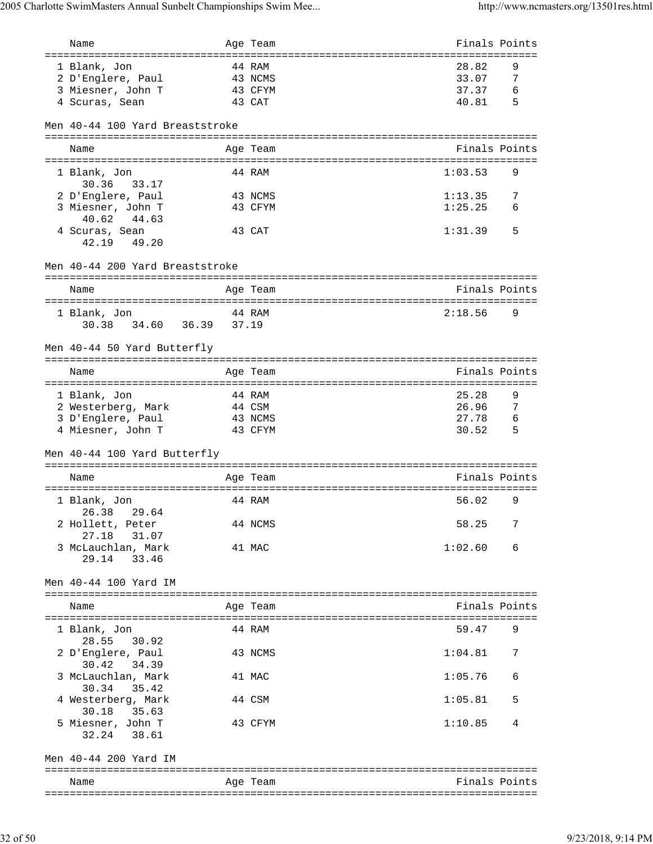| Name                                                                     | Age Team                               |                | Finals Points                      |
|--------------------------------------------------------------------------|----------------------------------------|----------------|------------------------------------|
| 1 Blank, Jon<br>2 D'Englere, Paul<br>3 Miesner, John T<br>4 Scuras, Sean | 44 RAM<br>43 NCMS<br>43 CFYM<br>43 CAT | 28.82<br>40.81 | 9<br>33.07<br>7<br>37.37<br>6<br>5 |
| Men 40-44 100 Yard Breaststroke                                          |                                        |                |                                    |
| Name                                                                     | Age Team                               |                | Finals Points                      |
| 1 Blank, Jon                                                             | 44 RAM                                 | 1:03.53        | 9                                  |
| 30.36 33.17<br>2 D'Englere, Paul                                         | 43 NCMS                                | 1:13.35        | 7                                  |
| 3 Miesner, John T<br>40.62 44.63                                         | 43 CFYM                                | 1:25.25        | 6                                  |
| 4 Scuras, Sean<br>42.19 49.20                                            | 43 CAT                                 | 1:31.39        | 5                                  |
| Men 40-44 200 Yard Breaststroke                                          |                                        |                |                                    |
| Name                                                                     | Age Team                               |                | Finals Points                      |
| 1 Blank, Jon<br>30.38 34.60 36.39 37.19                                  | 44 RAM                                 | 2:18.56        | 9                                  |
| Men 40-44 50 Yard Butterfly                                              |                                        |                |                                    |
| Name                                                                     | Age Team                               |                | Finals Points                      |
| 1 Blank, Jon                                                             | 44 RAM                                 | 25.28          | 9                                  |
| 2 Westerberg, Mark                                                       | 44 CSM                                 |                | 26.96<br>7                         |
| 3 D'Englere, Paul<br>4 Miesner, John T                                   | 43 NCMS<br>43 CFYM                     | 30.52          | 27.78<br>6<br>5                    |
| Men 40-44 100 Yard Butterfly                                             |                                        |                |                                    |
| Name                                                                     | Age Team                               |                | Finals Points                      |
| 1 Blank, Jon                                                             | 44 RAM                                 | 56.02          | 9                                  |
| 26.38 29.64<br>2 Hollett, Peter                                          | 44 NCMS                                |                | 58.25<br>7                         |
| 31.07<br>27.18                                                           |                                        |                |                                    |
| 3 McLauchlan, Mark<br>29.14<br>33.46                                     | 41 MAC                                 | 1:02.60        | 6                                  |
| Men 40-44 100 Yard IM                                                    |                                        |                |                                    |
| Name                                                                     | Age Team                               |                | Finals Points                      |
| 1 Blank, Jon<br>28.55<br>30.92                                           | 44 RAM                                 | 59.47          | 9                                  |
| 2 D'Englere, Paul<br>34.39<br>30.42                                      | 43 NCMS                                | 1:04.81        | 7                                  |
| 3 McLauchlan, Mark<br>30.34<br>35.42                                     | 41 MAC                                 | 1:05.76        | 6                                  |
| 4 Westerberg, Mark<br>30.18 35.63                                        | 44 CSM                                 | 1:05.81        | 5                                  |
| 5 Miesner, John T<br>32.24 38.61                                         | 43 CFYM                                | 1:10.85        | 4                                  |
| Men 40-44 200 Yard IM                                                    |                                        |                |                                    |
| Name                                                                     | Age Team                               |                | Finals Points                      |
|                                                                          |                                        |                |                                    |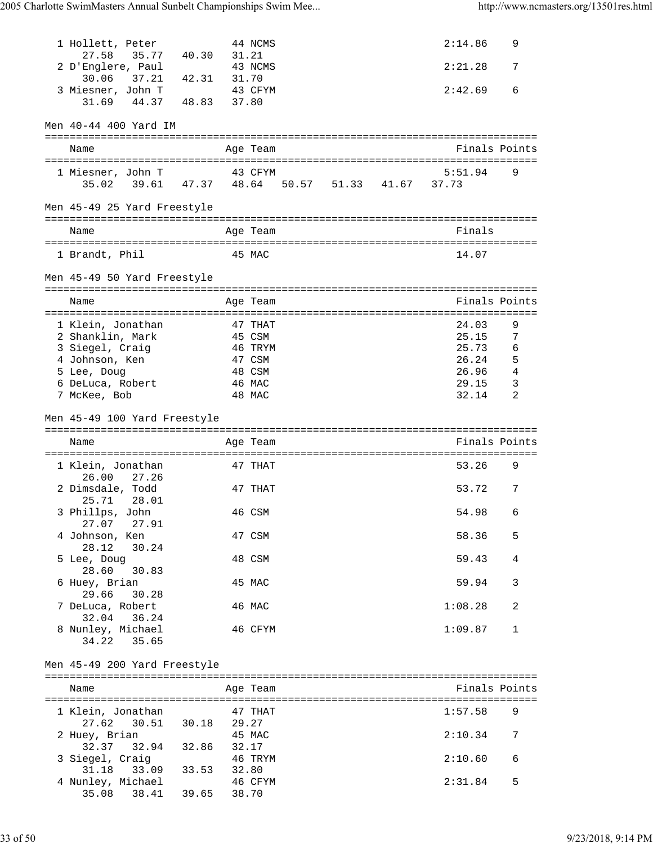| 1 Hollett, Peter<br>27.58<br>35.77 40.30        | 31.21   | 44 NCMS  |  | 2:14.86 | 9             |
|-------------------------------------------------|---------|----------|--|---------|---------------|
| 2 D'Englere, Paul<br>30.06 37.21 42.31 31.70    |         | 43 NCMS  |  | 2:21.28 | 7             |
| 3 Miesner, John T<br>31.69 44.37 48.83          | 37.80   | 43 CFYM  |  | 2:42.69 | 6             |
| Men 40-44 400 Yard IM                           |         |          |  |         |               |
| Name                                            |         | Age Team |  |         | Finals Points |
| 1 Miesner, John T                               | 43 CFYM |          |  | 5:51.94 | 9             |
| 35.02 39.61 47.37 48.64 50.57 51.33 41.67 37.73 |         |          |  |         |               |
| Men 45-49 25 Yard Freestyle                     |         |          |  |         |               |
| Name                                            |         | Age Team |  | Finals  |               |
| 1 Brandt, Phil                                  |         | 45 MAC   |  | 14.07   |               |
| Men 45-49 50 Yard Freestyle                     |         |          |  |         |               |
| Name                                            |         | Age Team |  |         | Finals Points |
| 1 Klein, Jonathan                               |         | 47 THAT  |  | 24.03   | 9             |
| 2 Shanklin, Mark                                |         | 45 CSM   |  | 25.15   | 7             |
| 3 Siegel, Craig                                 |         | 46 TRYM  |  | 25.73   | 6             |
| 4 Johnson, Ken                                  |         | 47 CSM   |  | 26.24   | - 5           |
| 5 Lee, Doug                                     |         | 48 CSM   |  | 26.96   | 4             |
| 6 DeLuca, Robert                                |         | 46 MAC   |  | 29.15   | 3             |
| 7 McKee, Bob                                    |         | 48 MAC   |  | 32.14   | 2             |
| Men 45-49 100 Yard Freestyle                    |         |          |  |         |               |
|                                                 |         |          |  |         |               |
| Name                                            |         | Age Team |  |         | Finals Points |
| 1 Klein, Jonathan                               |         | 47 THAT  |  | 53.26   | 9             |
| 26.00<br>27.26<br>2 Dimsdale, Todd              |         | 47 THAT  |  | 53.72   | 7             |
| 25.71<br>28.01<br>3 Phillps, John               |         | 46 CSM   |  | 54.98   | 6             |
| 27.07 27.91<br>4 Johnson, Ken                   |         | 47 CSM   |  | 58.36   | 5             |
| 28.12<br>30.24<br>5 Lee, Doug                   |         | 48 CSM   |  | 59.43   | 4             |
| 28.60<br>30.83<br>6 Huey, Brian                 |         | 45 MAC   |  | 59.94   | 3             |
| 29.66<br>30.28<br>7 DeLuca, Robert              |         | 46 MAC   |  | 1:08.28 | 2             |
| 32.04 36.24<br>8 Nunley, Michael<br>34.22 35.65 |         | 46 CFYM  |  | 1:09.87 | 1             |
| Men 45-49 200 Yard Freestyle                    |         |          |  |         |               |
| Name                                            |         | Age Team |  |         | Finals Points |
| 1 Klein, Jonathan                               | 47 THAT |          |  | 1:57.58 | 9             |
| 30.51 30.18 29.27<br>27.62                      |         |          |  |         |               |
| 2 Huey, Brian                                   |         | 45 MAC   |  | 2:10.34 | 7             |
| 32.37 32.94 32.86 32.17<br>3 Siegel, Craig      |         | 46 TRYM  |  | 2:10.60 | 6             |
| 31.18 33.09 33.53 32.80                         |         |          |  |         |               |
| 4 Nunley, Michael<br>35.08 38.41 39.65 38.70    |         | 46 CFYM  |  | 2:31.84 | 5             |

33 of 50 9/23/2018, 9:14 PM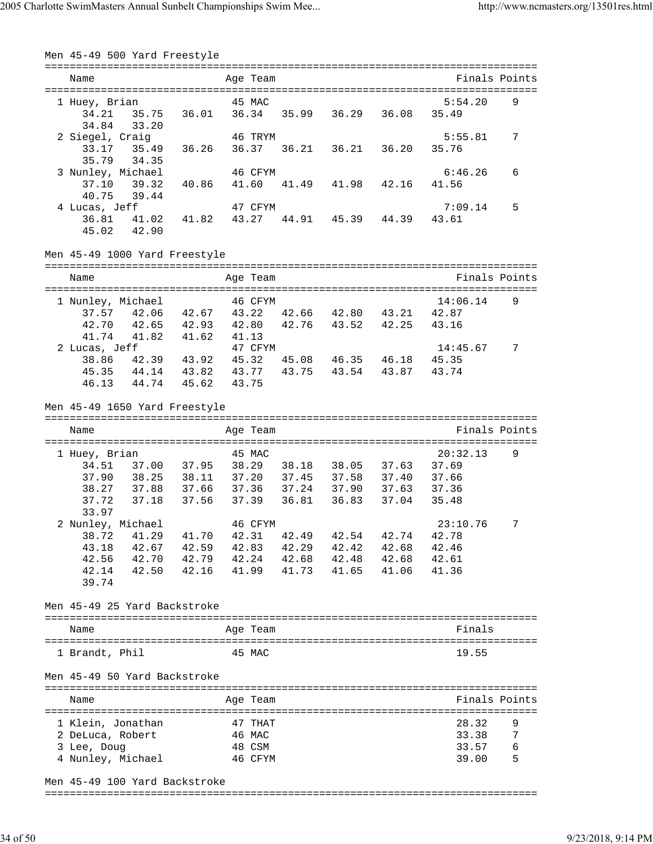| Men 45-49 500 Yard Freestyle  |                                                                                        |                  |                         |                     |             |                  |               |
|-------------------------------|----------------------------------------------------------------------------------------|------------------|-------------------------|---------------------|-------------|------------------|---------------|
| Name                          |                                                                                        | Age Team         |                         |                     |             | Finals Points    |               |
|                               |                                                                                        |                  |                         |                     |             |                  |               |
| 1 Huey, Brian                 |                                                                                        | 45 MAC           |                         |                     |             | 5:54.20          | 9             |
| 34.21                         | 35.75<br>36.01                                                                         |                  | 36.34 35.99 36.29 36.08 |                     |             | 35.49            |               |
| 33.20<br>34.84                |                                                                                        |                  |                         |                     |             |                  |               |
| 2 Siegel, Craig               |                                                                                        | 46 TRYM          |                         |                     |             | 5:55.81          | 7             |
|                               | 33.17 35.49 36.26                                                                      |                  | 36.37 36.21 36.21 36.20 |                     |             | 35.76            |               |
| 35.79 34.35                   |                                                                                        |                  |                         |                     |             |                  |               |
| 3 Nunley, Michael<br>37.10    |                                                                                        | 46 CFYM<br>41.60 | 41.49  41.98  42.16     |                     |             | 6:46.26<br>41.56 | 6             |
| 39.32<br>40.75<br>39.44       | 40.86                                                                                  |                  |                         |                     |             |                  |               |
| 4 Lucas, Jeff                 |                                                                                        | 47 CFYM          |                         |                     |             | 7:09.14          | 5             |
| 36.81                         | 41.02 41.82                                                                            | 43.27            | 44.91 45.39 44.39       |                     |             | 43.61            |               |
| 45.02 42.90                   |                                                                                        |                  |                         |                     |             |                  |               |
|                               |                                                                                        |                  |                         |                     |             |                  |               |
| Men 45-49 1000 Yard Freestyle |                                                                                        |                  |                         |                     |             |                  |               |
| Name                          |                                                                                        | Age Team         |                         |                     |             | Finals Points    |               |
| 1 Nunley, Michael             |                                                                                        | 46 CFYM          |                         |                     |             | 14:06.14         | 9             |
|                               | 37.57 42.06 42.67 43.22                                                                |                  | 42.66 42.80 43.21       |                     |             | 42.87            |               |
| 42.70                         | 42.65 42.93                                                                            |                  | 42.80 42.76 43.52 42.25 |                     |             | 43.16            |               |
| 41.74                         | 41.82 41.62                                                                            | 41.13            |                         |                     |             |                  |               |
| 2 Lucas, Jeff                 |                                                                                        | 47 CFYM          |                         |                     |             | 14:45.67         | 7             |
|                               | 38.86 42.39 43.92 45.32 45.08 46.35 46.18                                              |                  |                         |                     |             | 45.35            |               |
|                               | 45.35 44.14 43.82 43.77 43.75 43.54 43.87                                              |                  |                         |                     |             | 43.74            |               |
|                               | 46.13 44.74 45.62                                                                      | 43.75            |                         |                     |             |                  |               |
| Men 45-49 1650 Yard Freestyle |                                                                                        |                  |                         |                     |             |                  |               |
|                               |                                                                                        | Age Team         |                         |                     |             |                  | Finals Points |
| Name                          |                                                                                        |                  |                         |                     |             |                  |               |
|                               |                                                                                        |                  |                         |                     |             |                  |               |
| 1 Huey, Brian                 |                                                                                        | 45 MAC           |                         |                     |             | 20:32.13         | 9             |
|                               |                                                                                        |                  |                         |                     |             | 37.69            |               |
|                               | 34.51 37.00 37.95 38.29 38.18 38.05 37.63<br>37.90 38.25 38.11 37.20 37.45 37.58 37.40 |                  |                         |                     |             | 37.66            |               |
| 38.27                         | 37.88 37.66 37.36 37.24 37.90 37.63<br>37.18 37.56                                     |                  |                         |                     |             | 37.36            |               |
| 37.72<br>33.97                |                                                                                        | 37.39            | 36.81                   |                     | 36.83 37.04 | 35.48            |               |
|                               |                                                                                        | 46 CFYM          |                         |                     |             | 23:10.76         | 7             |
| 2 Nunley, Michael<br>38.72    | 41.29<br>41.70                                                                         | 42.31            | 42.49                   |                     | 42.54 42.74 | 42.78            |               |
| 43.18                         | 42.67 42.59 42.83                                                                      |                  |                         | 42.29  42.42  42.68 |             | 42.46            |               |
| 42.56                         | 42.70  42.79  42.24  42.68  42.48  42.68                                               |                  |                         |                     |             | 42.61            |               |
| 42.14                         | 42.50 42.16                                                                            | 41.99            |                         | 41.73  41.65  41.06 |             | 41.36            |               |
| 39.74                         |                                                                                        |                  |                         |                     |             |                  |               |
| Men 45-49 25 Yard Backstroke  |                                                                                        |                  |                         |                     |             |                  |               |
| Name                          |                                                                                        | Age Team         |                         |                     |             | Finals           |               |
|                               |                                                                                        |                  |                         |                     |             |                  |               |
| 1 Brandt, Phil                |                                                                                        | 45 MAC           |                         |                     |             | 19.55            |               |
| Men 45-49 50 Yard Backstroke  |                                                                                        |                  |                         |                     |             |                  |               |
| Name                          |                                                                                        | Age Team         |                         |                     |             | Finals Points    |               |
|                               |                                                                                        |                  |                         |                     |             |                  |               |
| 1 Klein, Jonathan             |                                                                                        | 47 THAT          |                         |                     |             | 28.32            | 9             |
| 2 DeLuca, Robert              |                                                                                        | 46 MAC           |                         |                     |             | 33.38            | 7             |
| 3 Lee, Doug                   |                                                                                        | 48 CSM           |                         |                     |             | 33.57            | 6             |
| 4 Nunley, Michael             |                                                                                        | 46 CFYM          |                         |                     |             | 39.00            | 5             |

Men 45-49 100 Yard Backstroke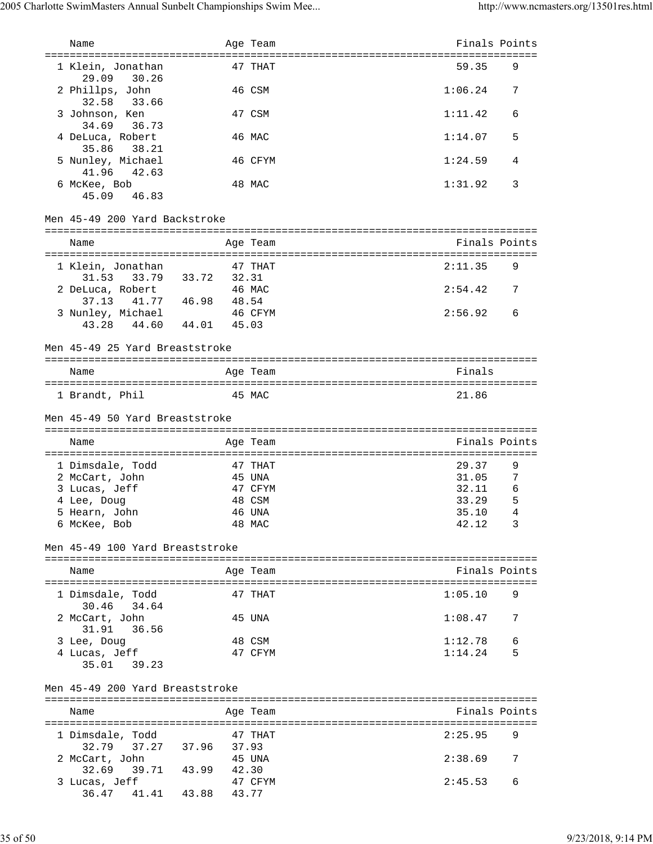| Name                                            |                   | Age Team         | Finals Points  |        |
|-------------------------------------------------|-------------------|------------------|----------------|--------|
| 1 Klein, Jonathan<br>29.09<br>30.26             |                   | 47 THAT          | 59.35          | 9      |
| 2 Phillps, John<br>32.58<br>33.66               |                   | 46 CSM           | 1:06.24        | 7      |
| 3 Johnson, Ken<br>34.69<br>36.73                |                   | 47 CSM           | 1:11.42        | 6      |
| 4 DeLuca, Robert<br>35.86<br>38.21              |                   | 46 MAC           | 1:14.07        | 5      |
| 5 Nunley, Michael<br>41.96<br>42.63             |                   | 46 CFYM          | 1:24.59        | 4      |
| 6 McKee, Bob<br>45.09<br>46.83                  |                   | 48 MAC           | 1:31.92        | 3      |
| Men 45-49 200 Yard Backstroke                   |                   |                  |                |        |
| Name                                            |                   | Age Team         | Finals Points  |        |
| 1 Klein, Jonathan<br>31.53 33.79 33.72 32.31    |                   | 47 THAT          | 2:11.35        | 9      |
| 2 DeLuca, Robert<br>37.13 41.77 46.98 48.54     |                   | 46 MAC           | 2:54.42        | 7      |
| 3 Nunley, Michael<br>43.28  44.60  44.01  45.03 |                   | 46 CFYM          | 2:56.92        | 6      |
| Men 45-49 25 Yard Breaststroke                  |                   |                  |                |        |
| Name                                            |                   | Age Team         | Finals         |        |
| 1 Brandt, Phil                                  |                   | 45 MAC           | 21.86          |        |
| Men 45-49 50 Yard Breaststroke                  |                   |                  |                |        |
| Name                                            |                   | Age Team         | Finals Points  |        |
| 1 Dimsdale, Todd                                |                   | 47 THAT          | 29.37          | 9      |
| 2 McCart, John                                  |                   | 45 UNA           | 31.05          | 7      |
| 3 Lucas, Jeff                                   |                   | 47 CFYM          | 32.11<br>33.29 | 6<br>5 |
| 4 Lee, Doug<br>5 Hearn, John                    |                   | 48 CSM<br>46 UNA | 35.10 4        |        |
| 6 McKee, Bob                                    |                   | 48 MAC           | 42.12 3        |        |
| Men 45-49 100 Yard Breaststroke                 |                   |                  |                |        |
| Name                                            |                   | Age Team         | Finals Points  |        |
|                                                 |                   |                  |                |        |
| 1 Dimsdale, Todd<br>30.46<br>34.64              |                   | 47 THAT          | 1:05.10        | 9      |
| 2 McCart, John<br>31.91<br>36.56                |                   | 45 UNA           | 1:08.47        | 7      |
| 3 Lee, Doug                                     |                   | 48 CSM           | 1:12.78        | 6      |
| 4 Lucas, Jeff<br>35.01 39.23                    |                   | 47 CFYM          | 1:14.24        | 5      |
| Men 45-49 200 Yard Breaststroke                 |                   |                  |                |        |
| Name                                            |                   | Age Team         | Finals Points  |        |
|                                                 |                   |                  |                |        |
| 1 Dimsdale, Todd                                |                   | 47 THAT          | 2:25.95        | 9      |
| 32.79<br>2 McCart, John                         | 37.27 37.96 37.93 | 45 UNA           | 2:38.69        | 7      |
| 39.71 43.99<br>32.69                            | 42.30             |                  |                |        |
| 3 Lucas, Jeff                                   |                   | 47 CFYM          | 2:45.53        | 6      |
| 36.47 41.41 43.88                               | 43.77             |                  |                |        |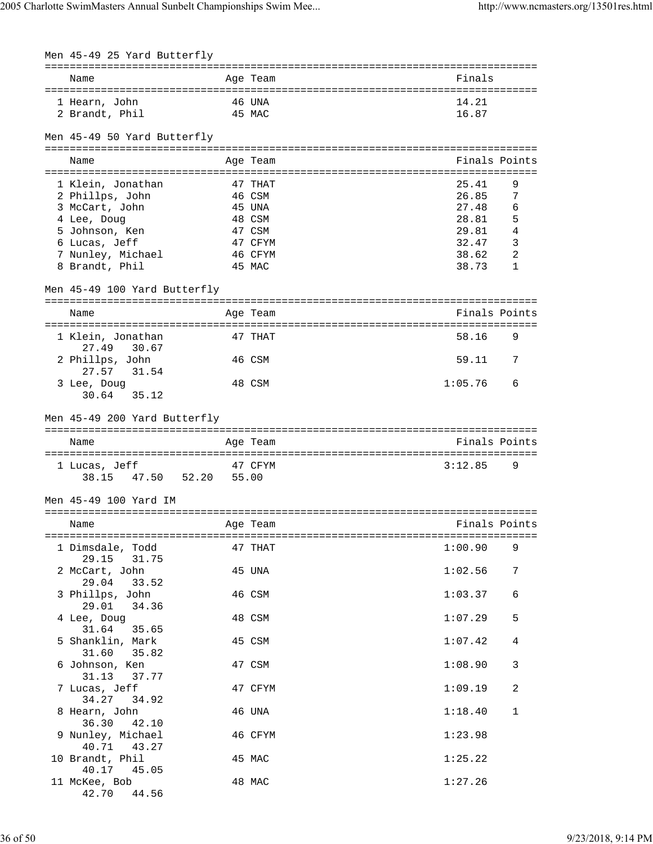| Men 45-49 25 Yard Butterfly        |       |                  |                                              |             |
|------------------------------------|-------|------------------|----------------------------------------------|-------------|
| Name                               |       | Age Team         | ----------------------------------<br>Finals |             |
| 1 Hearn, John<br>2 Brandt, Phil    |       | 46 UNA<br>45 MAC | 14.21<br>16.87                               |             |
| Men 45-49 50 Yard Butterfly        |       |                  |                                              |             |
| Name                               |       | Age Team         | Finals Points                                |             |
| 1 Klein, Jonathan                  |       | 47 THAT          | 25.41                                        | 9           |
| 2 Phillps, John<br>3 McCart, John  |       | 46 CSM<br>45 UNA | 26.85<br>27.48                               | 7<br>6      |
| 4 Lee, Doug                        |       | 48 CSM           | 28.81                                        | 5           |
| 5 Johnson, Ken                     |       | 47 CSM           | 29.81                                        | 4           |
| 6 Lucas, Jeff                      |       | 47 CFYM          | 32.47                                        | 3           |
| 7 Nunley, Michael                  |       | 46 CFYM          | 38.62                                        | 2           |
| 8 Brandt, Phil                     |       | 45 MAC           | 38.73                                        | 1           |
| Men 45-49 100 Yard Butterfly       |       |                  |                                              |             |
| Name                               |       | Age Team         | Finals Points                                |             |
| 1 Klein, Jonathan                  |       | 47 THAT          | 58.16                                        | 9           |
| 30.67<br>27.49<br>2 Phillps, John  |       | 46 CSM           | 59.11                                        | 7           |
| 27.57<br>31.54<br>3 Lee, Doug      |       | 48 CSM           | 1:05.76                                      | 6           |
| 30.64 35.12                        |       |                  |                                              |             |
| Men 45-49 200 Yard Butterfly       |       |                  |                                              |             |
| Name                               |       | Age Team         | Finals Points                                |             |
| 1 Lucas, Jeff                      |       | 47 CFYM          | 3:12.85                                      | 9           |
| 38.15 47.50 52.20                  | 55.00 |                  |                                              |             |
| Men 45-49 100 Yard IM              |       |                  |                                              |             |
| Name                               |       | Age Team         | Finals Points                                |             |
| 1 Dimsdale, Todd<br>29.15<br>31.75 |       | 47 THAT          | 1:00.90                                      | 9           |
| 2 McCart, John<br>29.04<br>33.52   |       | 45 UNA           | 1:02.56                                      | 7           |
| 3 Phillps, John<br>29.01<br>34.36  |       | 46 CSM           | 1:03.37                                      | 6           |
| 4 Lee, Doug<br>31.64<br>35.65      |       | 48 CSM           | 1:07.29                                      | 5           |
| 5 Shanklin, Mark<br>31.60<br>35.82 |       | 45 CSM           | 1:07.42                                      | 4           |
| 6 Johnson, Ken<br>31.13<br>37.77   |       | 47 CSM           | 1:08.90                                      | 3           |
| 7 Lucas, Jeff<br>34.27<br>34.92    |       | 47 CFYM          | 1:09.19                                      | 2           |
| 8 Hearn, John<br>36.30<br>42.10    |       | 46 UNA           | 1:18.40                                      | $\mathbf 1$ |
| 9 Nunley, Michael<br>40.71 43.27   |       | 46 CFYM          | 1:23.98                                      |             |
| 10 Brandt, Phil<br>40.17<br>45.05  |       | 45 MAC           | 1:25.22                                      |             |
| 11 McKee, Bob<br>42.70<br>44.56    |       | 48 MAC           | 1:27.26                                      |             |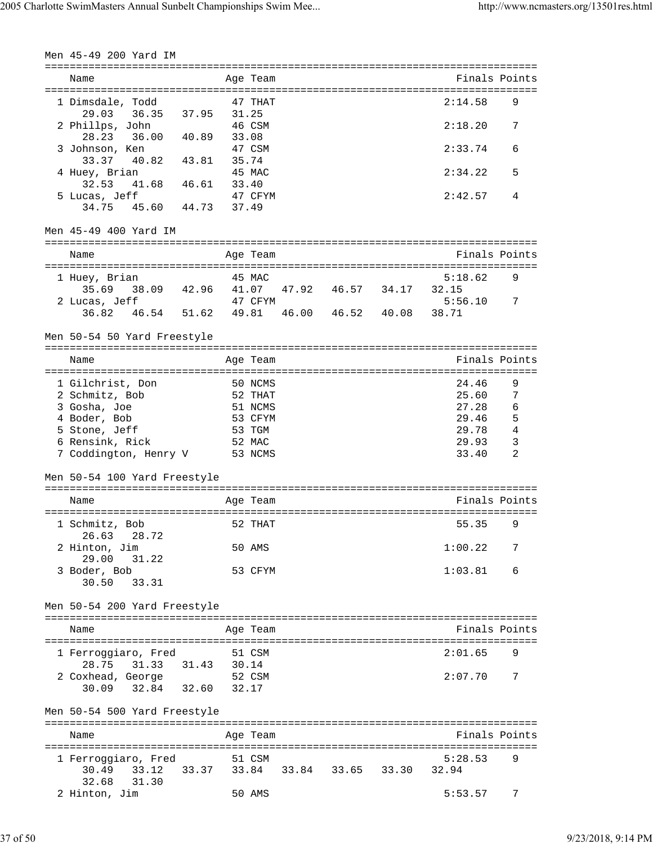| Men 45-49 200 Yard IM                                                                                                           |                |       |                                                                         |                   |                     |       |                                                             |                                                           |
|---------------------------------------------------------------------------------------------------------------------------------|----------------|-------|-------------------------------------------------------------------------|-------------------|---------------------|-------|-------------------------------------------------------------|-----------------------------------------------------------|
| Name<br>.=====================================                                                                                  |                |       | Age Team                                                                | ----------------- |                     |       | ================================<br>Finals Points           |                                                           |
| 1 Dimsdale, Todd<br>29.03 36.35                                                                                                 | 37.95          |       | 47 THAT<br>31.25                                                        |                   |                     |       | 2:14.58                                                     | 9                                                         |
| 2 Phillps, John<br>28.23<br>36.00                                                                                               | 40.89          |       | 46 CSM<br>33.08                                                         |                   |                     |       | 2:18.20                                                     | 7                                                         |
| 3 Johnson, Ken<br>33.37<br>40.82                                                                                                | 43.81          |       | 47 CSM<br>35.74                                                         |                   |                     |       | 2:33.74                                                     | 6                                                         |
| 4 Huey, Brian<br>32.53<br>41.68   46.61                                                                                         |                |       | 45 MAC<br>33.40                                                         |                   |                     |       | 2:34.22                                                     | 5                                                         |
| 5 Lucas, Jeff<br>45.60 44.73<br>34.75                                                                                           |                |       | 47 CFYM<br>37.49                                                        |                   |                     |       | 2:42.57                                                     | 4                                                         |
| Men 45-49 400 Yard IM                                                                                                           |                |       |                                                                         |                   |                     |       |                                                             |                                                           |
| Name                                                                                                                            |                |       | Age Team                                                                |                   |                     |       | Finals Points                                               |                                                           |
| 1 Huey, Brian<br>35.69 38.09 42.96                                                                                              |                |       | 45 MAC<br>41.07                                                         |                   | 47.92  46.57  34.17 |       | 5:18.62<br>32.15                                            | 9                                                         |
| 2 Lucas, Jeff<br>46.54 51.62<br>36.82                                                                                           |                | 49.81 | 47 CFYM                                                                 |                   | 46.00  46.52  40.08 |       | 5:56.10<br>38.71                                            | 7                                                         |
| Men 50-54 50 Yard Freestyle                                                                                                     |                |       |                                                                         |                   |                     |       |                                                             |                                                           |
| Name                                                                                                                            |                |       | Age Team<br>============                                                |                   |                     |       | Finals Points                                               |                                                           |
| 1 Gilchrist, Don<br>2 Schmitz, Bob<br>3 Gosha, Joe<br>4 Boder, Bob<br>5 Stone, Jeff<br>6 Rensink, Rick<br>7 Coddington, Henry V |                |       | 50 NCMS<br>52 THAT<br>51 NCMS<br>53 CFYM<br>53 TGM<br>52 MAC<br>53 NCMS |                   |                     |       | 24.46<br>25.60<br>27.28<br>29.46<br>29.78<br>29.93<br>33.40 | 9<br>$\overline{7}$<br>6<br>5<br>4<br>3<br>$\overline{2}$ |
| Men 50-54 100 Yard Freestyle                                                                                                    |                |       |                                                                         |                   |                     |       |                                                             |                                                           |
| Name                                                                                                                            | ============== |       | Age Team                                                                |                   |                     |       | Finals Points                                               |                                                           |
| 1 Schmitz, Bob<br>28.72<br>26.63                                                                                                |                |       | 52 THAT                                                                 |                   |                     |       | 55.35                                                       | 9                                                         |
| 2 Hinton, Jim<br>29.00<br>31.22                                                                                                 |                |       | 50 AMS                                                                  |                   |                     |       | 1:00.22                                                     | 7                                                         |
| 3 Boder, Bob<br>30.50<br>33.31                                                                                                  |                |       | 53 CFYM                                                                 |                   |                     |       | 1:03.81                                                     | 6                                                         |
| Men 50-54 200 Yard Freestyle                                                                                                    |                |       |                                                                         |                   |                     |       |                                                             |                                                           |
| Name                                                                                                                            |                |       | Age Team                                                                |                   |                     |       | Finals Points                                               |                                                           |
| 1 Ferroqqiaro, Fred<br>28.75 31.33                                                                                              | 31.43          |       | 51 CSM<br>30.14                                                         |                   |                     |       | 2:01.65                                                     | 9                                                         |
| 2 Coxhead, George<br>32.84<br>30.09                                                                                             | 32.60          |       | 52 CSM<br>32.17                                                         |                   |                     |       | 2:07.70                                                     | 7                                                         |
| Men 50-54 500 Yard Freestyle                                                                                                    |                |       |                                                                         |                   |                     |       |                                                             |                                                           |
| Name                                                                                                                            |                |       | Age Team                                                                |                   |                     |       | Finals Points                                               |                                                           |
| 1 Ferroggiaro, Fred<br>30.49<br>33.12<br>32.68<br>31.30                                                                         | 33.37          |       | 51 CSM                                                                  | 33.84 33.84       | 33.65               | 33.30 | 5:28.53<br>32.94                                            | 9                                                         |
| 2 Hinton, Jim                                                                                                                   |                |       | 50 AMS                                                                  |                   |                     |       | 5:53.57                                                     | 7                                                         |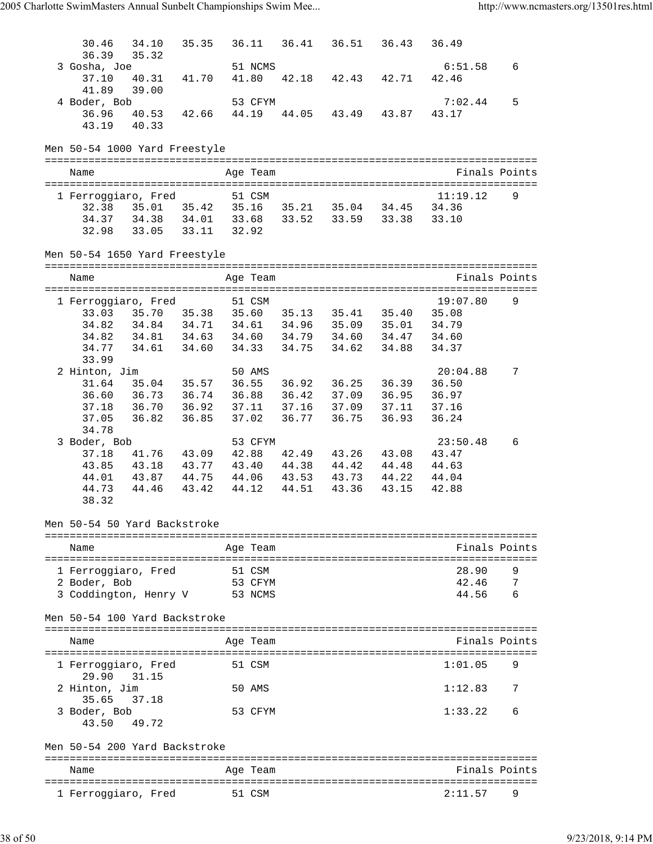| 30.46<br>34.10                            | 35.35                                                   | 36.11            | 36.41       |                         | 36.51 36.43 | 36.49            |   |
|-------------------------------------------|---------------------------------------------------------|------------------|-------------|-------------------------|-------------|------------------|---|
| 36.39<br>35.32                            |                                                         |                  |             |                         |             |                  |   |
| 3 Gosha, Joe<br>40.31<br>37.10            | 41.70                                                   | 51 NCMS<br>41.80 | 42.18       | 42.43                   | 42.71       | 6:51.58<br>42.46 | 6 |
| 41.89<br>39.00                            |                                                         |                  |             |                         |             |                  |   |
| 4 Boder, Bob                              |                                                         | 53 CFYM          |             |                         |             | 7:02.44          | 5 |
| 36.96<br>40.53                            | 42.66                                                   | 44.19            | 44.05       |                         | 43.49 43.87 | 43.17            |   |
| 43.19<br>40.33                            |                                                         |                  |             |                         |             |                  |   |
|                                           |                                                         |                  |             |                         |             |                  |   |
| Men 50-54 1000 Yard Freestyle             |                                                         |                  |             |                         |             |                  |   |
| Name                                      |                                                         | Age Team         |             |                         |             | Finals Points    |   |
|                                           |                                                         |                  |             |                         |             |                  |   |
| 1 Ferroggiaro, Fred                       |                                                         | 51 CSM           |             |                         |             | 11:19.12         | 9 |
| 32.38 35.01 35.42                         |                                                         |                  |             | 35.16 35.21 35.04 34.45 |             | 34.36            |   |
| 34.37 34.38 34.01 33.68 33.52 33.59 33.38 |                                                         |                  |             |                         |             | 33.10            |   |
| 32.98                                     | 33.05 33.11 32.92                                       |                  |             |                         |             |                  |   |
| Men 50-54 1650 Yard Freestyle             |                                                         |                  |             |                         |             |                  |   |
| Name                                      |                                                         | Age Team         |             |                         |             | Finals Points    |   |
|                                           |                                                         |                  |             |                         |             |                  |   |
| 1 Ferroggiaro, Fred                       |                                                         | 51 CSM           |             |                         |             | 19:07.80         | 9 |
| 33.03                                     | 35.70 35.38 35.60 35.13 35.41 35.40                     |                  |             |                         |             | 35.08            |   |
| 34.82<br>34.82                            | 34.84  34.71  34.61  34.96  35.09  35.01                |                  |             |                         |             | 34.79<br>34.60   |   |
| 34.77                                     | 34.81  34.63  34.60  34.79  34.60  34.47<br>34.61 34.60 |                  |             | 34.33 34.75 34.62       | 34.88       | 34.37            |   |
| 33.99                                     |                                                         |                  |             |                         |             |                  |   |
| 2 Hinton, Jim                             |                                                         | 50 AMS           |             |                         |             | 20:04.88         | 7 |
| 31.64                                     | 35.04 35.57                                             | 36.55            | 36.92       | 36.25                   | 36.39       | 36.50            |   |
| 36.60 36.73 36.74                         |                                                         |                  |             | 36.88 36.42 37.09 36.95 |             | 36.97            |   |
| 37.18<br>36.70                            | 36.92                                                   |                  |             | 37.11 37.16 37.09       | 37.11       | 37.16            |   |
| 36.82<br>37.05                            | 36.85                                                   | 37.02            | 36.77       | 36.75                   | 36.93       | 36.24            |   |
| 34.78                                     |                                                         |                  |             |                         |             |                  |   |
| 3 Boder, Bob                              |                                                         | 53 CFYM          |             |                         |             | 23:50.48         | 6 |
| 37.18                                     | 41.76 43.09                                             | 42.88            |             | 42.49 43.26             | 43.08       | 43.47            |   |
| 43.85                                     | 43.18 43.77                                             |                  | 43.40 44.38 | 44.42                   | 44.48       | 44.63            |   |
| 44.01<br>43.87                            | 44.75                                                   | 44.06            | 43.53       | 43.73                   | 44.22       | 44.04            |   |
| 44.73<br>44.46                            | 43.42                                                   | 44.12            | 44.51       | 43.36                   | 43.15       | 42.88            |   |
| 38.32                                     |                                                         |                  |             |                         |             |                  |   |
| Men 50-54 50 Yard Backstroke              |                                                         |                  |             |                         |             |                  |   |
| Name                                      |                                                         |                  |             |                         |             | Finals Points    |   |
|                                           |                                                         | Age Team         |             |                         |             |                  |   |
| 1 Ferroggiaro, Fred                       |                                                         | 51 CSM           |             |                         |             | 28.90            | 9 |
| 2 Boder, Bob                              |                                                         | 53 CFYM          |             |                         |             | 42.46            | 7 |
| 3 Coddington, Henry V                     |                                                         | 53 NCMS          |             |                         |             | 44.56            |   |
| Men 50-54 100 Yard Backstroke             |                                                         |                  |             |                         |             |                  |   |
|                                           |                                                         |                  |             |                         |             |                  |   |
| Name                                      |                                                         | Age Team         |             |                         |             | Finals Points    |   |
| 1 Ferroqqiaro, Fred                       |                                                         | 51 CSM           |             |                         |             | 1:01.05          | 9 |
| 29.90<br>31.15                            |                                                         |                  |             |                         |             |                  |   |
| 2 Hinton, Jim                             |                                                         | 50 AMS           |             |                         |             | 1:12.83          | 7 |
| 35.65<br>37.18                            |                                                         |                  |             |                         |             |                  |   |
| 3 Boder, Bob                              |                                                         | 53 CFYM          |             |                         |             | 1:33.22          | 6 |
| 43.50<br>49.72                            |                                                         |                  |             |                         |             |                  |   |
| Men 50-54 200 Yard Backstroke             |                                                         |                  |             |                         |             |                  |   |
| Name                                      |                                                         | Age Team         |             |                         |             | Finals Points    |   |
|                                           |                                                         |                  |             |                         |             |                  |   |
| 1 Ferroggiaro, Fred                       |                                                         | 51 CSM           |             |                         |             | 2:11.57          | 9 |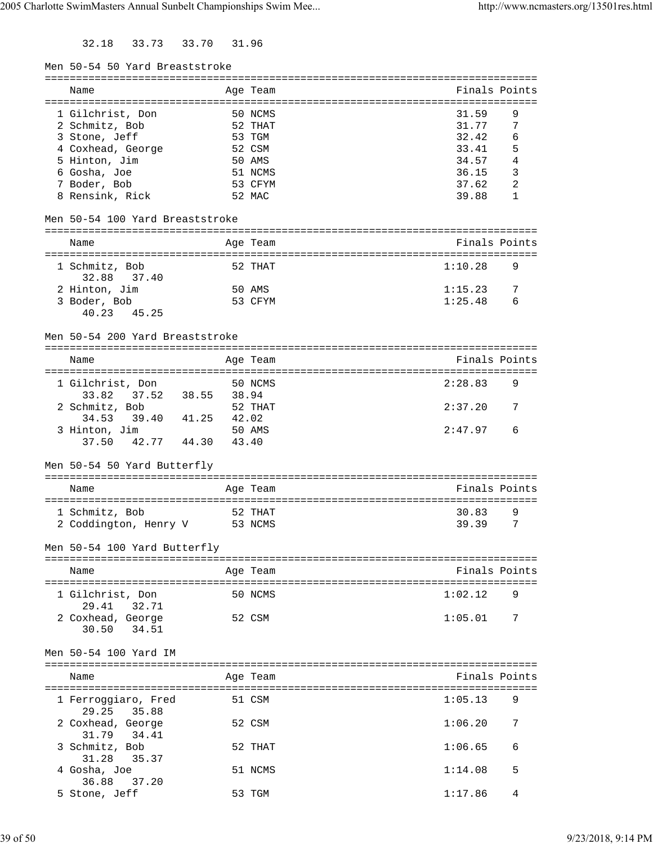32.18 33.73 33.70 31.96

| Men 50-54 50 Yard Breaststroke  |             |          |                              |   |
|---------------------------------|-------------|----------|------------------------------|---|
|                                 |             |          |                              |   |
| Name                            |             | Age Team | Finals Points                |   |
|                                 |             |          |                              |   |
| 1 Gilchrist, Don                |             | 50 NCMS  | 31.59                        | 9 |
| 2 Schmitz, Bob                  |             | 52 THAT  | 31.77                        | 7 |
| 3 Stone, Jeff                   |             | 53 TGM   | 32.42                        | 6 |
| 4 Coxhead, George               |             | 52 CSM   | 33.41                        | 5 |
| 5 Hinton, Jim                   |             | 50 AMS   | 34.57                        | 4 |
| 6 Gosha, Joe                    |             | 51 NCMS  | 36.15                        | 3 |
| 7 Boder, Bob                    |             | 53 CFYM  | 37.62                        | 2 |
| 8 Rensink, Rick                 |             | 52 MAC   | 39.88                        | 1 |
| Men 50-54 100 Yard Breaststroke |             |          |                              |   |
| Name                            |             | Age Team | Finals Points                |   |
| -------------------             | =========== |          |                              |   |
| 1 Schmitz, Bob                  |             | 52 THAT  | 1:10.28                      | 9 |
| 32.88 37.40                     |             |          |                              |   |
| 2 Hinton, Jim                   |             | 50 AMS   | 1:15.23                      | 7 |
| 3 Boder, Bob                    |             | 53 CFYM  | 1:25.48                      | 6 |
| 40.23 45.25                     |             |          |                              |   |
|                                 |             |          |                              |   |
| Men 50-54 200 Yard Breaststroke |             |          |                              |   |
|                                 |             |          |                              |   |
| Name                            |             | Age Team | Finals Points                |   |
|                                 |             |          | :=========================== |   |
| 1 Gilchrist, Don                |             | 50 NCMS  | 2:28.83                      | 9 |
| 33.82<br>37.52                  | 38.55 38.94 |          |                              |   |
| 2 Schmitz, Bob                  |             | 52 THAT  | 2:37.20                      | 7 |
| 41.25<br>34.53 39.40            | 42.02       |          |                              |   |
| 3 Hinton, Jim                   |             | 50 AMS   | 2:47.97                      | 6 |
| 42.77 44.30<br>37.50            | 43.40       |          |                              |   |
|                                 |             |          |                              |   |
| Men 50-54 50 Yard Butterfly     |             |          |                              |   |
| Name                            |             | Age Team | Finals Points                |   |
|                                 |             |          |                              |   |
| 1 Schmitz, Bob                  |             | 52 THAT  | 30.83                        | 9 |
| 2 Coddington, Henry V           |             | 53 NCMS  | 39.39                        | 7 |
|                                 |             |          |                              |   |
| Men 50-54 100 Yard Butterfly    |             |          |                              |   |
|                                 |             |          |                              |   |
| Name                            |             | Age Team | Finals Points                |   |
|                                 |             |          |                              |   |
| 1 Gilchrist, Don                |             | 50 NCMS  | 1:02.12                      | 9 |
| 29.41<br>32.71                  |             |          |                              |   |
| 2 Coxhead, George               |             | 52 CSM   | 1:05.01                      | 7 |
| 34.51<br>30.50                  |             |          |                              |   |
|                                 |             |          |                              |   |
| Men 50-54 100 Yard IM           |             |          |                              |   |
|                                 |             |          |                              |   |
| Name                            |             | Age Team | Finals Points                |   |
|                                 |             |          |                              |   |
| 1 Ferroggiaro, Fred             |             | 51 CSM   | 1:05.13                      | 9 |
| 29.25<br>35.88                  |             |          |                              |   |
| 2 Coxhead, George               |             | 52 CSM   | 1:06.20                      | 7 |
| 31.79<br>34.41                  |             |          |                              |   |
| 3 Schmitz, Bob                  |             | 52 THAT  | 1:06.65                      | 6 |
| 31.28<br>35.37                  |             |          |                              |   |
| 4 Gosha, Joe                    |             | 51 NCMS  | 1:14.08                      | 5 |
| 36.88<br>37.20                  |             |          |                              |   |
|                                 |             |          |                              | 4 |
| 5 Stone, Jeff                   |             | 53 TGM   | 1:17.86                      |   |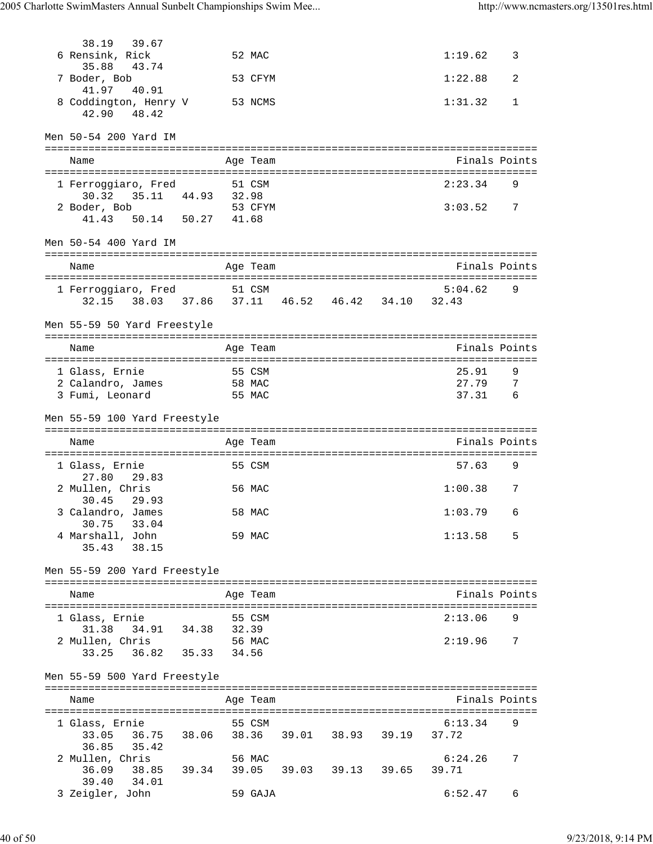| 38.19 39.67                                                                   |        |        |          |                               |                |                 |
|-------------------------------------------------------------------------------|--------|--------|----------|-------------------------------|----------------|-----------------|
| 6 Rensink, Rick<br>35.88<br>43.74                                             |        |        | 52 MAC   |                               | 1:19.62        | 3               |
| 7 Boder, Bob<br>41.97<br>40.91                                                |        |        | 53 CFYM  |                               | 1:22.88        | 2               |
| 8 Coddington, Henry V<br>42.90 48.42                                          |        |        | 53 NCMS  |                               | 1:31.32        | 1               |
| Men 50-54 200 Yard IM                                                         |        |        |          |                               |                |                 |
| Name                                                                          |        |        | Age Team |                               | Finals Points  |                 |
| 1 Ferroggiaro, Fred                                                           |        |        | 51 CSM   |                               | 2:23.34        | 9               |
| 30.32 35.11 44.93 32.98<br>2 Boder, Bob<br>41.43 50.14 50.27 41.68            |        |        | 53 CFYM  |                               | 3:03.52        | $\overline{7}$  |
| Men 50-54 400 Yard IM                                                         |        |        |          |                               |                |                 |
| Name                                                                          |        |        | Age Team |                               | Finals Points  |                 |
|                                                                               |        |        |          |                               |                |                 |
| 1 Ferroggiaro, Fred 51 CSM<br>32.15 38.03 37.86 37.11 46.52 46.42 34.10 32.43 |        |        |          |                               | 5:04.62        | 9               |
| Men 55-59 50 Yard Freestyle                                                   |        |        |          |                               |                |                 |
| Name                                                                          |        |        | Age Team |                               | Finals Points  |                 |
|                                                                               |        |        |          |                               |                |                 |
| 1 Glass, Ernie<br>2 Calandro, James                                           | 58 MAC | 55 CSM |          |                               | 25.91<br>27.79 | 9<br>-7         |
| 3 Fumi, Leonard                                                               |        |        | 55 MAC   |                               | 37.31          | $6\overline{6}$ |
| Men 55-59 100 Yard Freestyle                                                  |        |        |          |                               |                |                 |
| Name                                                                          |        |        | Age Team |                               | Finals Points  |                 |
|                                                                               |        |        |          |                               |                |                 |
| 1 Glass, Ernie<br>27.80 29.83                                                 |        |        | 55 CSM   |                               | 57.63          | 9               |
| 2 Mullen, Chris<br>30.45<br>29.93                                             |        |        | 56 MAC   |                               | 1:00.38        | 7               |
| 3 Calandro, James<br>33.04<br>30.75                                           |        |        | 58 MAC   |                               | $1:03.79$ 6    |                 |
| 4 Marshall, John<br>35.43 38.15                                               |        |        | 59 MAC   |                               | 1:13.58        | - 5             |
| Men 55-59 200 Yard Freestyle                                                  |        |        |          |                               |                |                 |
| Name                                                                          |        |        | Age Team |                               | Finals Points  |                 |
|                                                                               |        |        |          |                               |                |                 |
| 1 Glass, Ernie                                                                |        | 55 CSM |          |                               | 2:13.06        | 9               |
| $31.38$ $34.91$ $34.38$ $32.39$<br>2 Mullen, Chris                            |        |        | 56 MAC   |                               | 2:19.96 7      |                 |
| 33.25 36.82 35.33 34.56                                                       |        |        |          |                               |                |                 |
| Men 55-59 500 Yard Freestyle                                                  |        |        |          |                               |                |                 |
| Name                                                                          |        |        | Age Team |                               | Finals Points  |                 |
| 1 Glass, Ernie                                                                |        |        | 55 CSM   |                               | 6:13.34        | 9               |
| 33.05 36.75 38.06<br>36.85 35.42                                              |        |        |          | 38.36 39.01 38.93 39.19 37.72 |                |                 |
| 2 Mullen, Chris                                                               |        |        | 56 MAC   |                               | 6:24.26        | 7               |
| 36.09 38.85 39.34 39.05 39.03 39.13 39.65                                     |        |        |          |                               | 39.71          |                 |
| 39.40 34.01<br>3 Zeigler, John                                                |        |        | 59 GAJA  |                               | 6:52.47        | 6               |
|                                                                               |        |        |          |                               |                |                 |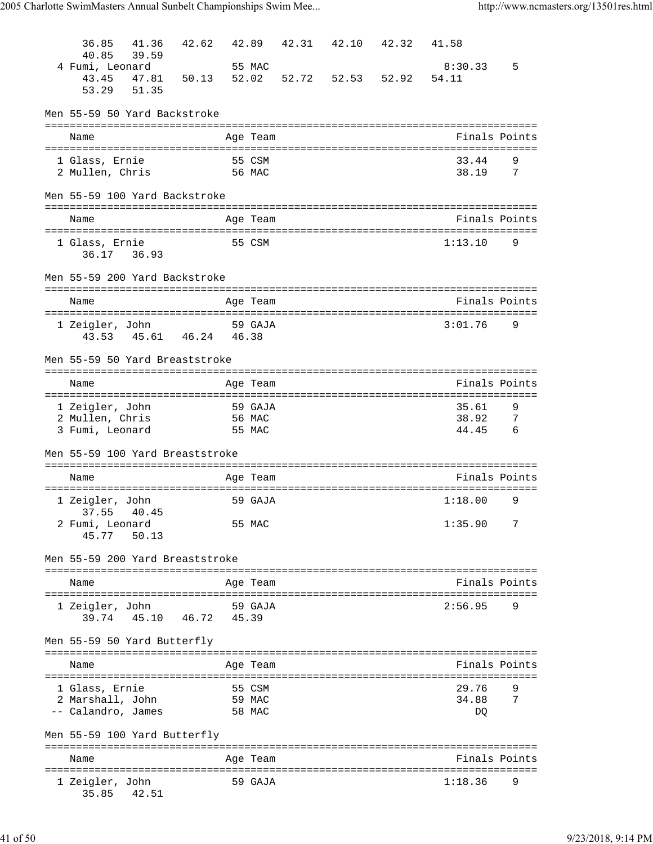| 36.85                                                             | 41.36                   | 42.62  | 42.89 |                  |                 | 42.31 42.10 42.32 | 41.58                                 |                       |
|-------------------------------------------------------------------|-------------------------|--------|-------|------------------|-----------------|-------------------|---------------------------------------|-----------------------|
| 40.85                                                             | 39.59                   |        |       |                  |                 |                   |                                       |                       |
| 4 Fumi, Leonard<br>43.45                                          | 47.81                   | 50.13  | 52.02 | 55 MAC           |                 | 52.72 52.53 52.92 | 8:30.33<br>54.11                      | 5                     |
| 53.29                                                             | 51.35                   |        |       |                  |                 |                   |                                       |                       |
| Men 55-59 50 Yard Backstroke                                      |                         |        |       |                  |                 |                   |                                       |                       |
| Name                                                              |                         |        |       | Age Team         |                 |                   | Finals Points                         |                       |
|                                                                   |                         |        |       |                  |                 |                   |                                       |                       |
| 1 Glass, Ernie                                                    |                         |        |       | 55 CSM           |                 |                   | 33.44                                 | 9                     |
| 2 Mullen, Chris                                                   |                         | 56 MAC |       |                  |                 |                   | 38.19                                 | 7                     |
| Men 55-59 100 Yard Backstroke                                     |                         |        |       |                  |                 |                   |                                       |                       |
| Name                                                              |                         |        |       | Age Team         |                 |                   | Finals Points                         |                       |
|                                                                   |                         |        |       |                  |                 |                   |                                       |                       |
| 1 Glass, Ernie<br>36.17 36.93                                     |                         |        |       | 55 CSM           |                 |                   | 1:13.10                               | 9                     |
| Men 55-59 200 Yard Backstroke                                     |                         |        |       |                  |                 |                   |                                       |                       |
| Name                                                              |                         |        |       | Age Team         |                 |                   | Finals Points                         |                       |
| 1 Zeigler, John                                                   |                         |        |       | 59 GAJA          |                 |                   | 3:01.76                               | 9                     |
|                                                                   | 43.53 45.61 46.24 46.38 |        |       |                  |                 |                   |                                       |                       |
|                                                                   |                         |        |       |                  |                 |                   |                                       |                       |
| Men 55-59 50 Yard Breaststroke                                    |                         |        |       |                  |                 |                   |                                       |                       |
| Name                                                              |                         |        |       | Age Team         |                 |                   | Finals Points                         |                       |
| 1 Zeigler, John                                                   |                         |        |       | 59 GAJA          |                 |                   | 35.61                                 | 9                     |
| 2 Mullen, Chris                                                   |                         |        |       | 56 MAC           |                 |                   | 38.92<br>44.45                        | -7<br>$6\overline{6}$ |
| 3 Fumi, Leonard                                                   |                         |        |       | 55 MAC           |                 |                   |                                       |                       |
| Men 55-59 100 Yard Breaststroke                                   |                         |        |       |                  |                 |                   |                                       |                       |
| Name                                                              |                         |        |       | Age Team         |                 |                   | Finals Points                         |                       |
| 1 Zeigler, John                                                   |                         |        |       | 59 GAJA          |                 |                   | 1:18.00                               | 9                     |
| 37.55 40.45<br>2 Fumi, Leonard                                    |                         |        |       | 55 MAC           |                 |                   | 1:35.90                               | 7                     |
| 45.77                                                             | 50.13                   |        |       |                  |                 |                   |                                       |                       |
| Men 55-59 200 Yard Breaststroke<br>------------------------------ |                         |        |       |                  | --------------- |                   |                                       |                       |
| Name                                                              |                         |        |       | Age Team         |                 |                   | Finals Points                         |                       |
|                                                                   |                         |        |       |                  |                 |                   |                                       |                       |
| 1 Zeigler, John<br>39.74                                          | 45.10                   | 46.72  | 45.39 | 59 GAJA          |                 |                   | 2:56.95                               | 9                     |
|                                                                   |                         |        |       |                  |                 |                   |                                       |                       |
| Men 55-59 50 Yard Butterfly                                       |                         |        |       |                  |                 |                   |                                       |                       |
| Name                                                              |                         |        |       | Age Team         |                 |                   | Finals Points                         |                       |
|                                                                   |                         |        |       |                  |                 |                   |                                       |                       |
| 1 Glass, Ernie<br>2 Marshall, John                                |                         |        |       | 55 CSM<br>59 MAC |                 |                   | 29.76<br>34.88                        | 9<br>7                |
| -- Calandro, James                                                |                         |        |       | 58 MAC           |                 |                   | DQ                                    |                       |
|                                                                   |                         |        |       |                  |                 |                   |                                       |                       |
| Men 55-59 100 Yard Butterfly                                      |                         |        |       |                  |                 |                   | ------------------------------------- |                       |
| Name                                                              |                         |        |       | Age Team         |                 |                   | Finals Points                         |                       |
|                                                                   |                         |        |       |                  |                 |                   |                                       |                       |
| 1 Zeigler, John<br>35.85                                          | 42.51                   |        |       | 59 GAJA          |                 |                   | 1:18.36                               | 9                     |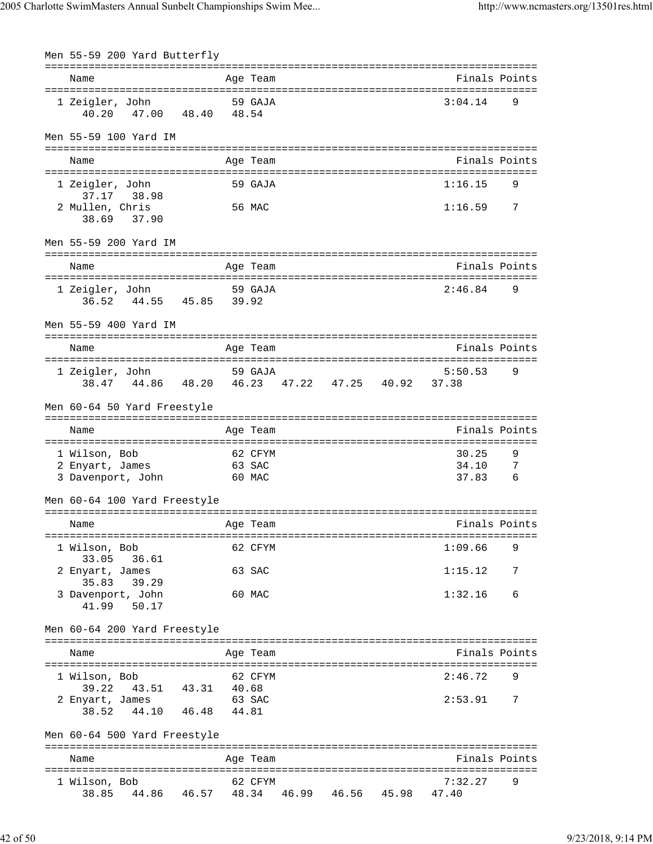| Men 55-59 200 Yard Butterfly                    |       |       |          |                   |                |     |
|-------------------------------------------------|-------|-------|----------|-------------------|----------------|-----|
|                                                 |       |       |          |                   |                |     |
| Name                                            |       |       | Age Team |                   | Finals Points  |     |
|                                                 |       |       |          |                   |                |     |
| 1 Zeigler, John<br>40.20 47.00 48.40 48.54      |       |       | 59 GAJA  |                   | 3:04.14        | 9   |
|                                                 |       |       |          |                   |                |     |
|                                                 |       |       |          |                   |                |     |
| Men 55-59 100 Yard IM                           |       |       |          |                   |                |     |
|                                                 |       |       |          |                   |                |     |
| Name                                            |       |       | Age Team |                   | Finals Points  |     |
|                                                 |       |       |          |                   |                |     |
| 1 Zeigler, John                                 |       |       | 59 GAJA  |                   | 1:16.15        | 9   |
| 37.17 38.98                                     |       |       |          |                   |                |     |
| 2 Mullen, Chris                                 |       |       | 56 MAC   |                   | 1:16.59        | 7   |
| 38.69 37.90                                     |       |       |          |                   |                |     |
|                                                 |       |       |          |                   |                |     |
| Men 55-59 200 Yard IM                           |       |       |          |                   |                |     |
|                                                 |       |       |          |                   |                |     |
| Name                                            |       |       | Age Team |                   | Finals Points  |     |
|                                                 |       |       |          |                   |                |     |
| 1 Zeigler, John                                 |       |       | 59 GAJA  |                   | 2:46.84        | 9   |
| 36.52 44.55 45.85 39.92                         |       |       |          |                   |                |     |
|                                                 |       |       |          |                   |                |     |
| Men 55-59 400 Yard IM                           |       |       |          |                   |                |     |
|                                                 |       |       |          |                   |                |     |
| Name                                            |       |       | Age Team |                   | Finals Points  |     |
|                                                 |       |       |          |                   |                |     |
| 1 Zeigler, John                                 |       |       | 59 GAJA  |                   | 5:50.53        | 9   |
| 38.47 44.86 48.20 46.23 47.22 47.25 40.92 37.38 |       |       |          |                   |                |     |
|                                                 |       |       |          |                   |                |     |
| Men 60-64 50 Yard Freestyle                     |       |       |          |                   |                |     |
|                                                 |       |       |          |                   |                |     |
| Name                                            |       |       | Age Team |                   | Finals Points  |     |
| 1 Wilson, Bob                                   |       |       | 62 CFYM  |                   |                | 9   |
|                                                 |       |       | 63 SAC   |                   | 30.25<br>34.10 |     |
| 2 Enyart, James                                 |       |       |          |                   |                | - 7 |
| 3 Davenport, John                               |       |       | 60 MAC   |                   | 37.83          | - 6 |
| Men 60-64 100 Yard Freestyle                    |       |       |          |                   |                |     |
|                                                 |       |       |          |                   |                |     |
|                                                 |       |       |          |                   | Finals Points  |     |
| Name                                            |       |       | Age Team |                   |                |     |
|                                                 |       |       | 62 CFYM  |                   | 1:09.66        | 9   |
| 1 Wilson, Bob<br>33.05<br>36.61                 |       |       |          |                   |                |     |
|                                                 |       |       | 63 SAC   |                   |                |     |
| 2 Enyart, James<br>39.29                        |       |       |          |                   | 1:15.12        | 7   |
| 35.83                                           |       |       |          |                   |                | 6   |
| 3 Davenport, John<br>41.99<br>50.17             |       |       | 60 MAC   |                   | 1:32.16        |     |
|                                                 |       |       |          |                   |                |     |
|                                                 |       |       |          |                   |                |     |
| Men 60-64 200 Yard Freestyle                    |       |       |          |                   |                |     |
| Name                                            |       |       |          |                   | Finals Points  |     |
|                                                 |       |       | Age Team |                   |                |     |
| 1 Wilson, Bob                                   |       |       | 62 CFYM  |                   | 2:46.72        | 9   |
| 43.51 43.31 40.68<br>39.22                      |       |       |          |                   |                |     |
|                                                 |       |       | 63 SAC   |                   | 2:53.91        | 7   |
| 2 Enyart, James<br>44.10<br>38.52               | 46.48 | 44.81 |          |                   |                |     |
|                                                 |       |       |          |                   |                |     |
|                                                 |       |       |          |                   |                |     |
| Men 60-64 500 Yard Freestyle                    |       |       |          |                   |                |     |
|                                                 |       |       |          |                   |                |     |
| Name                                            |       |       | Age Team |                   | Finals Points  |     |
| 1 Wilson, Bob                                   |       |       | 62 CFYM  |                   | 7:32.27        | 9   |
| 44.86 46.57 48.34<br>38.85                      |       |       |          | 46.99 46.56 45.98 | 47.40          |     |
|                                                 |       |       |          |                   |                |     |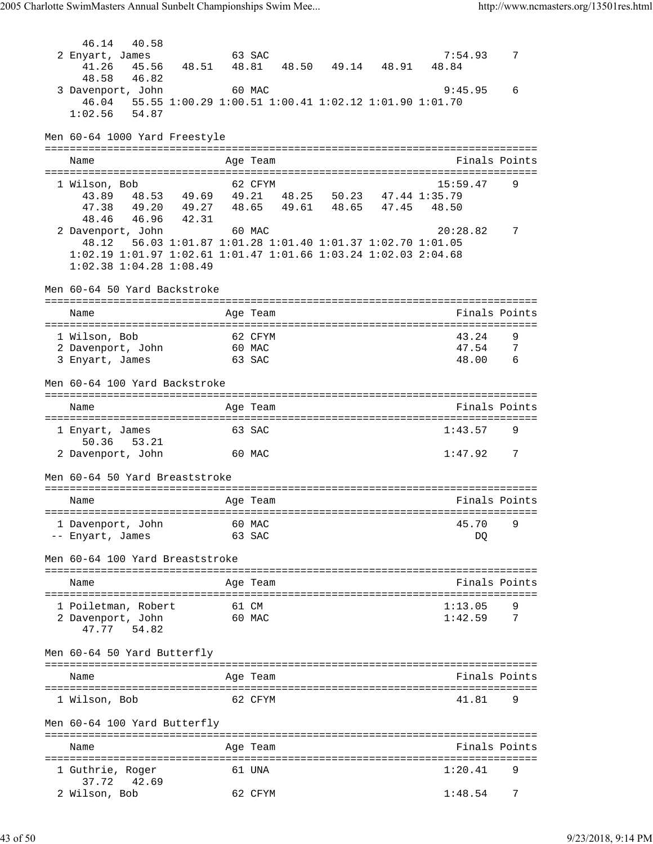46.14 40.58<br>2 Enyart, James 2 Enyart, James 63 SAC 7:54.93 7 41.26 45.56 48.51 48.81 48.50 49.14 48.91 48.84 48.58 46.82 3 Davenport, John 60 MAC 9:45.95 6 46.04 55.55 1:00.29 1:00.51 1:00.41 1:02.12 1:01.90 1:01.70 1:02.56 54.87 Men 60-64 1000 Yard Freestyle =============================================================================== Name **Age Team** Age Team Finals Points =============================================================================== 1 Wilson, Bob 62 CFYM 15:59.47 9 43.89 48.53 49.69 49.21 48.25 50.23 47.44 1:35.79 47.38 49.20 49.27 48.65 49.61 48.65 47.45 48.50 48.46 46.96 42.31 2 Davenport, John 60 MAC 20:28.82 7 48.12 56.03 1:01.87 1:01.28 1:01.40 1:01.37 1:02.70 1:01.05 1:02.19 1:01.97 1:02.61 1:01.47 1:01.66 1:03.24 1:02.03 2:04.68 1:02.38 1:04.28 1:08.49 Men 60-64 50 Yard Backstroke =============================================================================== Name Age Team Finals Points =============================================================================== 1 Wilson, Bob 62 CFYM 1991 43.24 9<br>2 Davenport, John 60 MAC 47.54 7 2 Davenport, John 60 MAC 47.54 7<br>3 Envart, James 63 SAC 48.00 6 3 Enyart, James 63 SAC Men 60-64 100 Yard Backstroke =============================================================================== Name Age Team Finals Points =============================================================================== 1 Enyart, James 63 SAC 1:43.57 9 50.36 53.21 2 Davenport, John 60 MAC 1:47.92 7 Men 60-64 50 Yard Breaststroke =============================================================================== Age Team  $\qquad \qquad$  Finals Points =============================================================================== 1 Davenport, John 60 MAC 45.70 -- Enyart, James 63 SAC DQ Men 60-64 100 Yard Breaststroke =============================================================================== Name **Age Team Age Team** Rinals Points =============================================================================== 1 Poiletman, Robert 61 CM 1:13.05 9 2 Davenport, John 60 MAC 1:42.59 7 47.77 54.82 Men 60-64 50 Yard Butterfly =============================================================================== Name Age Team Finals Points =============================================================================== 1 Wilson, Bob 62 CFYM 41.81 9 Men 60-64 100 Yard Butterfly =============================================================================== Name **Age Team** Age Team Finals Points =============================================================================== 1 Guthrie, Roger 61 UNA 1:20.41 9 37.72 42.69<br>2 Wilson, Bob 62 CFYM 1:48.54 7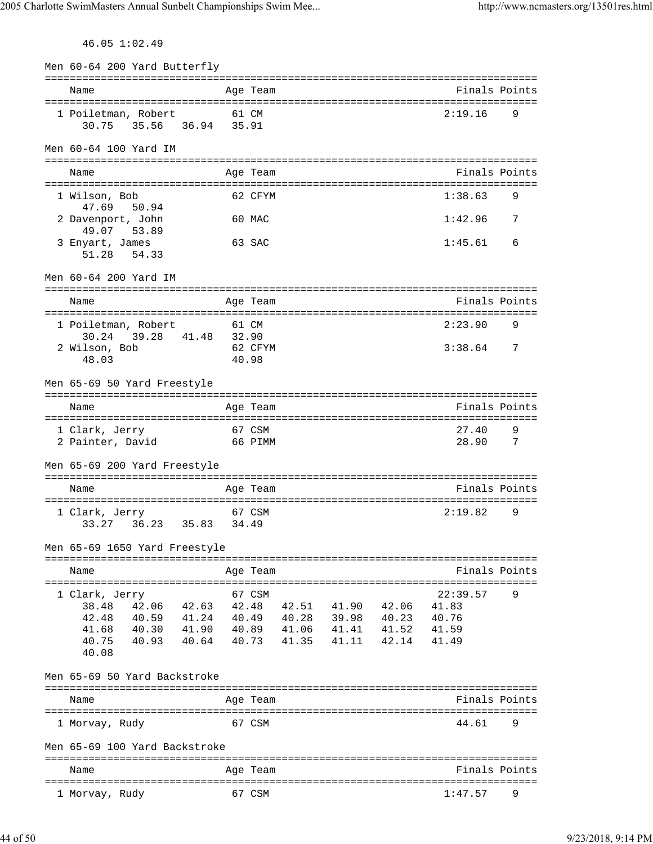46.05 1:02.49

| Men 60-64 200 Yard Butterfly                                                          |       |                            |       |                            |                                                |   |
|---------------------------------------------------------------------------------------|-------|----------------------------|-------|----------------------------|------------------------------------------------|---|
| Name                                                                                  |       | Age Team                   |       |                            | =============================<br>Finals Points |   |
| 1 Poiletman, Robert<br>35.56 36.94 35.91<br>30.75                                     |       | 61 CM                      |       |                            | 2:19.16                                        | 9 |
| Men 60-64 100 Yard IM                                                                 |       |                            |       |                            |                                                |   |
| Name                                                                                  |       | Age Team                   |       |                            | Finals Points                                  |   |
| 1 Wilson, Bob                                                                         |       | 62 CFYM                    |       |                            | 1:38.63                                        | 9 |
| 47.69<br>50.94<br>2 Davenport, John                                                   |       | 60 MAC                     |       |                            | 1:42.96                                        | 7 |
| 49.07<br>53.89<br>3 Enyart, James<br>51.28 54.33                                      |       | 63 SAC                     |       |                            | 1:45.61                                        | 6 |
| Men 60-64 200 Yard IM                                                                 |       |                            |       |                            |                                                |   |
| Name                                                                                  |       | Age Team                   |       |                            | Finals Points                                  |   |
| 1 Poiletman, Robert                                                                   |       | 61 CM                      |       |                            | 2:23.90                                        | 9 |
| 30.24<br>39.28 41.48<br>2 Wilson, Bob<br>48.03                                        | 32.90 | 62 CFYM<br>40.98           |       |                            | 3:38.64                                        | 7 |
| Men 65-69 50 Yard Freestyle                                                           |       |                            |       |                            |                                                |   |
| Name                                                                                  |       | Age Team                   |       |                            | Finals Points                                  |   |
| =====================<br>1 Clark, Jerry                                               |       | ================<br>67 CSM |       |                            | :================================<br>27.40     | 9 |
| 2 Painter, David                                                                      |       | 66 PIMM                    |       |                            | 28.90                                          | 7 |
| Men 65-69 200 Yard Freestyle                                                          |       |                            |       |                            |                                                |   |
| Name                                                                                  |       | Age Team                   |       |                            | Finals Points                                  |   |
| 1 Clark, Jerry<br>36.23 35.83<br>33.27                                                |       | 67 CSM<br>34.49            |       |                            | 2:19.82                                        | 9 |
| Men 65-69 1650 Yard Freestyle                                                         |       |                            |       |                            |                                                |   |
| Name                                                                                  |       | Age Team                   |       |                            | Finals Points                                  |   |
| 1 Clark, Jerry                                                                        |       | 67 CSM                     |       |                            | 22:39.57                                       | 9 |
| 42.06 42.63 42.48 42.51 41.90 42.06<br>38.48                                          |       |                            |       |                            | 41.83                                          |   |
| 42.48<br>40.59  41.24  40.49  40.28  39.98  40.23<br>41.68<br>40.30 41.90 40.89 41.06 |       |                            |       |                            | 40.76<br>41.59                                 |   |
| 40.75<br>40.93 40.64 40.73<br>40.08                                                   |       |                            | 41.35 | 41.41 41.52<br>41.11 42.14 | 41.49                                          |   |
| Men 65-69 50 Yard Backstroke                                                          |       |                            |       |                            |                                                |   |
| Name                                                                                  |       | Age Team                   |       |                            | Finals Points                                  |   |
| 1 Morvay, Rudy                                                                        |       | 67 CSM                     |       |                            | 44.61                                          | 9 |
| Men 65-69 100 Yard Backstroke                                                         |       |                            |       |                            |                                                |   |
| Name                                                                                  |       | Age Team                   |       |                            | Finals Points                                  |   |
|                                                                                       |       |                            |       |                            |                                                | 9 |
| 1 Morvay, Rudy                                                                        |       | 67 CSM                     |       |                            | 1:47.57                                        |   |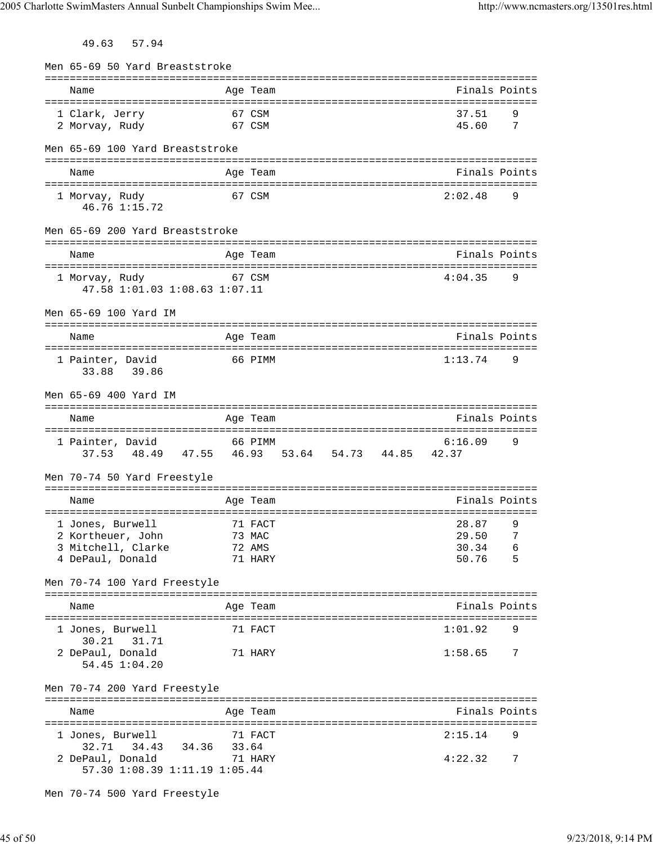49.63 57.94

| Men 65-69 50 Yard Breaststroke                                                          |        |                  |  |                |          |
|-----------------------------------------------------------------------------------------|--------|------------------|--|----------------|----------|
| Name                                                                                    |        | Age Team         |  | Finals Points  |          |
| 1 Clark, Jerry<br>67 CSM<br>2 Morvay, Rudy                                              | 67 CSM |                  |  | 37.51<br>45.60 | 9<br>7   |
| Men 65-69 100 Yard Breaststroke                                                         |        |                  |  |                |          |
| Name                                                                                    |        | Age Team         |  | Finals Points  |          |
| 1 Morvay, Rudy<br>46.76 1:15.72                                                         | 67 CSM |                  |  | 2:02.48        | 9        |
| Men 65-69 200 Yard Breaststroke                                                         |        |                  |  |                |          |
| Name                                                                                    |        | Age Team         |  | Finals Points  |          |
| 1 Morvay, Rudy<br>47.58 1:01.03 1:08.63 1:07.11                                         |        | 67 CSM           |  | 4:04.35        | 9        |
| Men 65-69 100 Yard IM                                                                   |        |                  |  |                |          |
| Name                                                                                    |        | Age Team         |  | Finals Points  |          |
| 1 Painter, David<br>39.86<br>33.88                                                      |        | 66 PIMM          |  | 1:13.74        | 9        |
| Men 65-69 400 Yard IM                                                                   |        |                  |  |                |          |
| Name                                                                                    |        | Age Team         |  | Finals Points  |          |
| 1 Painter, David<br>37.53 48.49 47.55 46.93 53.64 54.73 44.85 42.37                     |        | 66 PIMM          |  | 6:16.09        | 9        |
| Men 70-74 50 Yard Freestyle                                                             |        |                  |  |                |          |
| Name                                                                                    |        | Age Team         |  | Finals Points  |          |
| 1 Jones, Burwell                                                                        |        | 71 FACT          |  | 28.87          | 9        |
| 2 Kortheuer, John<br>3 Mitchell, Clarke                                                 |        | 73 MAC<br>72 AMS |  | 29.50 7        |          |
| 4 DePaul, Donald                                                                        |        | 71 HARY          |  | 30.34<br>50.76 | 6<br>- 5 |
| Men 70-74 100 Yard Freestyle                                                            |        |                  |  |                |          |
| Name                                                                                    |        | Age Team         |  | Finals Points  |          |
| 1 Jones, Burwell                                                                        |        | 71 FACT          |  | 1:01.92        | 9        |
| 30.21 31.71<br>2 DePaul, Donald<br>54.45 1:04.20                                        |        | 71 HARY          |  | 1:58.65        | 7        |
| Men 70-74 200 Yard Freestyle                                                            |        |                  |  |                |          |
| Name                                                                                    |        | Age Team         |  | Finals Points  |          |
| 71 FACT<br>1 Jones, Burwell                                                             |        |                  |  | 2:15.14        | 9        |
| 34.43 34.36 33.64<br>32.71<br>2 DePaul, Donald 71 HARY<br>57.30 1:08.39 1:11.19 1:05.44 |        |                  |  | 4:22.32        | 7        |
|                                                                                         |        |                  |  |                |          |

Men 70-74 500 Yard Freestyle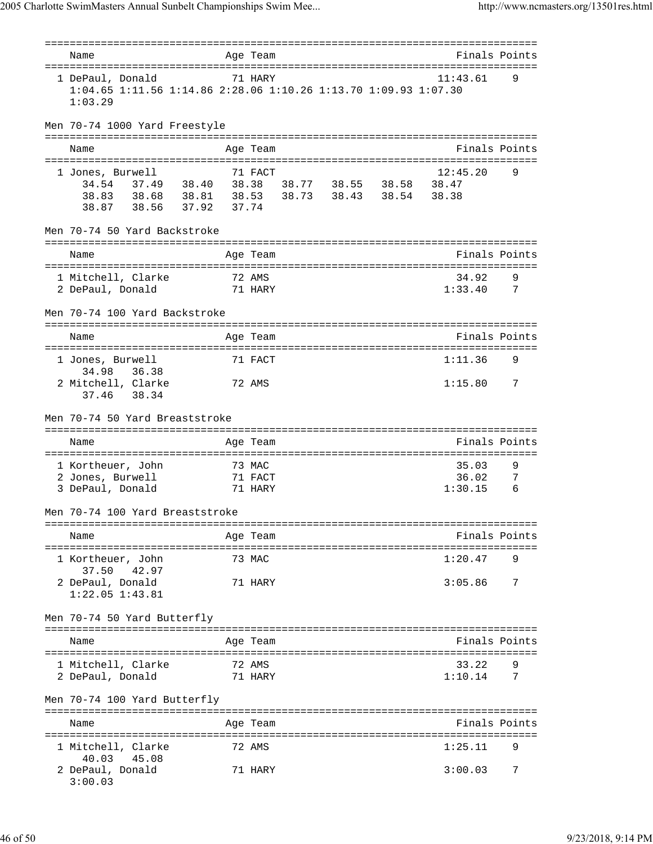| Name                                                                                                                                        |       | Age Team                     |  |                           | Finals Points |
|---------------------------------------------------------------------------------------------------------------------------------------------|-------|------------------------------|--|---------------------------|---------------|
|                                                                                                                                             |       |                              |  |                           |               |
| 1 DePaul, Donald<br>1:04.65 1:11.56 1:14.86 2:28.06 1:10.26 1:13.70 1:09.93 1:07.30<br>1:03.29                                              |       | 71 HARY                      |  | 11:43.61                  | 9             |
| Men 70-74 1000 Yard Freestyle                                                                                                               |       |                              |  |                           |               |
| Name                                                                                                                                        |       | Age Team                     |  |                           | Finals Points |
| 1 Jones, Burwell<br>34.54 37.49 38.40 38.38 38.77 38.55 38.58 38.47<br>38.83 38.68 38.81 38.53 38.73 38.43 38.54 38.38<br>38.87 38.56 37.92 | 37.74 | 71 FACT                      |  | 12:45.20                  | 9             |
| Men 70-74 50 Yard Backstroke                                                                                                                |       |                              |  |                           |               |
| Name                                                                                                                                        |       | Age Team                     |  |                           | Finals Points |
| 1 Mitchell, Clarke<br>71 HARY<br>2 DePaul, Donald                                                                                           |       | 72 AMS                       |  | 34.92<br>$1:33.40$ 7      | 9             |
| Men 70-74 100 Yard Backstroke                                                                                                               |       |                              |  |                           |               |
| Name                                                                                                                                        |       | Age Team                     |  | Finals Points             |               |
| 1 Jones, Burwell                                                                                                                            |       | 71 FACT                      |  | 1:11.36                   | 9             |
| 34.98<br>36.38<br>2 Mitchell, Clarke<br>37.46 38.34                                                                                         |       | 72 AMS                       |  | 1:15.80                   | 7             |
| Men 70-74 50 Yard Breaststroke                                                                                                              |       |                              |  |                           |               |
| Name                                                                                                                                        |       | Age Team                     |  | Finals Points             |               |
| 1 Kortheuer, John<br>2 Jones, Burwell<br>3 DePaul, Donald                                                                                   |       | 73 MAC<br>71 FACT<br>71 HARY |  | 35.03<br>36.02<br>1:30.15 | 9<br>7<br>6   |
| Men 70-74 100 Yard Breaststroke                                                                                                             |       |                              |  |                           |               |
| Name                                                                                                                                        |       | Age Team                     |  | Finals Points             |               |
| 1 Kortheuer, John                                                                                                                           |       | 73 MAC                       |  | 1:20.47                   | 9             |
| 37.50<br>42.97<br>2 DePaul, Donald<br>$1:22.05$ $1:43.81$                                                                                   |       | 71 HARY                      |  | 3:05.86                   | 7             |
| Men 70-74 50 Yard Butterfly                                                                                                                 |       |                              |  |                           |               |
| Name                                                                                                                                        |       | Age Team                     |  |                           | Finals Points |
| 1 Mitchell, Clarke<br>2 DePaul, Donald                                                                                                      |       | 72 AMS<br>71 HARY            |  | 33.22<br>1:10.14          | 7             |
| Men 70-74 100 Yard Butterfly                                                                                                                |       |                              |  |                           |               |
| Name<br>=========================                                                                                                           |       | Age Team                     |  |                           | Finals Points |
| 1 Mitchell, Clarke<br>40.03 45.08                                                                                                           |       | 72 AMS                       |  | 1:25.11                   | 9             |
| 2 DePaul, Donald<br>3:00.03                                                                                                                 |       | 71 HARY                      |  | 3:00.03                   | 7             |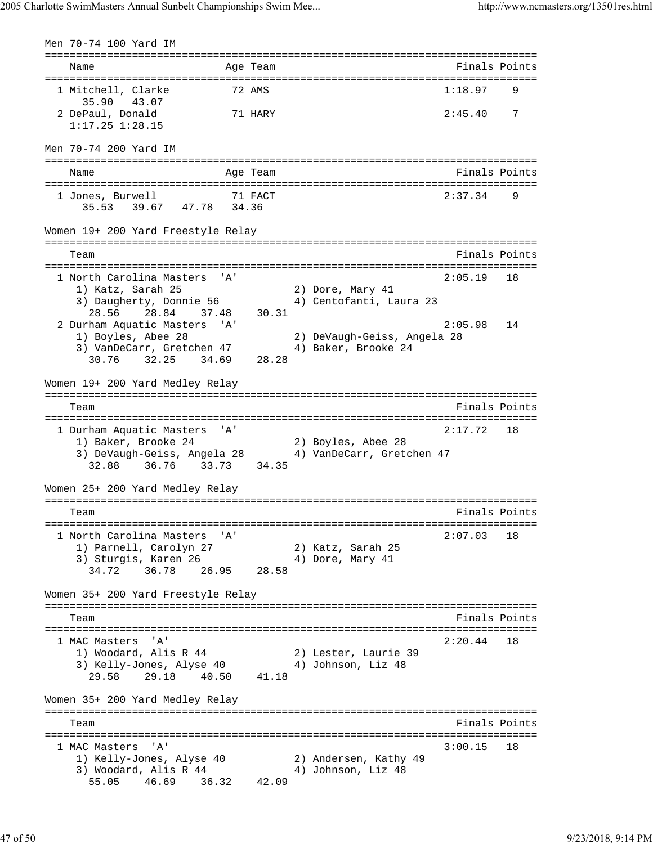Men 70-74 100 Yard IM =============================================================================== Name Age Team Finals Points =============================================================================== 1 Mitchell, Clarke 72 AMS 1:18.97 35.90 43.07 2 DePaul, Donald 71 HARY 2:45.40 7 1:17.25 1:28.15 Men 70-74 200 Yard IM =============================================================================== Name Age Team Age Team Finals Points =============================================================================== 1 Jones, Burwell 71 FACT 2:37.34 9 35.53 39.67 47.78 34.36 Women 19+ 200 Yard Freestyle Relay =============================================================================== Team Finals Points and the Community of the Community of the Points Points Points and the Community of the Community of the Community of the Community of the Community of the Community of the Community of the Community of =============================================================================== 1 North Carolina Masters 'A' 2:05.19 18 1) Katz, Sarah 25 2) Dore, Mary 41 3) Daugherty, Donnie 56 4) Centofanti, Laura 23 28.56 28.84 37.48 30.31 2 Durham Aquatic Masters 'A' 2:05.98 14 1) Boyles, Abee 28 2) DeVaugh-Geiss, Angela 28 3) VanDeCarr, Gretchen 47 (4) Baker, Brooke 24 30.76 32.25 34.69 28.28 Women 19+ 200 Yard Medley Relay =============================================================================== Team Finals Points =============================================================================== 1 Durham Aquatic Masters 'A' 2:17.72 18 1) Baker, Brooke 24 2) Boyles, Abee 28 3) DeVaugh-Geiss, Angela 28 4) VanDeCarr, Gretchen 47 32.88 36.76 33.73 34.35 Women 25+ 200 Yard Medley Relay =============================================================================== Team Finals Points =============================================================================== 1 North Carolina Masters 'A' 2:07.03 18 1) Parnell, Carolyn 27 2) Katz, Sarah 25 3) Sturgis, Karen 26  $4)$  Dore, Mary 41 34.72 36.78 26.95 28.58 Women 35+ 200 Yard Freestyle Relay =============================================================================== Team Finals Points =============================================================================== 1 MAC Masters 'A' 2:20.44 18 1) Woodard, Alis R 44 2) Lester, Laurie 39 3) Kelly-Jones, Alyse 40 4) Johnson, Liz 48 29.58 29.18 40.50 41.18 Women 35+ 200 Yard Medley Relay =============================================================================== Team Finals Points =============================================================================== 1 MAC Masters 'A' 3:00.15 18 1) Kelly-Jones, Alyse 40 2) Andersen, Kathy 49 3) Woodard, Alis R 44 4 4 50hnson, Liz 48 55.05 46.69 36.32 42.09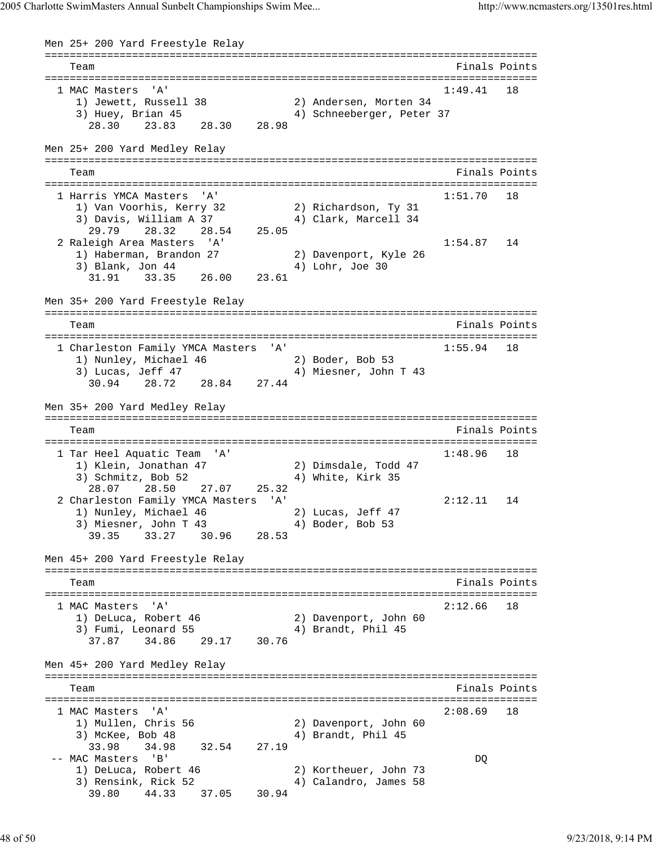Men 25+ 200 Yard Freestyle Relay =============================================================================== Team Finals Points =============================================================================== 1 MAC Masters 'A' 1:49.41 18 1) Jewett, Russell 38 2) Andersen, Morten 34 3) Huey, Brian 45 4) Schneeberger, Peter 37 28.30 23.83 28.30 28.98 Men 25+ 200 Yard Medley Relay =============================================================================== Finals Points =============================================================================== 1 Harris YMCA Masters 'A' 1:51.70 18 1) Van Voorhis, Kerry 32 2) Richardson, Ty 31 3) Davis, William A 37 4) Clark, Marcell 34 29.79 28.32 28.54 25.05 2 Raleigh Area Masters 'A' 1:54.87 14 1) Haberman, Brandon 27 2) Davenport, Kyle 26 3) Blank, Jon 44 4 4) Lohr, Joe 30 31.91 33.35 26.00 23.61 Men 35+ 200 Yard Freestyle Relay =============================================================================== Team Finals Points and the Community of the Community of the Points Points Points Points and the Community of the Community of the Community of the Community of the Community of the Community of the Community of the Commun =============================================================================== 1 Charleston Family YMCA Masters 'A' 1:55.94 18 1) Nunley, Michael 46 2) Boder, Bob 53 3) Lucas, Jeff 47 4) Miesner, John T 43 30.94 28.72 28.84 27.44 Men 35+ 200 Yard Medley Relay =============================================================================== Team Finals Points =============================================================================== 1 Tar Heel Aquatic Team 'A' 1:48.96 18 1) Klein, Jonathan 47 2) Dimsdale, Todd 47 3) Schmitz, Bob 52 4) White, Kirk 35 28.07 28.50 27.07 25.32 2 Charleston Family YMCA Masters 'A' 2:12.11 14 1) Nunley, Michael 46 2) Lucas, Jeff 47 3) Miesner, John T 43 4) Boder, Bob 53 39.35 33.27 30.96 28.53 Men 45+ 200 Yard Freestyle Relay =============================================================================== Team Finals Points =============================================================================== 1 MAC Masters 'A' 2:12.66 18 1) DeLuca, Robert 46 2) Davenport, John 60 3) Fumi, Leonard 55 4) Brandt, Phil 45 37.87 34.86 29.17 30.76 Men 45+ 200 Yard Medley Relay =============================================================================== Team Finals Points =============================================================================== 1 MAC Masters 'A' 2:08.69 18 1) Mullen, Chris 56 2) Davenport, John 60 3) McKee, Bob 48 4 4) Brandt, Phil 45 33.98 34.98 32.54 27.19 -- MAC Masters 'B' DQ 1) DeLuca, Robert 46 2) Kortheuer, John 73 3) Rensink, Rick 52 4) Calandro, James 58 39.80 44.33 37.05 30.94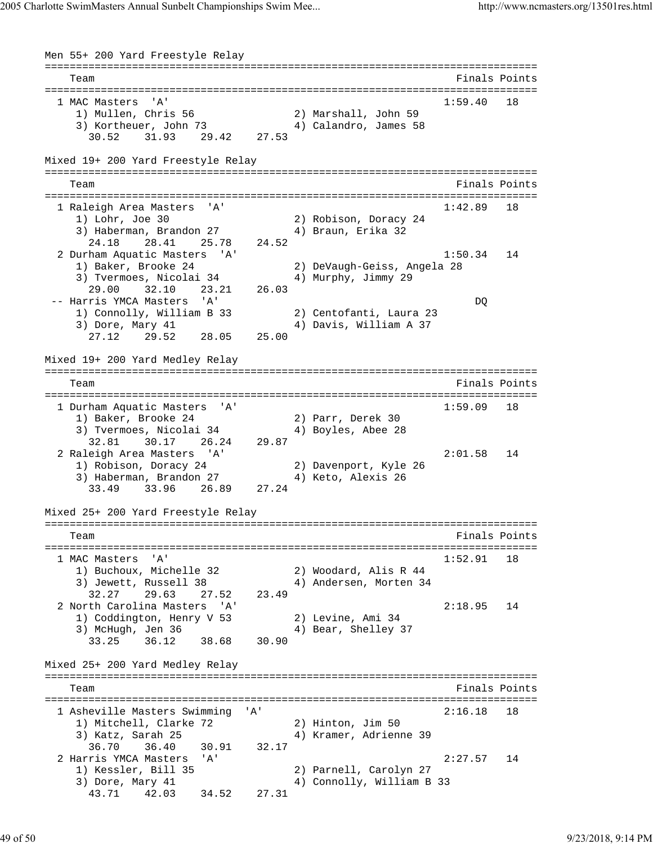Men 55+ 200 Yard Freestyle Relay =============================================================================== Team Finals Points Points All the Second Second Second Second Second Second Second Second Second Second Second Second Second Second Second Second Second Second Second Second Second Second Second Second Second Second Second =============================================================================== 1 MAC Masters 'A' 1:59.40 18 1) Mullen, Chris 56 2) Marshall, John 59 3) Kortheuer, John 73 4) Calandro, James 58 30.52 31.93 29.42 27.53 Mixed 19+ 200 Yard Freestyle Relay =============================================================================== Team **Finals Points** =============================================================================== 1 Raleigh Area Masters 'A' 1:42.89 18 1) Lohr, Joe 30 2) Robison, Doracy 24 3) Haberman, Brandon 27 4) Braun, Erika 32 24.18 28.41 25.78 24.52 2 Durham Aquatic Masters 'A' 1:50.34 14 1) Baker, Brooke 24 2) DeVaugh-Geiss, Angela 28 3) Tvermoes, Nicolai 34  $\hskip1cm$  4) Murphy, Jimmy 29 29.00 32.10 23.21 26.03 -- Harris YMCA Masters 'A' DQ 1) Connolly, William B 33 2) Centofanti, Laura 23 3) Dore, Mary 41 4) Davis, William A 37 27.12 29.52 28.05 25.00 Mixed 19+ 200 Yard Medley Relay =============================================================================== Team Finals Points =============================================================================== 1 Durham Aquatic Masters 'A' 1:59.09 18 1) Baker, Brooke 24 2) Parr, Derek 30 3) Tvermoes, Nicolai 34 4) Boyles, Abee 28 32.81 30.17 26.24 29.87 2 Raleigh Area Masters 'A' 2:01.58 14 1) Robison, Doracy 24 2) Davenport, Kyle 26 3) Haberman, Brandon 27 4) Keto, Alexis 26 33.49 33.96 26.89 27.24 Mixed 25+ 200 Yard Freestyle Relay =============================================================================== Team Finals Points =============================================================================== 1 MAC Masters 'A' 1:52.91 18 1) Buchoux, Michelle 32 2) Woodard, Alis R 44 3) Jewett, Russell 38 4) Andersen, Morten 34 32.27 29.63 27.52 23.49 2 North Carolina Masters 'A' 2:18.95 14 1) Coddington, Henry V 53 2) Levine, Ami 34 3) McHugh, Jen 36 4) Bear, Shelley 37 33.25 36.12 38.68 30.90 Mixed 25+ 200 Yard Medley Relay =============================================================================== Team Finals Points =============================================================================== 1 Asheville Masters Swimming 'A' 2:16.18 18 1) Mitchell, Clarke 72 2) Hinton, Jim 50 3) Katz, Sarah 25 4) Kramer, Adrienne 39 36.70 36.40 30.91 32.17 2 Harris YMCA Masters 'A' 2:27.57 14 1) Kessler, Bill 35 2) Parnell, Carolyn 27 3) Dore, Mary 41 4) Connolly, William B 33 43.71 42.03 34.52 27.31